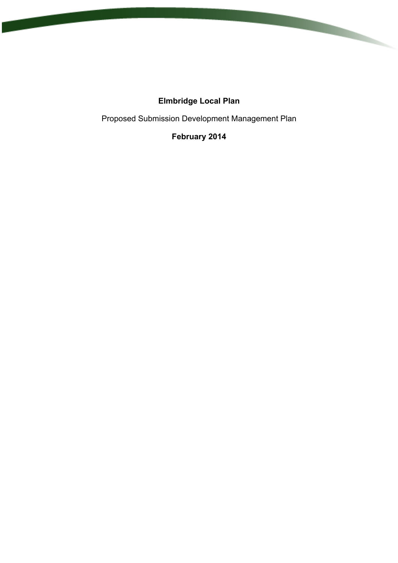# **Elmbridge Local Plan**

Proposed Submission Development Management Plan

# **February 2014**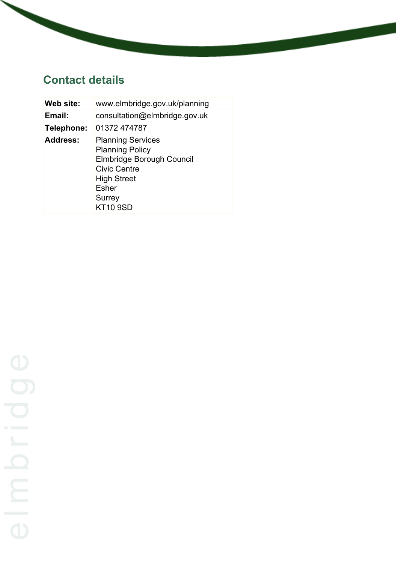# **Contact details**

| Web site:  | www.elmbridge.gov.uk/planning                                                                                                                                                    |
|------------|----------------------------------------------------------------------------------------------------------------------------------------------------------------------------------|
| Email:     | consultation@elmbridge.gov.uk                                                                                                                                                    |
| Telephone: | 01372 474787                                                                                                                                                                     |
| Address:   | <b>Planning Services</b><br><b>Planning Policy</b><br>Elmbridge Borough Council<br><b>Civic Centre</b><br><b>High Street</b><br><b>Esher</b><br><b>Surrey</b><br><b>KT10 9SD</b> |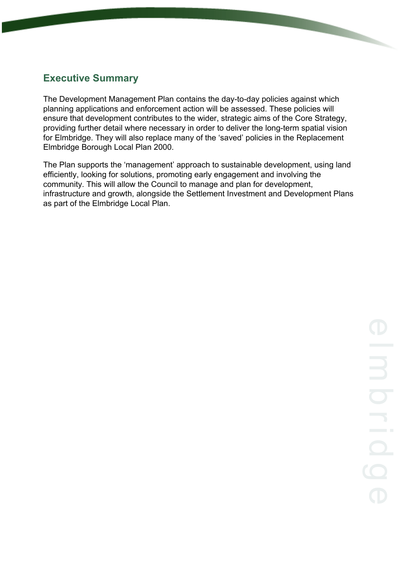# **Executive Summary**

The Development Management Plan contains the day-to-day policies against which planning applications and enforcement action will be assessed. These policies will ensure that development contributes to the wider, strategic aims of the Core Strategy, providing further detail where necessary in order to deliver the long-term spatial vision for Elmbridge. They will also replace many of the 'saved' policies in the Replacement Elmbridge Borough Local Plan 2000.

The Plan supports the 'management' approach to sustainable development, using land efficiently, looking for solutions, promoting early engagement and involving the community. This will allow the Council to manage and plan for development, infrastructure and growth, alongside the Settlement Investment and Development Plans as part of the Elmbridge Local Plan.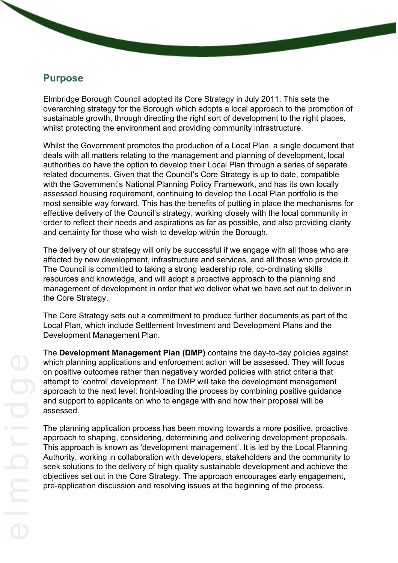### **Purpose**

Elmbridge Borough Council adopted its Core Strategy in July 2011. This sets the overarching strategy for the Borough which adopts a local approach to the promotion of sustainable growth, through directing the right sort of development to the right places, whilst protecting the environment and providing community infrastructure.

Whilst the Government promotes the production of a Local Plan, a single document that deals with all matters relating to the management and planning of development, local authorities do have the option to develop their Local Plan through a series of separate related documents. Given that the Council's Core Strategy is up to date, compatible with the Government's National Planning Policy Framework, and has its own locally assessed housing requirement, continuing to develop the Local Plan portfolio is the most sensible way forward. This has the benefits of putting in place the mechanisms for effective delivery of the Council's strategy, working closely with the local community in order to reflect their needs and aspirations as far as possible, and also providing clarity and certainty for those who wish to develop within the Borough.

The delivery of our strategy will only be successful if we engage with all those who are affected by new development, infrastructure and services, and all those who provide it. The Council is committed to taking a strong leadership role, co-ordinating skills resources and knowledge, and will adopt a proactive approach to the planning and management of development in order that we deliver what we have set out to deliver in the Core Strategy.

The Core Strategy sets out a commitment to produce further documents as part of the Local Plan, which include Settlement Investment and Development Plans and the Development Management Plan.

The **Development Management Plan (DMP)** contains the day-to-day policies against which planning applications and enforcement action will be assessed. They will focus on positive outcomes rather than negatively worded policies with strict criteria that attempt to 'control' development. The DMP will take the development management approach to the next level: front-loading the process by combining positive guidance and support to applicants on who to engage with and how their proposal will be assessed.

The planning application process has been moving towards a more positive, proactive approach to shaping, considering, determining and delivering development proposals. This approach is known as 'development management'. It is led by the Local Planning Authority, working in collaboration with developers, stakeholders and the community to seek solutions to the delivery of high quality sustainable development and achieve the objectives set out in the Core Strategy. The approach encourages early engagement, pre-application discussion and resolving issues at the beginning of the process.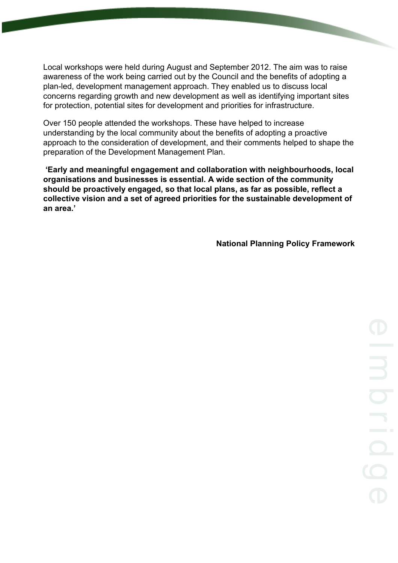Local workshops were held during August and September 2012. The aim was to raise awareness of the work being carried out by the Council and the benefits of adopting a plan-led, development management approach. They enabled us to discuss local concerns regarding growth and new development as well as identifying important sites for protection, potential sites for development and priorities for infrastructure.

Over 150 people attended the workshops. These have helped to increase understanding by the local community about the benefits of adopting a proactive approach to the consideration of development, and their comments helped to shape the preparation of the Development Management Plan.

**'Early and meaningful engagement and collaboration with neighbourhoods, local organisations and businesses is essential. A wide section of the community should be proactively engaged, so that local plans, as far as possible, reflect a collective vision and a set of agreed priorities for the sustainable development of an area.'**

**National Planning Policy Framework**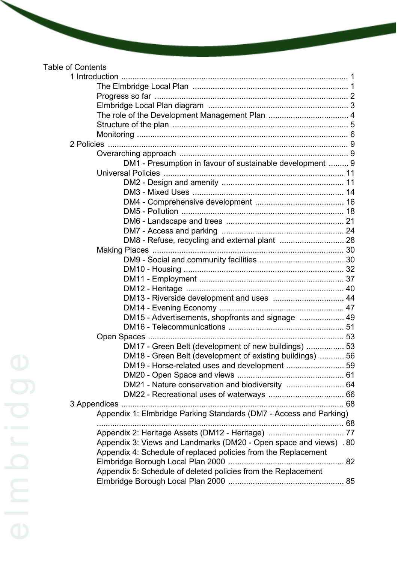| DM1 - Presumption in favour of sustainable development  9          |  |
|--------------------------------------------------------------------|--|
|                                                                    |  |
|                                                                    |  |
|                                                                    |  |
|                                                                    |  |
|                                                                    |  |
|                                                                    |  |
|                                                                    |  |
|                                                                    |  |
|                                                                    |  |
|                                                                    |  |
|                                                                    |  |
|                                                                    |  |
|                                                                    |  |
| DM13 - Riverside development and uses  44                          |  |
|                                                                    |  |
| DM15 - Advertisements, shopfronts and signage  49                  |  |
|                                                                    |  |
|                                                                    |  |
| DM17 - Green Belt (development of new buildings)  53               |  |
| DM18 - Green Belt (development of existing buildings)  56          |  |
| DM19 - Horse-related uses and development  59                      |  |
|                                                                    |  |
|                                                                    |  |
|                                                                    |  |
|                                                                    |  |
| Appendix 1: Elmbridge Parking Standards (DM7 - Access and Parking) |  |
|                                                                    |  |
| Appendix 2: Heritage Assets (DM12 - Heritage)  77                  |  |
| Appendix 3: Views and Landmarks (DM20 - Open space and views) . 80 |  |
| Appendix 4: Schedule of replaced policies from the Replacement     |  |
|                                                                    |  |
| Appendix 5: Schedule of deleted policies from the Replacement      |  |
|                                                                    |  |
|                                                                    |  |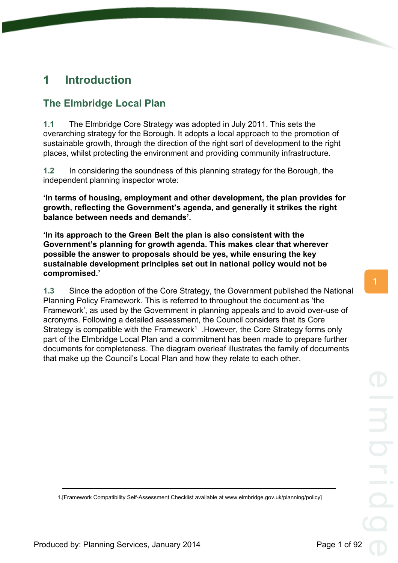# <span id="page-6-1"></span><span id="page-6-0"></span>**The Elmbridge Local Plan**

**1.1** The Elmbridge Core Strategy was adopted in July 2011. This sets the overarching strategy for the Borough. It adopts a local approach to the promotion of sustainable growth, through the direction of the right sort of development to the right places, whilst protecting the environment and providing community infrastructure.

**1.2** In considering the soundness of this planning strategy for the Borough, the independent planning inspector wrote:

**'In terms of housing, employment and other development, the plan provides for growth, reflecting the Government's agenda, and generally it strikes the right balance between needs and demands'.**

**'In its approach to the Green Belt the plan is also consistent with the Government's planning for growth agenda. This makes clear that wherever possible the answer to proposals should be yes, while ensuring the key sustainable development principles set out in national policy would not be compromised.'**

**1.3** Since the adoption of the Core Strategy, the Government published the National Planning Policy Framework. This is referred to throughout the document as 'the Framework', as used by the Government in planning appeals and to avoid over-use of acronyms. Following a detailed assessment, the Council considers that its Core Strategy is compatible with the Framework<sup>1</sup>. However, the Core Strategy forms only part of the Elmbridge Local Plan and a commitment has been made to prepare further documents for completeness. The diagram overleaf illustrates the family of documents that make up the Council's Local Plan and how they relate to each other.

<sup>1.[</sup>Framework Compatibility Self-Assessment Checklist available at www.elmbridge.gov.uk/planning/policy]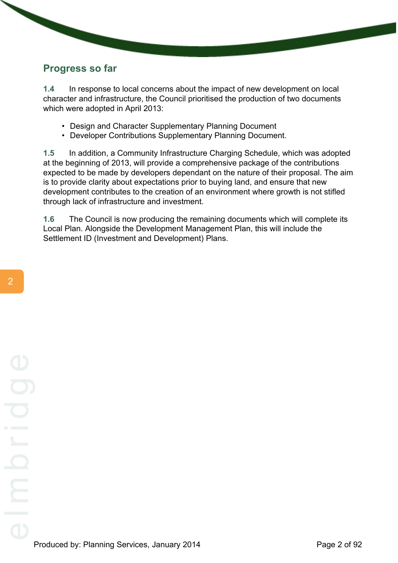### <span id="page-7-0"></span>**Progress so far**

**1.4** In response to local concerns about the impact of new development on local character and infrastructure, the Council prioritised the production of two documents which were adopted in April 2013:

- Design and Character Supplementary Planning Document
- Developer Contributions Supplementary Planning Document.

**1.5** In addition, a Community Infrastructure Charging Schedule, which was adopted at the beginning of 2013, will provide a comprehensive package of the contributions expected to be made by developers dependant on the nature of their proposal. The aim is to provide clarity about expectations prior to buying land, and ensure that new development contributes to the creation of an environment where growth is not stifled through lack of infrastructure and investment.

**1.6** The Council is now producing the remaining documents which will complete its Local Plan. Alongside the Development Management Plan, this will include the Settlement ID (Investment and Development) Plans.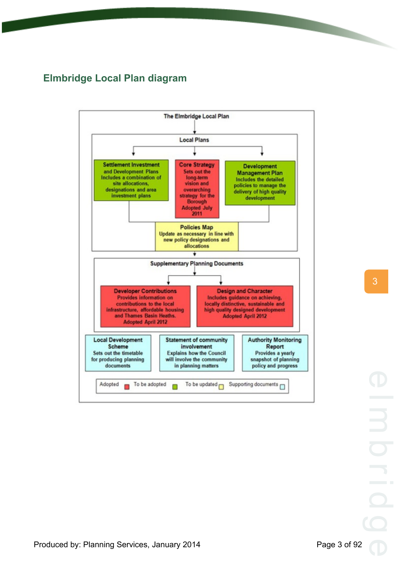# <span id="page-8-0"></span>**Elmbridge Local Plan diagram**

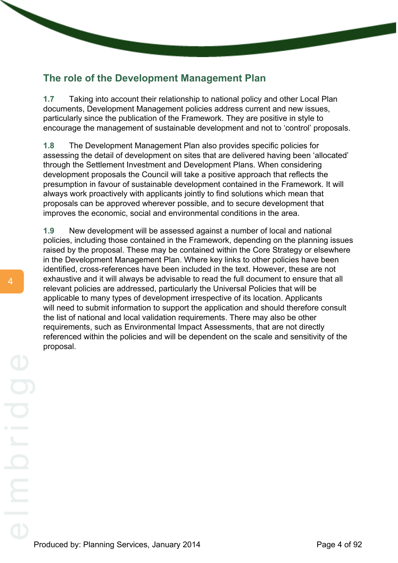# <span id="page-9-0"></span>**The role of the Development Management Plan**

**1.7** Taking into account their relationship to national policy and other Local Plan documents, Development Management policies address current and new issues, particularly since the publication of the Framework. They are positive in style to encourage the management of sustainable development and not to 'control' proposals.

**1.8** The Development Management Plan also provides specific policies for assessing the detail of development on sites that are delivered having been 'allocated' through the Settlement Investment and Development Plans. When considering development proposals the Council will take a positive approach that reflects the presumption in favour of sustainable development contained in the Framework. It will always work proactively with applicants jointly to find solutions which mean that proposals can be approved wherever possible, and to secure development that improves the economic, social and environmental conditions in the area.

**1.9** New development will be assessed against a number of local and national policies, including those contained in the Framework, depending on the planning issues raised by the proposal. These may be contained within the Core Strategy or elsewhere in the Development Management Plan. Where key links to other policies have been identified, cross-references have been included in the text. However, these are not exhaustive and it will always be advisable to read the full document to ensure that all relevant policies are addressed, particularly the Universal Policies that will be applicable to many types of development irrespective of its location. Applicants will need to submit information to support the application and should therefore consult the list of national and local validation requirements. There may also be other requirements, such as Environmental Impact Assessments, that are not directly referenced within the policies and will be dependent on the scale and sensitivity of the proposal.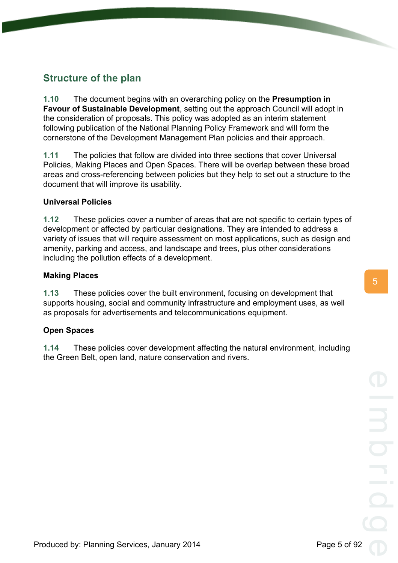# <span id="page-10-0"></span>**Structure of the plan**

**1.10** The document begins with an overarching policy on the **Presumption in Favour of Sustainable Development**, setting out the approach Council will adopt in the consideration of proposals. This policy was adopted as an interim statement following publication of the National Planning Policy Framework and will form the cornerstone of the Development Management Plan policies and their approach.

**1.11** The policies that follow are divided into three sections that cover Universal Policies, Making Places and Open Spaces. There will be overlap between these broad areas and cross-referencing between policies but they help to set out a structure to the document that will improve its usability.

### **Universal Policies**

**1.12** These policies cover a number of areas that are not specific to certain types of development or affected by particular designations. They are intended to address a variety of issues that will require assessment on most applications, such as design and amenity, parking and access, and landscape and trees, plus other considerations including the pollution effects of a development.

### **Making Places**

**1.13** These policies cover the built environment, focusing on development that supports housing, social and community infrastructure and employment uses, as well as proposals for advertisements and telecommunications equipment.

### **Open Spaces**

**1.14** These policies cover development affecting the natural environment, including the Green Belt, open land, nature conservation and rivers.

5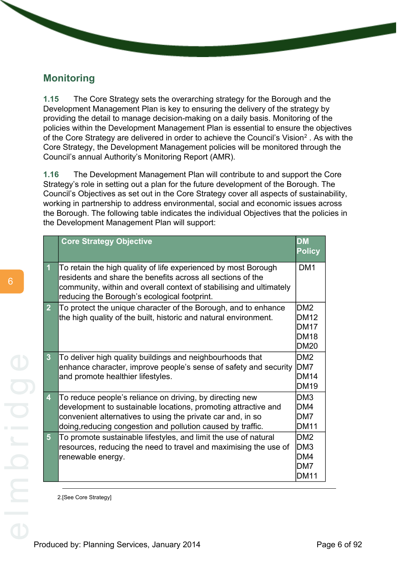## <span id="page-11-0"></span>**Monitoring**

**1.15** The Core Strategy sets the overarching strategy for the Borough and the Development Management Plan is key to ensuring the delivery of the strategy by providing the detail to manage decision-making on a daily basis. Monitoring of the policies within the Development Management Plan is essential to ensure the objectives of the Core Strategy are delivered in order to achieve the Council's Vision<sup>2</sup>. As with the Core Strategy, the Development Management policies will be monitored through the Council's annual Authority's Monitoring Report (AMR).

**1.16** The Development Management Plan will contribute to and support the Core Strategy's role in setting out a plan for the future development of the Borough. The Council's Objectives as set out in the Core Strategy cover all aspects of sustainability, working in partnership to address environmental, social and economic issues across the Borough. The following table indicates the individual Objectives that the policies in the Development Management Plan will support:

|                         | <b>Core Strategy Objective</b>                                                                                                                                                                                                                           | <b>DM</b><br><b>Policy</b>                                     |
|-------------------------|----------------------------------------------------------------------------------------------------------------------------------------------------------------------------------------------------------------------------------------------------------|----------------------------------------------------------------|
| $\overline{1}$          | To retain the high quality of life experienced by most Borough<br>residents and share the benefits across all sections of the<br>community, within and overall context of stabilising and ultimately<br>reducing the Borough's ecological footprint.     | DM <sub>1</sub>                                                |
| $\overline{2}$          | To protect the unique character of the Borough, and to enhance<br>the high quality of the built, historic and natural environment.                                                                                                                       | DM <sub>2</sub><br><b>DM12</b><br>DM17<br>IDM18<br><b>DM20</b> |
| $\overline{3}$          | To deliver high quality buildings and neighbourhoods that<br>enhance character, improve people's sense of safety and security DM7<br>and promote healthier lifestyles.                                                                                   | DM <sub>2</sub><br>DM14<br><b>DM19</b>                         |
| $\overline{\mathbf{4}}$ | To reduce people's reliance on driving, by directing new<br>development to sustainable locations, promoting attractive and<br>convenient alternatives to using the private car and, in so<br>doing, reducing congestion and pollution caused by traffic. | DM <sub>3</sub><br>IDM4<br>DM7<br><b>DM11</b>                  |
| 5 <sup>5</sup>          | To promote sustainable lifestyles, and limit the use of natural<br>resources, reducing the need to travel and maximising the use of<br>renewable energy.                                                                                                 | IDM2<br>IDM3<br>IDM4<br><b>DM7</b><br><b>DM11</b>              |

2.[See Core Strategy]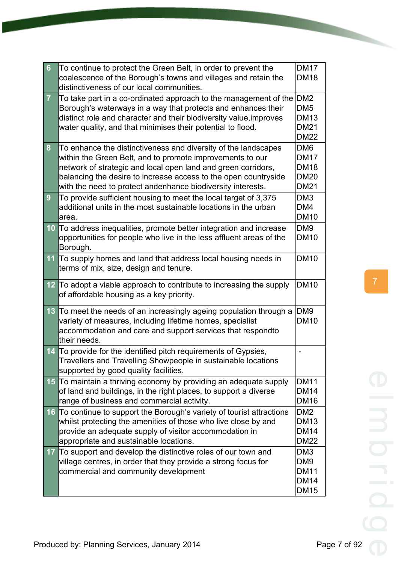| $6\phantom{1}6$  | To continue to protect the Green Belt, in order to prevent the<br>coalescence of the Borough's towns and villages and retain the<br>distinctiveness of our local communities.                                                                                                                                                  | <b>DM17</b><br><b>DM18</b>                                                       |
|------------------|--------------------------------------------------------------------------------------------------------------------------------------------------------------------------------------------------------------------------------------------------------------------------------------------------------------------------------|----------------------------------------------------------------------------------|
| $\overline{7}$   | To take part in a co-ordinated approach to the management of the<br>Borough's waterways in a way that protects and enhances their<br>distinct role and character and their biodiversity value, improves<br>water quality, and that minimises their potential to flood.                                                         | IDM <sub>2</sub><br>DM <sub>5</sub><br><b>DM13</b><br><b>DM21</b><br><b>DM22</b> |
| 8                | To enhance the distinctiveness and diversity of the landscapes<br>within the Green Belt, and to promote improvements to our<br>network of strategic and local open land and green corridors,<br>balancing the desire to increase access to the open countryside<br>with the need to protect andenhance biodiversity interests. | DM6<br><b>DM17</b><br><b>DM18</b><br><b>DM20</b><br><b>DM21</b>                  |
| $\boldsymbol{9}$ | To provide sufficient housing to meet the local target of 3,375<br>additional units in the most sustainable locations in the urban<br>area.                                                                                                                                                                                    | DM3<br>DM4<br><b>DM10</b>                                                        |
| 10               | To address inequalities, promote better integration and increase<br>opportunities for people who live in the less affluent areas of the<br>Borough.                                                                                                                                                                            | DM9<br><b>DM10</b>                                                               |
| 11               | To supply homes and land that address local housing needs in<br>terms of mix, size, design and tenure.                                                                                                                                                                                                                         | <b>DM10</b>                                                                      |
|                  | 12 To adopt a viable approach to contribute to increasing the supply<br>of affordable housing as a key priority.                                                                                                                                                                                                               | <b>DM10</b>                                                                      |
| 13               | To meet the needs of an increasingly ageing population through a<br>variety of measures, including lifetime homes, specialist<br>accommodation and care and support services that respondto<br>their needs.                                                                                                                    | DM9<br><b>DM10</b>                                                               |
| 14               | To provide for the identified pitch requirements of Gypsies,<br>Travellers and Travelling Showpeople in sustainable locations<br>supported by good quality facilities.                                                                                                                                                         | $\overline{\phantom{0}}$                                                         |
|                  | 15 To maintain a thriving economy by providing an adequate supply<br>of land and buildings, in the right places, to support a diverse<br>range of business and commercial activity.                                                                                                                                            | <b>DM11</b><br><b>DM14</b><br><b>DM16</b>                                        |
|                  | 16 To continue to support the Borough's variety of tourist attractions<br>whilst protecting the amenities of those who live close by and<br>provide an adequate supply of visitor accommodation in<br>appropriate and sustainable locations.                                                                                   | DM <sub>2</sub><br><b>DM13</b><br><b>DM14</b><br><b>DM22</b>                     |
| 17               | To support and develop the distinctive roles of our town and<br>village centres, in order that they provide a strong focus for<br>commercial and community development                                                                                                                                                         | DM3<br>DM9<br><b>DM11</b><br><b>DM14</b><br><b>DM15</b>                          |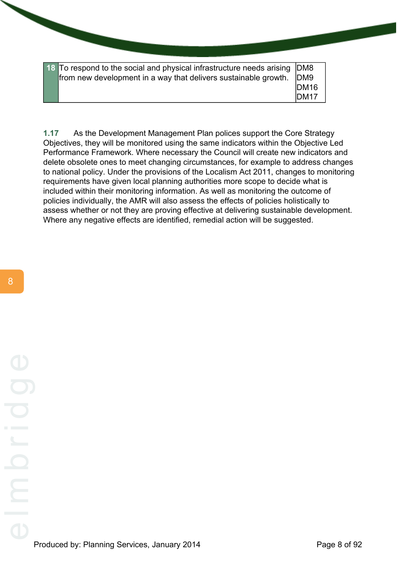**18** To respond to the social and physical infrastructure needs arising from new development in a way that delivers sustainable growth. DM<sub>8</sub> DM9 DM16 DM17

**1.17** As the Development Management Plan polices support the Core Strategy Objectives, they will be monitored using the same indicators within the Objective Led Performance Framework. Where necessary the Council will create new indicators and delete obsolete ones to meet changing circumstances, for example to address changes to national policy. Under the provisions of the Localism Act 2011, changes to monitoring requirements have given local planning authorities more scope to decide what is included within their monitoring information. As well as monitoring the outcome of policies individually, the AMR will also assess the effects of policies holistically to assess whether or not they are proving effective at delivering sustainable development. Where any negative effects are identified, remedial action will be suggested.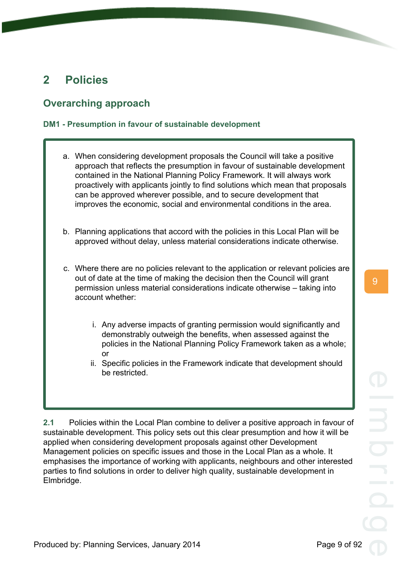9

# <span id="page-14-0"></span>**2 Policies**

# <span id="page-14-1"></span>**Overarching approach**

### <span id="page-14-2"></span>**DM1 - Presumption in favour of sustainable development**

- a. When considering development proposals the Council will take a positive approach that reflects the presumption in favour of sustainable development contained in the National Planning Policy Framework. It will always work proactively with applicants jointly to find solutions which mean that proposals can be approved wherever possible, and to secure development that improves the economic, social and environmental conditions in the area.
- b. Planning applications that accord with the policies in this Local Plan will be approved without delay, unless material considerations indicate otherwise.
- c. Where there are no policies relevant to the application or relevant policies are out of date at the time of making the decision then the Council will grant permission unless material considerations indicate otherwise – taking into account whether:
	- i. Any adverse impacts of granting permission would significantly and demonstrably outweigh the benefits, when assessed against the policies in the National Planning Policy Framework taken as a whole; or
	- ii. Specific policies in the Framework indicate that development should be restricted.

**2.1** Policies within the Local Plan combine to deliver a positive approach in favour of sustainable development. This policy sets out this clear presumption and how it will be applied when considering development proposals against other Development Management policies on specific issues and those in the Local Plan as a whole. It emphasises the importance of working with applicants, neighbours and other interested parties to find solutions in order to deliver high quality, sustainable development in Elmbridge.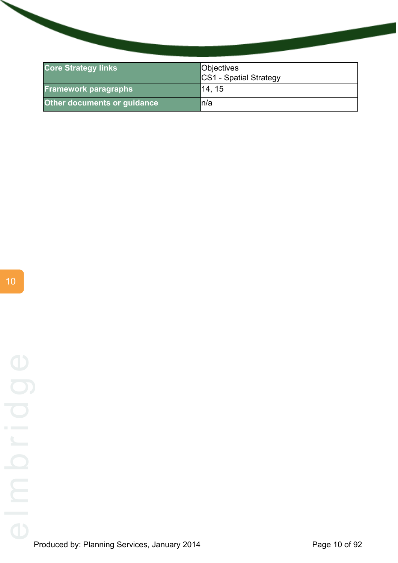| <b>Core Strategy links</b>  | Objectives<br>CS1 - Spatial Strategy |
|-----------------------------|--------------------------------------|
| <b>Framework paragraphs</b> | 14, 15                               |
| Other documents or guidance | ln/a                                 |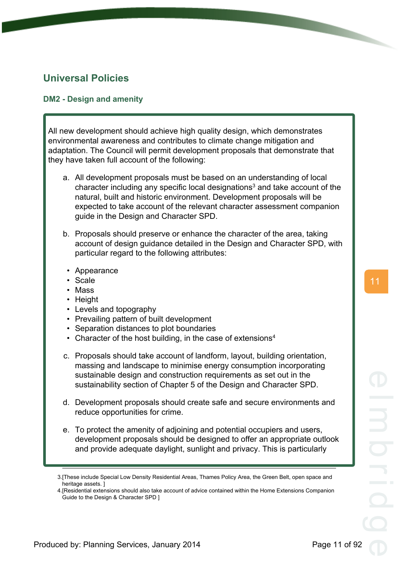# <span id="page-16-0"></span>**Universal Policies**

### <span id="page-16-1"></span>**DM2 - Design and amenity**

All new development should achieve high quality design, which demonstrates environmental awareness and contributes to climate change mitigation and adaptation. The Council will permit development proposals that demonstrate that they have taken full account of the following:

- a. All development proposals must be based on an understanding of local character including any specific local designations<sup>3</sup> and take account of the natural, built and historic environment. Development proposals will be expected to take account of the relevant character assessment companion guide in the Design and Character SPD.
- b. Proposals should preserve or enhance the character of the area, taking account of design guidance detailed in the Design and Character SPD, with particular regard to the following attributes:
	- Appearance
	- Scale
	- Mass
	- Height
	- Levels and topography
	- Prevailing pattern of built development
	- Separation distances to plot boundaries
	- Character of the host building, in the case of extensions<sup>4</sup>
- c. Proposals should take account of landform, layout, building orientation, massing and landscape to minimise energy consumption incorporating sustainable design and construction requirements as set out in the sustainability section of Chapter 5 of the Design and Character SPD.
- d. Development proposals should create safe and secure environments and reduce opportunities for crime.
- e. To protect the amenity of adjoining and potential occupiers and users, development proposals should be designed to offer an appropriate outlook and provide adequate daylight, sunlight and privacy. This is particularly

<sup>3.[</sup>These include Special Low Density Residential Areas, Thames Policy Area, the Green Belt, open space and heritage assets. ]

<sup>4.[</sup>Residential extensions should also take account of advice contained within the Home Extensions Companion Guide to the Design & Character SPD ]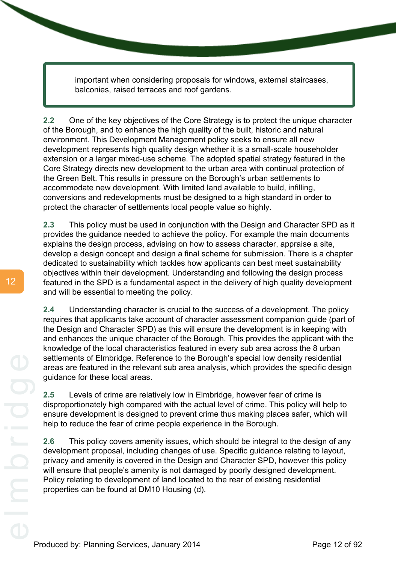important when considering proposals for windows, external staircases, balconies, raised terraces and roof gardens.

**2.2** One of the key objectives of the Core Strategy is to protect the unique character of the Borough, and to enhance the high quality of the built, historic and natural environment. This Development Management policy seeks to ensure all new development represents high quality design whether it is a small-scale householder extension or a larger mixed-use scheme. The adopted spatial strategy featured in the Core Strategy directs new development to the urban area with continual protection of the Green Belt. This results in pressure on the Borough's urban settlements to accommodate new development. With limited land available to build, infilling, conversions and redevelopments must be designed to a high standard in order to protect the character of settlements local people value so highly.

**2.3** This policy must be used in conjunction with the Design and Character SPD as it provides the guidance needed to achieve the policy. For example the main documents explains the design process, advising on how to assess character, appraise a site, develop a design concept and design a final scheme for submission. There is a chapter dedicated to sustainability which tackles how applicants can best meet sustainability objectives within their development. Understanding and following the design process featured in the SPD is a fundamental aspect in the delivery of high quality development and will be essential to meeting the policy.

**2.4** Understanding character is crucial to the success of a development. The policy requires that applicants take account of character assessment companion guide (part of the Design and Character SPD) as this will ensure the development is in keeping with and enhances the unique character of the Borough. This provides the applicant with the knowledge of the local characteristics featured in every sub area across the 8 urban settlements of Elmbridge. Reference to the Borough's special low density residential areas are featured in the relevant sub area analysis, which provides the specific design guidance for these local areas.

**2.5** Levels of crime are relatively low in Elmbridge, however fear of crime is disproportionately high compared with the actual level of crime. This policy will help to ensure development is designed to prevent crime thus making places safer, which will help to reduce the fear of crime people experience in the Borough.

**2.6** This policy covers amenity issues, which should be integral to the design of any development proposal, including changes of use. Specific guidance relating to layout, privacy and amenity is covered in the Design and Character SPD, however this policy will ensure that people's amenity is not damaged by poorly designed development. Policy relating to development of land located to the rear of existing residential properties can be found at DM10 Housing (d).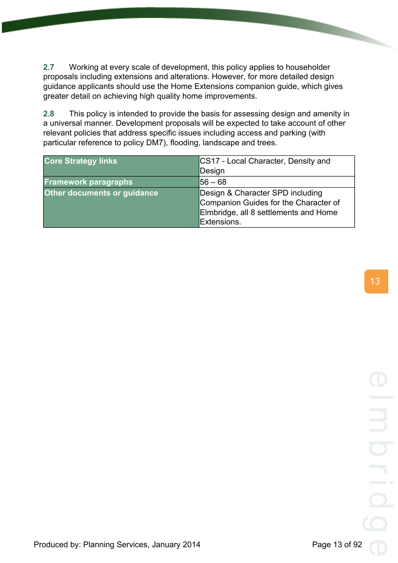**2.7** Working at every scale of development, this policy applies to householder proposals including extensions and alterations. However, for more detailed design guidance applicants should use the Home Extensions companion guide, which gives greater detail on achieving high quality home improvements.

**2.8** This policy is intended to provide the basis for assessing design and amenity in a universal manner. Development proposals will be expected to take account of other relevant policies that address specific issues including access and parking (with particular reference to policy DM7), flooding, landscape and trees.

| <b>Core Strategy links</b>  | CS17 - Local Character, Density and<br>Design                                                                                     |
|-----------------------------|-----------------------------------------------------------------------------------------------------------------------------------|
| <b>Framework paragraphs</b> | l56 — 68                                                                                                                          |
| Other documents or guidance | Design & Character SPD including<br>Companion Guides for the Character of<br>Elmbridge, all 8 settlements and Home<br>Extensions. |

13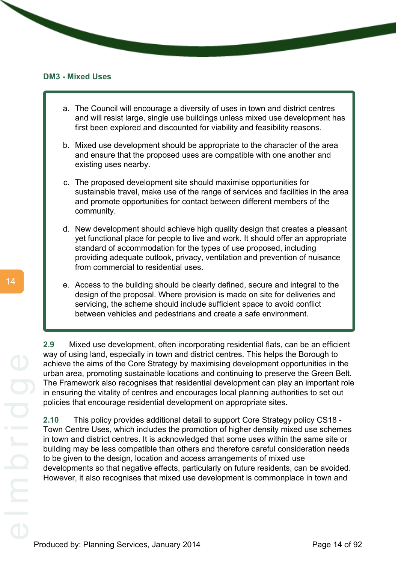#### <span id="page-19-0"></span>**DM3 - Mixed Uses**

- a. The Council will encourage a diversity of uses in town and district centres and will resist large, single use buildings unless mixed use development has first been explored and discounted for viability and feasibility reasons.
- b. Mixed use development should be appropriate to the character of the area and ensure that the proposed uses are compatible with one another and existing uses nearby.
- c. The proposed development site should maximise opportunities for sustainable travel, make use of the range of services and facilities in the area and promote opportunities for contact between different members of the community.
- d. New development should achieve high quality design that creates a pleasant yet functional place for people to live and work. It should offer an appropriate standard of accommodation for the types of use proposed, including providing adequate outlook, privacy, ventilation and prevention of nuisance from commercial to residential uses.
- e. Access to the building should be clearly defined, secure and integral to the design of the proposal. Where provision is made on site for deliveries and servicing, the scheme should include sufficient space to avoid conflict between vehicles and pedestrians and create a safe environment.

**2.9** Mixed use development, often incorporating residential flats, can be an efficient way of using land, especially in town and district centres. This helps the Borough to achieve the aims of the Core Strategy by maximising development opportunities in the urban area, promoting sustainable locations and continuing to preserve the Green Belt. The Framework also recognises that residential development can play an important role in ensuring the vitality of centres and encourages local planning authorities to set out policies that encourage residential development on appropriate sites.

**2.10** This policy provides additional detail to support Core Strategy policy CS18 - Town Centre Uses, which includes the promotion of higher density mixed use schemes in town and district centres. It is acknowledged that some uses within the same site or building may be less compatible than others and therefore careful consideration needs to be given to the design, location and access arrangements of mixed use developments so that negative effects, particularly on future residents, can be avoided. However, it also recognises that mixed use development is commonplace in town and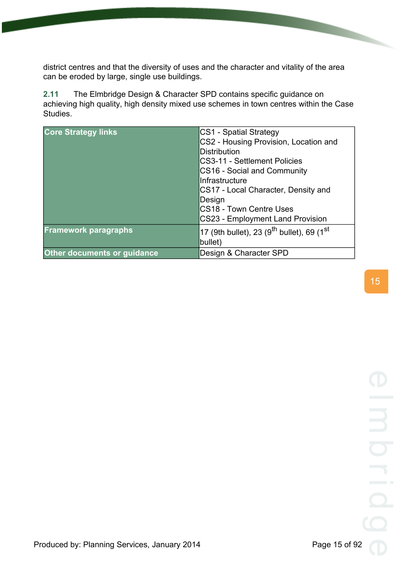district centres and that the diversity of uses and the character and vitality of the area can be eroded by large, single use buildings.

**2.11** The Elmbridge Design & Character SPD contains specific guidance on achieving high quality, high density mixed use schemes in town centres within the Case Studies.

| <b>Core Strategy links</b>         | CS1 - Spatial Strategy                                            |
|------------------------------------|-------------------------------------------------------------------|
|                                    | CS2 - Housing Provision, Location and                             |
|                                    | <b>Distribution</b>                                               |
|                                    | CS3-11 - Settlement Policies                                      |
|                                    | CS16 - Social and Community                                       |
|                                    | IInfrastructure                                                   |
|                                    | CS17 - Local Character, Density and                               |
|                                    | Design                                                            |
|                                    | <b>CS18 - Town Centre Uses</b>                                    |
|                                    | <b>CS23 - Employment Land Provision</b>                           |
| <b>Framework paragraphs</b>        | 17 (9th bullet), 23 (9 <sup>th</sup> bullet), 69 (1 <sup>st</sup> |
|                                    | bullet)                                                           |
| <b>Other documents or guidance</b> | Design & Character SPD                                            |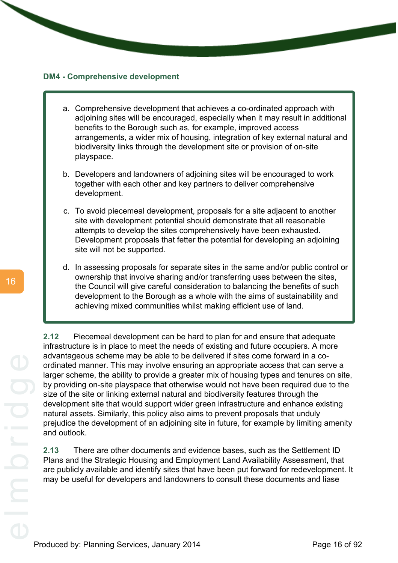#### <span id="page-21-0"></span>**DM4 - Comprehensive development**

- a. Comprehensive development that achieves a co-ordinated approach with adjoining sites will be encouraged, especially when it may result in additional benefits to the Borough such as, for example, improved access arrangements, a wider mix of housing, integration of key external natural and biodiversity links through the development site or provision of on-site playspace.
- b. Developers and landowners of adjoining sites will be encouraged to work together with each other and key partners to deliver comprehensive development.
- c. To avoid piecemeal development, proposals for a site adjacent to another site with development potential should demonstrate that all reasonable attempts to develop the sites comprehensively have been exhausted. Development proposals that fetter the potential for developing an adjoining site will not be supported.
- d. In assessing proposals for separate sites in the same and/or public control or ownership that involve sharing and/or transferring uses between the sites, the Council will give careful consideration to balancing the benefits of such development to the Borough as a whole with the aims of sustainability and achieving mixed communities whilst making efficient use of land.

**2.12** Piecemeal development can be hard to plan for and ensure that adequate infrastructure is in place to meet the needs of existing and future occupiers. A more advantageous scheme may be able to be delivered if sites come forward in a coordinated manner. This may involve ensuring an appropriate access that can serve a larger scheme, the ability to provide a greater mix of housing types and tenures on site, by providing on-site playspace that otherwise would not have been required due to the size of the site or linking external natural and biodiversity features through the development site that would support wider green infrastructure and enhance existing natural assets. Similarly, this policy also aims to prevent proposals that unduly prejudice the development of an adjoining site in future, for example by limiting amenity and outlook.

**2.13** There are other documents and evidence bases, such as the Settlement ID Plans and the Strategic Housing and Employment Land Availability Assessment, that are publicly available and identify sites that have been put forward for redevelopment. It may be useful for developers and landowners to consult these documents and liase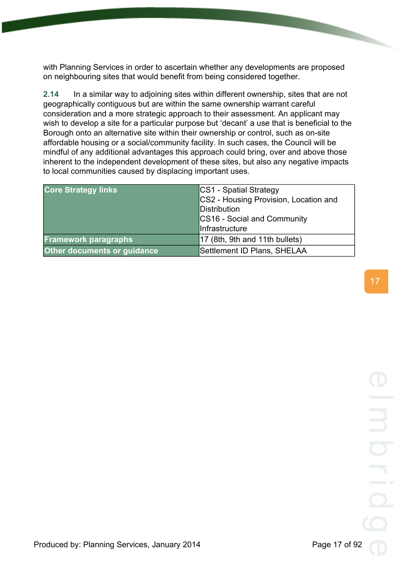with Planning Services in order to ascertain whether any developments are proposed on neighbouring sites that would benefit from being considered together.

**2.14** In a similar way to adjoining sites within different ownership, sites that are not geographically contiguous but are within the same ownership warrant careful consideration and a more strategic approach to their assessment. An applicant may wish to develop a site for a particular purpose but 'decant' a use that is beneficial to the Borough onto an alternative site within their ownership or control, such as on-site affordable housing or a social/community facility. In such cases, the Council will be mindful of any additional advantages this approach could bring, over and above those inherent to the independent development of these sites, but also any negative impacts to local communities caused by displacing important uses.

| <b>Core Strategy links</b>         | CS1 - Spatial Strategy<br>CS2 - Housing Provision, Location and<br>Distribution<br>CS16 - Social and Community<br>Infrastructure |
|------------------------------------|----------------------------------------------------------------------------------------------------------------------------------|
| <b>Framework paragraphs</b>        | 17 (8th, 9th and 11th bullets)                                                                                                   |
| <b>Other documents or guidance</b> | Settlement ID Plans, SHELAA                                                                                                      |

17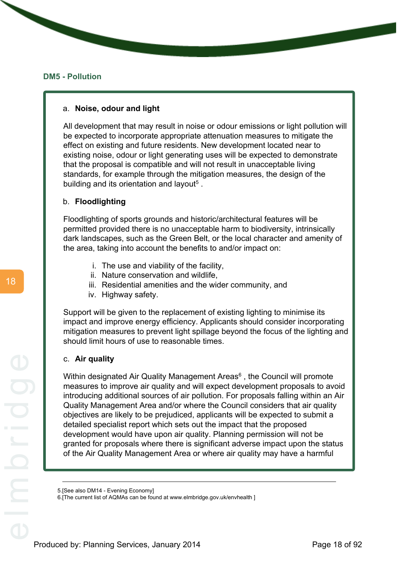#### <span id="page-23-0"></span>**DM5 - Pollution**

#### a. **Noise, odour and light**

All development that may result in noise or odour emissions or light pollution will be expected to incorporate appropriate attenuation measures to mitigate the effect on existing and future residents. New development located near to existing noise, odour or light generating uses will be expected to demonstrate that the proposal is compatible and will not result in unacceptable living standards, for example through the mitigation measures, the design of the building and its orientation and layout<sup>5</sup>.

### b. **Floodlighting**

Floodlighting of sports grounds and historic/architectural features will be permitted provided there is no unacceptable harm to biodiversity, intrinsically dark landscapes, such as the Green Belt, or the local character and amenity of the area, taking into account the benefits to and/or impact on:

- i. The use and viability of the facility,
- ii. Nature conservation and wildlife,
- iii. Residential amenities and the wider community, and
- iv. Highway safety.

Support will be given to the replacement of existing lighting to minimise its impact and improve energy efficiency. Applicants should consider incorporating mitigation measures to prevent light spillage beyond the focus of the lighting and should limit hours of use to reasonable times.

#### c. **Air quality**

Within designated Air Quality Management Areas<sup>6</sup>, the Council will promote measures to improve air quality and will expect development proposals to avoid introducing additional sources of air pollution. For proposals falling within an Air Quality Management Area and/or where the Council considers that air quality objectives are likely to be prejudiced, applicants will be expected to submit a detailed specialist report which sets out the impact that the proposed development would have upon air quality. Planning permission will not be granted for proposals where there is significant adverse impact upon the status of the Air Quality Management Area or where air quality may have a harmful

<sup>5.[</sup>See also DM14 - Evening Economy]

<sup>6.[</sup>The current list of AQMAs can be found at www.elmbridge.gov.uk/envhealth ]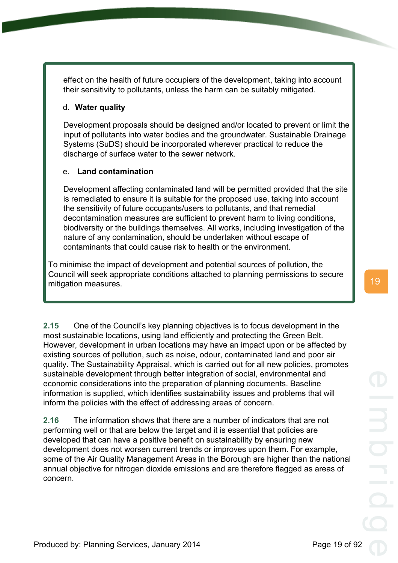effect on the health of future occupiers of the development, taking into account their sensitivity to pollutants, unless the harm can be suitably mitigated.

### d. **Water quality**

Development proposals should be designed and/or located to prevent or limit the input of pollutants into water bodies and the groundwater. Sustainable Drainage Systems (SuDS) should be incorporated wherever practical to reduce the discharge of surface water to the sewer network.

### e. **Land contamination**

Development affecting contaminated land will be permitted provided that the site is remediated to ensure it is suitable for the proposed use, taking into account the sensitivity of future occupants/users to pollutants, and that remedial decontamination measures are sufficient to prevent harm to living conditions, biodiversity or the buildings themselves. All works, including investigation of the nature of any contamination, should be undertaken without escape of contaminants that could cause risk to health or the environment.

To minimise the impact of development and potential sources of pollution, the Council will seek appropriate conditions attached to planning permissions to secure mitigation measures.

**2.15** One of the Council's key planning objectives is to focus development in the most sustainable locations, using land efficiently and protecting the Green Belt. However, development in urban locations may have an impact upon or be affected by existing sources of pollution, such as noise, odour, contaminated land and poor air quality. The Sustainability Appraisal, which is carried out for all new policies, promotes sustainable development through better integration of social, environmental and economic considerations into the preparation of planning documents. Baseline information is supplied, which identifies sustainability issues and problems that will inform the policies with the effect of addressing areas of concern.

**2.16** The information shows that there are a number of indicators that are not performing well or that are below the target and it is essential that policies are developed that can have a positive benefit on sustainability by ensuring new development does not worsen current trends or improves upon them. For example, some of the Air Quality Management Areas in the Borough are higher than the national annual objective for nitrogen dioxide emissions and are therefore flagged as areas of concern.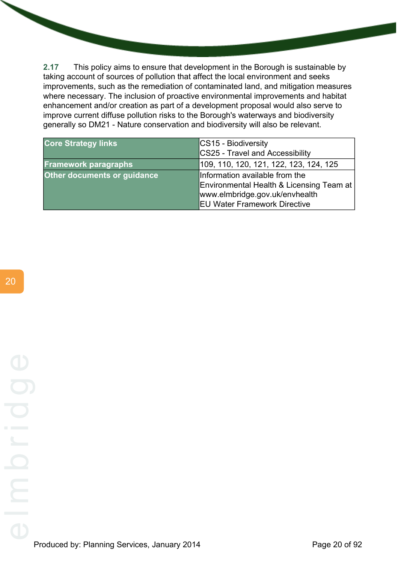**2.17** This policy aims to ensure that development in the Borough is sustainable by taking account of sources of pollution that affect the local environment and seeks improvements, such as the remediation of contaminated land, and mitigation measures where necessary. The inclusion of proactive environmental improvements and habitat enhancement and/or creation as part of a development proposal would also serve to improve current diffuse pollution risks to the Borough's waterways and biodiversity generally so DM21 - Nature conservation and biodiversity will also be relevant.

| <b>Core Strategy links</b>         | CS15 - Biodiversity                                                                                                                                 |
|------------------------------------|-----------------------------------------------------------------------------------------------------------------------------------------------------|
|                                    | CS25 - Travel and Accessibility                                                                                                                     |
| <b>Framework paragraphs</b>        | 109, 110, 120, 121, 122, 123, 124, 125                                                                                                              |
| <b>Other documents or guidance</b> | Information available from the<br>Environmental Health & Licensing Team at<br>www.elmbridge.gov.uk/envhealth<br><b>EU Water Framework Directive</b> |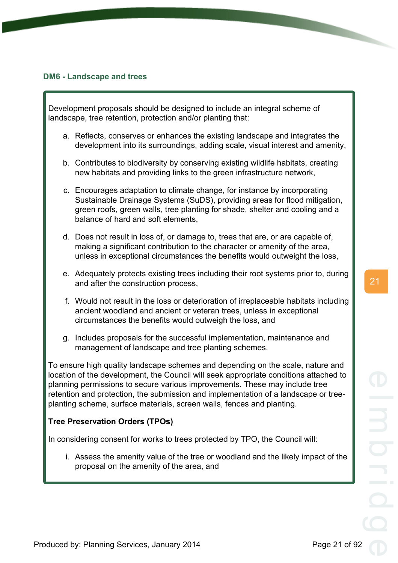#### <span id="page-26-0"></span>**DM6 - Landscape and trees**

Development proposals should be designed to include an integral scheme of landscape, tree retention, protection and/or planting that:

- a. Reflects, conserves or enhances the existing landscape and integrates the development into its surroundings, adding scale, visual interest and amenity,
- b. Contributes to biodiversity by conserving existing wildlife habitats, creating new habitats and providing links to the green infrastructure network,
- c. Encourages adaptation to climate change, for instance by incorporating Sustainable Drainage Systems (SuDS), providing areas for flood mitigation, green roofs, green walls, tree planting for shade, shelter and cooling and a balance of hard and soft elements,
- d. Does not result in loss of, or damage to, trees that are, or are capable of, making a significant contribution to the character or amenity of the area, unless in exceptional circumstances the benefits would outweight the loss,
- e. Adequately protects existing trees including their root systems prior to, during and after the construction process,
- f. Would not result in the loss or deterioration of irreplaceable habitats including ancient woodland and ancient or veteran trees, unless in exceptional circumstances the benefits would outweigh the loss, and
- g. Includes proposals for the successful implementation, maintenance and management of landscape and tree planting schemes.

To ensure high quality landscape schemes and depending on the scale, nature and location of the development, the Council will seek appropriate conditions attached to planning permissions to secure various improvements. These may include tree retention and protection, the submission and implementation of a landscape or treeplanting scheme, surface materials, screen walls, fences and planting.

### **Tree Preservation Orders (TPOs)**

In considering consent for works to trees protected by TPO, the Council will:

i. Assess the amenity value of the tree or woodland and the likely impact of the proposal on the amenity of the area, and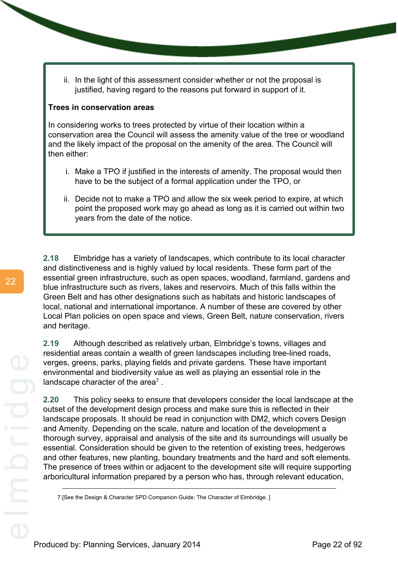ii. In the light of this assessment consider whether or not the proposal is justified, having regard to the reasons put forward in support of it.

#### **Trees in conservation areas**

In considering works to trees protected by virtue of their location within a conservation area the Council will assess the amenity value of the tree or woodland and the likely impact of the proposal on the amenity of the area. The Council will then either:

- i. Make a TPO if justified in the interests of amenity. The proposal would then have to be the subject of a formal application under the TPO, or
- ii. Decide not to make a TPO and allow the six week period to expire, at which point the proposed work may go ahead as long as it is carried out within two years from the date of the notice.

**2.18** Elmbridge has a variety of landscapes, which contribute to its local character and distinctiveness and is highly valued by local residents. These form part of the essential green infrastructure, such as open spaces, woodland, farmland, gardens and blue infrastructure such as rivers, lakes and reservoirs. Much of this falls within the Green Belt and has other designations such as habitats and historic landscapes of local, national and international importance. A number of these are covered by other Local Plan policies on open space and views, Green Belt, nature conservation, rivers and heritage.

**2.19** Although described as relatively urban, Elmbridge's towns, villages and residential areas contain a wealth of green landscapes including tree-lined roads, verges, greens, parks, playing fields and private gardens. These have important environmental and biodiversity value as well as playing an essential role in the landscape character of the area<sup>7</sup>.

**2.20** This policy seeks to ensure that developers consider the local landscape at the outset of the development design process and make sure this is reflected in their landscape proposals. It should be read in conjunction with DM2, which covers Design and Amenity. Depending on the scale, nature and location of the development a thorough survey, appraisal and analysis of the site and its surroundings will usually be essential. Consideration should be given to the retention of existing trees, hedgerows and other features, new planting, boundary treatments and the hard and soft elements. The presence of trees within or adjacent to the development site will require supporting arboricultural information prepared by a person who has, through relevant education,

<sup>7.[</sup>See the Design & Character SPD Companion Guide: The Character of Elmbridge. ]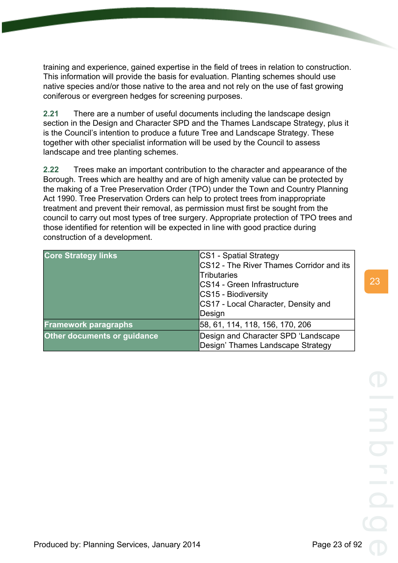training and experience, gained expertise in the field of trees in relation to construction. This information will provide the basis for evaluation. Planting schemes should use native species and/or those native to the area and not rely on the use of fast growing coniferous or evergreen hedges for screening purposes.

**2.21** There are a number of useful documents including the landscape design section in the Design and Character SPD and the Thames Landscape Strategy, plus it is the Council's intention to produce a future Tree and Landscape Strategy. These together with other specialist information will be used by the Council to assess landscape and tree planting schemes.

**2.22** Trees make an important contribution to the character and appearance of the Borough. Trees which are healthy and are of high amenity value can be protected by the making of a Tree Preservation Order (TPO) under the Town and Country Planning Act 1990. Tree Preservation Orders can help to protect trees from inappropriate treatment and prevent their removal, as permission must first be sought from the council to carry out most types of tree surgery. Appropriate protection of TPO trees and those identified for retention will be expected in line with good practice during construction of a development.

| <b>Core Strategy links</b>         | CS1 - Spatial Strategy<br>CS12 - The River Thames Corridor and its<br><b>Tributaries</b> |
|------------------------------------|------------------------------------------------------------------------------------------|
|                                    | CS14 - Green Infrastructure<br>CS15 - Biodiversity                                       |
|                                    | CS17 - Local Character, Density and<br>Design                                            |
| <b>Framework paragraphs</b>        | 58, 61, 114, 118, 156, 170, 206                                                          |
| <b>Other documents or guidance</b> | Design and Character SPD 'Landscape<br>Design' Thames Landscape Strategy                 |

Produced by: Planning Services, January 2014 **Produced by: Page 23 of 92**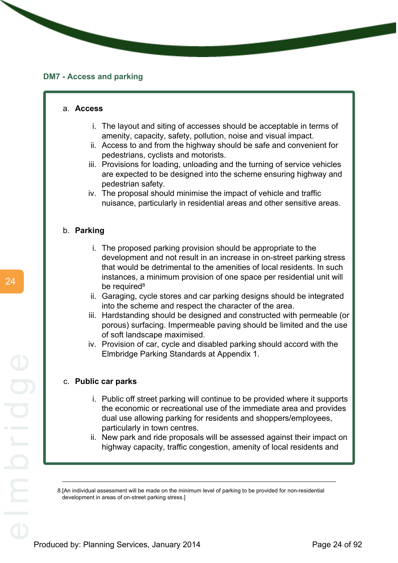#### <span id="page-29-0"></span>**DM7 - Access and parking**

#### a. **Access**

- i. The layout and siting of accesses should be acceptable in terms of amenity, capacity, safety, pollution, noise and visual impact.
- ii. Access to and from the highway should be safe and convenient for pedestrians, cyclists and motorists.
- iii. Provisions for loading, unloading and the turning of service vehicles are expected to be designed into the scheme ensuring highway and pedestrian safety.
- iv. The proposal should minimise the impact of vehicle and traffic nuisance, particularly in residential areas and other sensitive areas.

### b. **Parking**

- i. The proposed parking provision should be appropriate to the development and not result in an increase in on-street parking stress that would be detrimental to the amenities of local residents. In such instances, a minimum provision of one space per residential unit will be required<sup>8</sup>
- ii. Garaging, cycle stores and car parking designs should be integrated into the scheme and respect the character of the area.
- iii. Hardstanding should be designed and constructed with permeable (or porous) surfacing. Impermeable paving should be limited and the use of soft landscape maximised.
- iv. Provision of car, cycle and disabled parking should accord with the Elmbridge Parking Standards at Appendix 1.

#### c. **Public car parks**

- i. Public off street parking will continue to be provided where it supports the economic or recreational use of the immediate area and provides dual use allowing parking for residents and shoppers/employees, particularly in town centres.
- ii. New park and ride proposals will be assessed against their impact on highway capacity, traffic congestion, amenity of local residents and

<sup>8.[</sup>An individual assessment will be made on the minimum level of parking to be provided for non-residential development in areas of on-street parking stress.]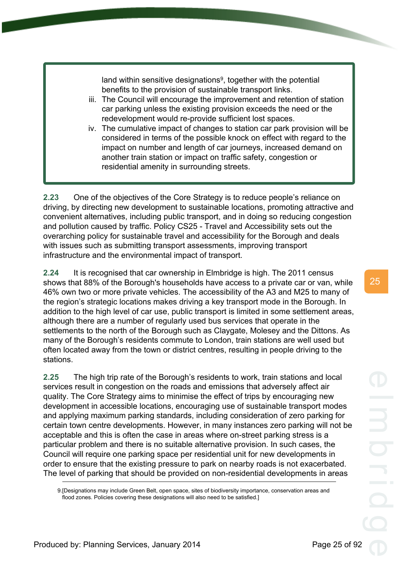land within sensitive designations<sup>9</sup>, together with the potential benefits to the provision of sustainable transport links.

- iii. The Council will encourage the improvement and retention of station car parking unless the existing provision exceeds the need or the redevelopment would re-provide sufficient lost spaces.
- iv. The cumulative impact of changes to station car park provision will be considered in terms of the possible knock on effect with regard to the impact on number and length of car journeys, increased demand on another train station or impact on traffic safety, congestion or residential amenity in surrounding streets.

**2.23** One of the objectives of the Core Strategy is to reduce people's reliance on driving, by directing new development to sustainable locations, promoting attractive and convenient alternatives, including public transport, and in doing so reducing congestion and pollution caused by traffic. Policy CS25 - Travel and Accessibility sets out the overarching policy for sustainable travel and accessibility for the Borough and deals with issues such as submitting transport assessments, improving transport infrastructure and the environmental impact of transport.

**2.24** It is recognised that car ownership in Elmbridge is high. The 2011 census shows that 88% of the Borough's households have access to a private car or van, while 46% own two or more private vehicles. The accessibility of the A3 and M25 to many of the region's strategic locations makes driving a key transport mode in the Borough. In addition to the high level of car use, public transport is limited in some settlement areas, although there are a number of regularly used bus services that operate in the settlements to the north of the Borough such as Claygate, Molesey and the Dittons. As many of the Borough's residents commute to London, train stations are well used but often located away from the town or district centres, resulting in people driving to the stations.

**2.25** The high trip rate of the Borough's residents to work, train stations and local services result in congestion on the roads and emissions that adversely affect air quality. The Core Strategy aims to minimise the effect of trips by encouraging new development in accessible locations, encouraging use of sustainable transport modes and applying maximum parking standards, including consideration of zero parking for certain town centre developments. However, in many instances zero parking will not be acceptable and this is often the case in areas where on-street parking stress is a particular problem and there is no suitable alternative provision. In such cases, the Council will require one parking space per residential unit for new developments in order to ensure that the existing pressure to park on nearby roads is not exacerbated. The level of parking that should be provided on non-residential developments in areas

9.[Designations may include Green Belt, open space, sites of biodiversity importance, conservation areas and flood zones. Policies covering these designations will also need to be satisfied.]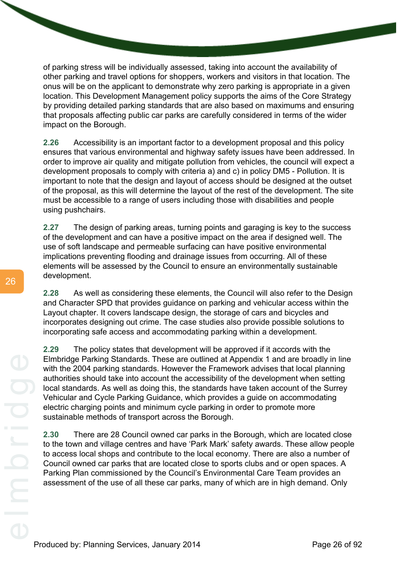of parking stress will be individually assessed, taking into account the availability of other parking and travel options for shoppers, workers and visitors in that location. The onus will be on the applicant to demonstrate why zero parking is appropriate in a given location. This Development Management policy supports the aims of the Core Strategy by providing detailed parking standards that are also based on maximums and ensuring that proposals affecting public car parks are carefully considered in terms of the wider impact on the Borough.

**2.26** Accessibility is an important factor to a development proposal and this policy ensures that various environmental and highway safety issues have been addressed. In order to improve air quality and mitigate pollution from vehicles, the council will expect a development proposals to comply with criteria a) and c) in policy DM5 - Pollution. It is important to note that the design and layout of access should be designed at the outset of the proposal, as this will determine the layout of the rest of the development. The site must be accessible to a range of users including those with disabilities and people using pushchairs.

**2.27** The design of parking areas, turning points and garaging is key to the success of the development and can have a positive impact on the area if designed well. The use of soft landscape and permeable surfacing can have positive environmental implications preventing flooding and drainage issues from occurring. All of these elements will be assessed by the Council to ensure an environmentally sustainable development.

**2.28** As well as considering these elements, the Council will also refer to the Design and Character SPD that provides guidance on parking and vehicular access within the Layout chapter. It covers landscape design, the storage of cars and bicycles and incorporates designing out crime. The case studies also provide possible solutions to incorporating safe access and accommodating parking within a development.

**2.29** The policy states that development will be approved if it accords with the Elmbridge Parking Standards. These are outlined at Appendix 1 and are broadly in line with the 2004 parking standards. However the Framework advises that local planning authorities should take into account the accessibility of the development when setting local standards. As well as doing this, the standards have taken account of the Surrey Vehicular and Cycle Parking Guidance, which provides a guide on accommodating electric charging points and minimum cycle parking in order to promote more sustainable methods of transport across the Borough.

**2.30** There are 28 Council owned car parks in the Borough, which are located close to the town and village centres and have 'Park Mark' safety awards. These allow people to access local shops and contribute to the local economy. There are also a number of Council owned car parks that are located close to sports clubs and or open spaces. A Parking Plan commissioned by the Council's Environmental Care Team provides an assessment of the use of all these car parks, many of which are in high demand. Only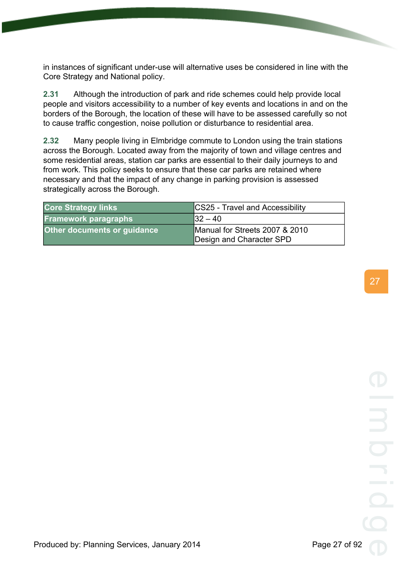in instances of significant under-use will alternative uses be considered in line with the Core Strategy and National policy.

**2.31** Although the introduction of park and ride schemes could help provide local people and visitors accessibility to a number of key events and locations in and on the borders of the Borough, the location of these will have to be assessed carefully so not to cause traffic congestion, noise pollution or disturbance to residential area.

**2.32** Many people living in Elmbridge commute to London using the train stations across the Borough. Located away from the majority of town and village centres and some residential areas, station car parks are essential to their daily journeys to and from work. This policy seeks to ensure that these car parks are retained where necessary and that the impact of any change in parking provision is assessed strategically across the Borough.

| <b>Core Strategy links</b>  | <b>CS25 - Travel and Accessibility</b> |
|-----------------------------|----------------------------------------|
| <b>Framework paragraphs</b> | $ 32 - 40 $                            |
| Other documents or guidance | Manual for Streets 2007 & 2010         |
|                             | Design and Character SPD               |

27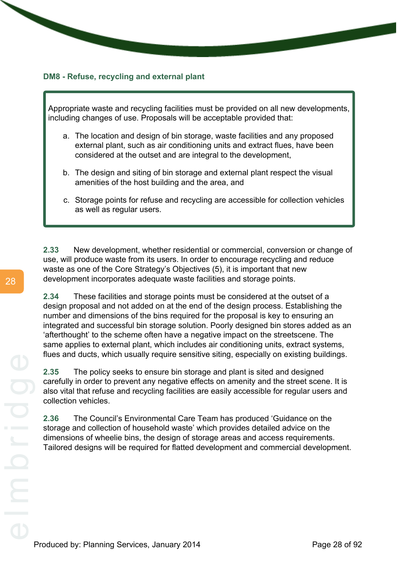### <span id="page-33-0"></span>**DM8 - Refuse, recycling and external plant**

Appropriate waste and recycling facilities must be provided on all new developments, including changes of use. Proposals will be acceptable provided that:

- a. The location and design of bin storage, waste facilities and any proposed external plant, such as air conditioning units and extract flues, have been considered at the outset and are integral to the development,
- b. The design and siting of bin storage and external plant respect the visual amenities of the host building and the area, and
- c. Storage points for refuse and recycling are accessible for collection vehicles as well as regular users.

**2.33** New development, whether residential or commercial, conversion or change of use, will produce waste from its users. In order to encourage recycling and reduce waste as one of the Core Strategy's Objectives (5), it is important that new development incorporates adequate waste facilities and storage points.

**2.34** These facilities and storage points must be considered at the outset of a design proposal and not added on at the end of the design process. Establishing the number and dimensions of the bins required for the proposal is key to ensuring an integrated and successful bin storage solution. Poorly designed bin stores added as an 'afterthought' to the scheme often have a negative impact on the streetscene. The same applies to external plant, which includes air conditioning units, extract systems, flues and ducts, which usually require sensitive siting, especially on existing buildings.

**2.35** The policy seeks to ensure bin storage and plant is sited and designed carefully in order to prevent any negative effects on amenity and the street scene. It is also vital that refuse and recycling facilities are easily accessible for regular users and collection vehicles.

**2.36** The Council's Environmental Care Team has produced 'Guidance on the storage and collection of household waste' which provides detailed advice on the dimensions of wheelie bins, the design of storage areas and access requirements. Tailored designs will be required for flatted development and commercial development.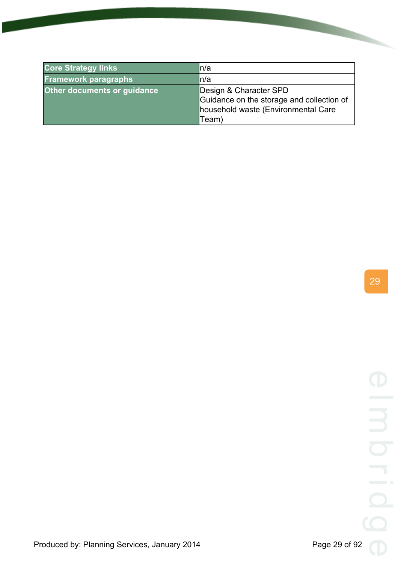| <b>Core Strategy links</b>  | ln/a                                                                                                                |
|-----------------------------|---------------------------------------------------------------------------------------------------------------------|
| <b>Framework paragraphs</b> | ln/a                                                                                                                |
| Other documents or guidance | Design & Character SPD<br>Guidance on the storage and collection of<br>household waste (Environmental Care<br>Team) |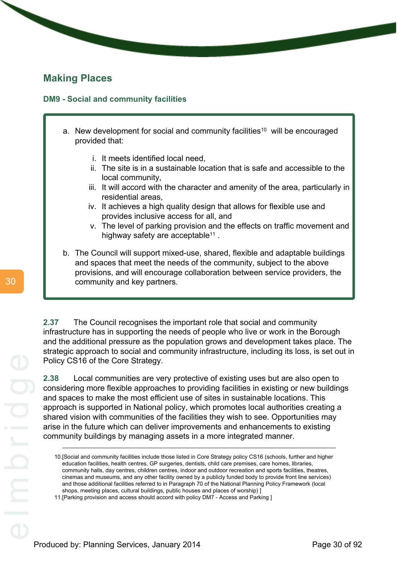### <span id="page-35-0"></span>**Making Places**

### <span id="page-35-1"></span>**DM9 - Social and community facilities**

- a. New development for social and community facilities<sup>10</sup> will be encouraged provided that:
	- i. It meets identified local need,
	- ii. The site is in a sustainable location that is safe and accessible to the local community,
	- iii. It will accord with the character and amenity of the area, particularly in residential areas,
	- iv. It achieves a high quality design that allows for flexible use and provides inclusive access for all, and
	- v. The level of parking provision and the effects on traffic movement and highway safety are acceptable<sup>11</sup>.
- b. The Council will support mixed-use, shared, flexible and adaptable buildings and spaces that meet the needs of the community, subject to the above provisions, and will encourage collaboration between service providers, the community and key partners.

**2.37** The Council recognises the important role that social and community infrastructure has in supporting the needs of people who live or work in the Borough and the additional pressure as the population grows and development takes place. The strategic approach to social and community infrastructure, including its loss, is set out in Policy CS16 of the Core Strategy.

**2.38** Local communities are very protective of existing uses but are also open to considering more flexible approaches to providing facilities in existing or new buildings and spaces to make the most efficient use of sites in sustainable locations. This approach is supported in National policy, which promotes local authorities creating a shared vision with communities of the facilities they wish to see. Opportunities may arise in the future which can deliver improvements and enhancements to existing community buildings by managing assets in a more integrated manner.

<sup>10.[</sup>Social and community facilities include those listed in Core Strategy policy CS16 (schools, further and higher education facilities, health centres, GP surgeries, dentists, child care premises, care homes, libraries, community halls, day centres, children centres, indoor and outdoor recreation and sports facilities, theatres, cinemas and museums, and any other facility owned by a publicly funded body to provide front line services) and those additional facilities referred to in Paragraph 70 of the National Planning Policy Framework (local shops, meeting places, cultural buildings, public houses and places of worship) ]

<sup>11.[</sup>Parking provision and access should accord with policy DM7 - Access and Parking ]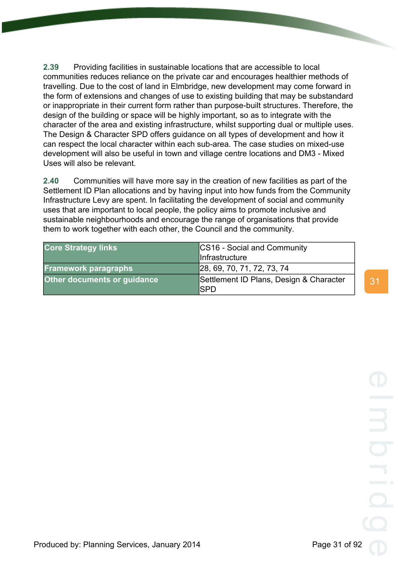**2.39** Providing facilities in sustainable locations that are accessible to local communities reduces reliance on the private car and encourages healthier methods of travelling. Due to the cost of land in Elmbridge, new development may come forward in the form of extensions and changes of use to existing building that may be substandard or inappropriate in their current form rather than purpose-built structures. Therefore, the design of the building or space will be highly important, so as to integrate with the character of the area and existing infrastructure, whilst supporting dual or multiple uses. The Design & Character SPD offers guidance on all types of development and how it can respect the local character within each sub-area. The case studies on mixed-use development will also be useful in town and village centre locations and DM3 - Mixed Uses will also be relevant.

**2.40** Communities will have more say in the creation of new facilities as part of the Settlement ID Plan allocations and by having input into how funds from the Community Infrastructure Levy are spent. In facilitating the development of social and community uses that are important to local people, the policy aims to promote inclusive and sustainable neighbourhoods and encourage the range of organisations that provide them to work together with each other, the Council and the community.

| <b>Core Strategy links</b>  | CS16 - Social and Community<br>Infrastructure          |
|-----------------------------|--------------------------------------------------------|
| <b>Framework paragraphs</b> | 28, 69, 70, 71, 72, 73, 74                             |
| Other documents or guidance | Settlement ID Plans, Design & Character<br><b>ISPD</b> |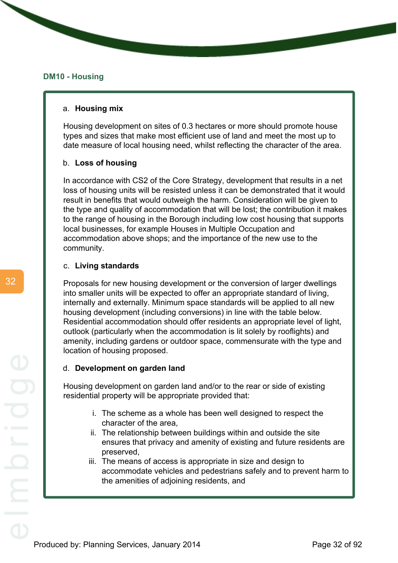#### **DM10 - Housing**

#### a. **Housing mix**

Housing development on sites of 0.3 hectares or more should promote house types and sizes that make most efficient use of land and meet the most up to date measure of local housing need, whilst reflecting the character of the area.

#### b. **Loss of housing**

In accordance with CS2 of the Core Strategy, development that results in a net loss of housing units will be resisted unless it can be demonstrated that it would result in benefits that would outweigh the harm. Consideration will be given to the type and quality of accommodation that will be lost; the contribution it makes to the range of housing in the Borough including low cost housing that supports local businesses, for example Houses in Multiple Occupation and accommodation above shops; and the importance of the new use to the community.

#### c. **Living standards**

Proposals for new housing development or the conversion of larger dwellings into smaller units will be expected to offer an appropriate standard of living, internally and externally. Minimum space standards will be applied to all new housing development (including conversions) in line with the table below. Residential accommodation should offer residents an appropriate level of light, outlook (particularly when the accommodation is lit solely by rooflights) and amenity, including gardens or outdoor space, commensurate with the type and location of housing proposed.

#### d. **Development on garden land**

Housing development on garden land and/or to the rear or side of existing residential property will be appropriate provided that:

- i. The scheme as a whole has been well designed to respect the character of the area,
- ii. The relationship between buildings within and outside the site ensures that privacy and amenity of existing and future residents are preserved,
- iii. The means of access is appropriate in size and design to accommodate vehicles and pedestrians safely and to prevent harm to the amenities of adjoining residents, and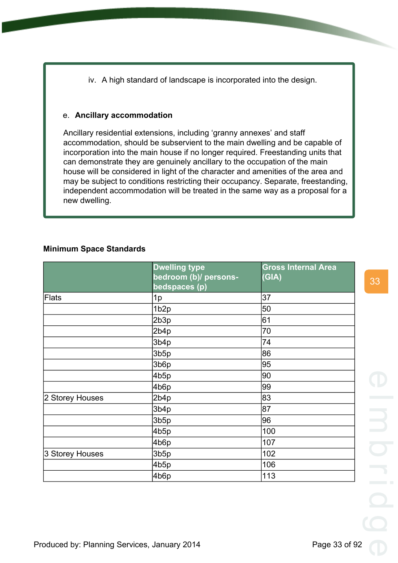iv. A high standard of landscape is incorporated into the design.

# e. **Ancillary accommodation**

Ancillary residential extensions, including 'granny annexes' and staff accommodation, should be subservient to the main dwelling and be capable of incorporation into the main house if no longer required. Freestanding units that can demonstrate they are genuinely ancillary to the occupation of the main house will be considered in light of the character and amenities of the area and may be subject to conditions restricting their occupancy. Separate, freestanding, independent accommodation will be treated in the same way as a proposal for a new dwelling.

# **Minimum Space Standards**

|                 | <b>Dwelling type</b><br>bedroom (b)/ persons-<br>bedspaces (p) | <b>Gross Internal Area</b><br>(GIA) |
|-----------------|----------------------------------------------------------------|-------------------------------------|
| Flats           | 1p                                                             | 37                                  |
|                 | 1b <sub>2p</sub>                                               | 50                                  |
|                 | 2b3p                                                           | 61                                  |
|                 | 2b4p                                                           | 70                                  |
|                 | 3b4p                                                           | 74                                  |
|                 | 3b5p                                                           | 86                                  |
|                 | 3b6p                                                           | 95                                  |
|                 | 4b5p                                                           | 90                                  |
|                 | 4b6p                                                           | 99                                  |
| 2 Storey Houses | 2b4p                                                           | 83                                  |
|                 | 3b4p                                                           | 87                                  |
|                 | 3b5p                                                           | 96                                  |
|                 | 4b5p                                                           | 100                                 |
|                 | 4b6p                                                           | 107                                 |
| 3 Storey Houses | 3b5p                                                           | 102                                 |
|                 | 4b5p                                                           | 106                                 |
|                 | 4b6p                                                           | 113                                 |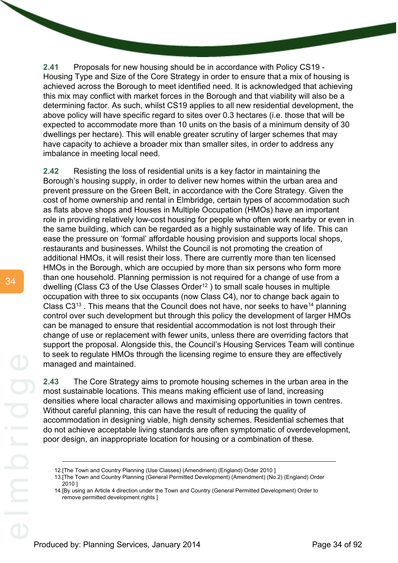**2.41** Proposals for new housing should be in accordance with Policy CS19 - Housing Type and Size of the Core Strategy in order to ensure that a mix of housing is achieved across the Borough to meet identified need. It is acknowledged that achieving this mix may conflict with market forces in the Borough and that viability will also be a determining factor. As such, whilst CS19 applies to all new residential development, the above policy will have specific regard to sites over 0.3 hectares (i.e. those that will be expected to accommodate more than 10 units on the basis of a minimum density of 30 dwellings per hectare). This will enable greater scrutiny of larger schemes that may have capacity to achieve a broader mix than smaller sites, in order to address any imbalance in meeting local need.

**2.42** Resisting the loss of residential units is a key factor in maintaining the Borough's housing supply, in order to deliver new homes within the urban area and prevent pressure on the Green Belt, in accordance with the Core Strategy. Given the cost of home ownership and rental in Elmbridge, certain types of accommodation such as flats above shops and Houses in Multiple Occupation (HMOs) have an important role in providing relatively low-cost housing for people who often work nearby or even in the same building, which can be regarded as a highly sustainable way of life. This can ease the pressure on 'formal' affordable housing provision and supports local shops, restaurants and businesses. Whilst the Council is not promoting the creation of additional HMOs, it will resist their loss. There are currently more than ten licensed HMOs in the Borough, which are occupied by more than six persons who form more than one household. Planning permission is not required for a change of use from a dwelling (Class C3 of the Use Classes Order<sup>12</sup>) to small scale houses in multiple occupation with three to six occupants (now Class C4), nor to change back again to Class  $C3^{13}$ . This means that the Council does not have, nor seeks to have<sup>14</sup> planning control over such development but through this policy the development of larger HMOs can be managed to ensure that residential accommodation is not lost through their change of use or replacement with fewer units, unless there are overriding factors that support the proposal. Alongside this, the Council's Housing Services Team will continue to seek to regulate HMOs through the licensing regime to ensure they are effectively managed and maintained.

**2.43** The Core Strategy aims to promote housing schemes in the urban area in the most sustainable locations. This means making efficient use of land, increasing densities where local character allows and maximising opportunities in town centres. Without careful planning, this can have the result of reducing the quality of accommodation in designing viable, high density schemes. Residential schemes that do not achieve acceptable living standards are often symptomatic of overdevelopment, poor design, an inappropriate location for housing or a combination of these.

<sup>12.[</sup>The Town and Country Planning (Use Classes) (Amendment) (England) Order 2010 ]

<sup>13.[</sup>The Town and Country Planning (General Permitted Development) (Amendment) (No.2) (England) Order 2010 ]

<sup>14.[</sup>By using an Article 4 direction under the Town and Country (General Permitted Development) Order to remove permitted development rights ]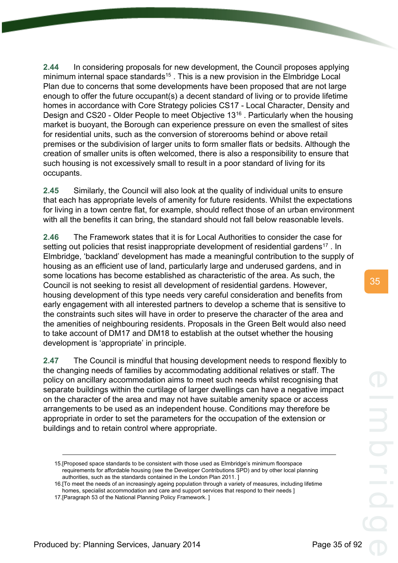**2.44** In considering proposals for new development, the Council proposes applying minimum internal space standards<sup>15</sup>. This is a new provision in the Elmbridge Local Plan due to concerns that some developments have been proposed that are not large enough to offer the future occupant(s) a decent standard of living or to provide lifetime homes in accordance with Core Strategy policies CS17 - Local Character, Density and Design and CS20 - Older People to meet Objective 13<sup>16</sup> . Particularly when the housing market is buoyant, the Borough can experience pressure on even the smallest of sites for residential units, such as the conversion of storerooms behind or above retail premises or the subdivision of larger units to form smaller flats or bedsits. Although the creation of smaller units is often welcomed, there is also a responsibility to ensure that such housing is not excessively small to result in a poor standard of living for its occupants.

**2.45** Similarly, the Council will also look at the quality of individual units to ensure that each has appropriate levels of amenity for future residents. Whilst the expectations for living in a town centre flat, for example, should reflect those of an urban environment with all the benefits it can bring, the standard should not fall below reasonable levels.

**2.46** The Framework states that it is for Local Authorities to consider the case for setting out policies that resist inappropriate development of residential gardens<sup>17</sup>. In Elmbridge, 'backland' development has made a meaningful contribution to the supply of housing as an efficient use of land, particularly large and underused gardens, and in some locations has become established as characteristic of the area. As such, the Council is not seeking to resist all development of residential gardens. However, housing development of this type needs very careful consideration and benefits from early engagement with all interested partners to develop a scheme that is sensitive to the constraints such sites will have in order to preserve the character of the area and the amenities of neighbouring residents. Proposals in the Green Belt would also need to take account of DM17 and DM18 to establish at the outset whether the housing development is 'appropriate' in principle.

**2.47** The Council is mindful that housing development needs to respond flexibly to the changing needs of families by accommodating additional relatives or staff. The policy on ancillary accommodation aims to meet such needs whilst recognising that separate buildings within the curtilage of larger dwellings can have a negative impact on the character of the area and may not have suitable amenity space or access arrangements to be used as an independent house. Conditions may therefore be appropriate in order to set the parameters for the occupation of the extension or buildings and to retain control where appropriate.

<sup>15.[</sup>Proposed space standards to be consistent with those used as Elmbridge's minimum floorspace requirements for affordable housing (see the Developer Contributions SPD) and by other local planning authorities, such as the standards contained in the London Plan 2011. ]

<sup>16.[</sup>To meet the needs of an increasingly ageing population through a variety of measures, including lifetime homes, specialist accommodation and care and support services that respond to their needs ]

<sup>17.[</sup>Paragraph 53 of the National Planning Policy Framework. ]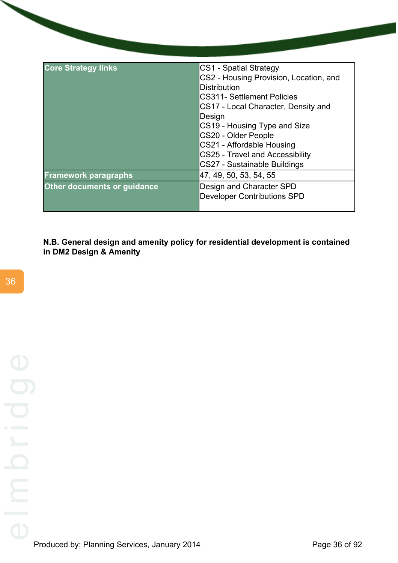| <b>Core Strategy links</b>  | CS1 - Spatial Strategy                 |
|-----------------------------|----------------------------------------|
|                             | CS2 - Housing Provision, Location, and |
|                             | <b>Distribution</b>                    |
|                             | <b>CS311- Settlement Policies</b>      |
|                             | CS17 - Local Character, Density and    |
|                             | Design                                 |
|                             | CS19 - Housing Type and Size           |
|                             | CS20 - Older People                    |
|                             | CS21 - Affordable Housing              |
|                             | <b>CS25 - Travel and Accessibility</b> |
|                             | CS27 - Sustainable Buildings           |
| <b>Framework paragraphs</b> | 47, 49, 50, 53, 54, 55                 |
| Other documents or guidance | Design and Character SPD               |
|                             | <b>Developer Contributions SPD</b>     |
|                             |                                        |

**N.B. General design and amenity policy for residential development is contained in DM2 Design & Amenity**

36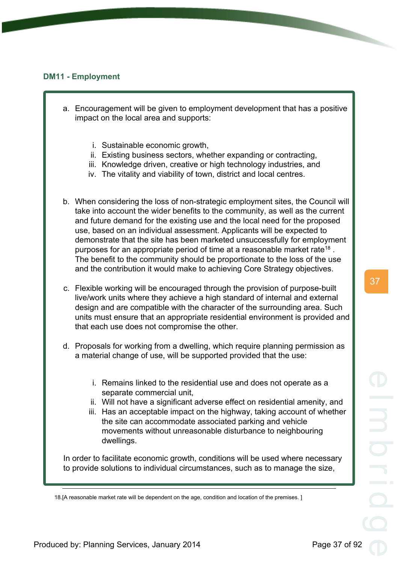## **DM11 - Employment**

- a. Encouragement will be given to employment development that has a positive impact on the local area and supports:
	- i. Sustainable economic growth,
	- ii. Existing business sectors, whether expanding or contracting,
	- iii. Knowledge driven, creative or high technology industries, and
	- iv. The vitality and viability of town, district and local centres.
- b. When considering the loss of non-strategic employment sites, the Council will take into account the wider benefits to the community, as well as the current and future demand for the existing use and the local need for the proposed use, based on an individual assessment. Applicants will be expected to demonstrate that the site has been marketed unsuccessfully for employment purposes for an appropriate period of time at a reasonable market rate<sup>18</sup>. The benefit to the community should be proportionate to the loss of the use and the contribution it would make to achieving Core Strategy objectives.
- c. Flexible working will be encouraged through the provision of purpose-built live/work units where they achieve a high standard of internal and external design and are compatible with the character of the surrounding area. Such units must ensure that an appropriate residential environment is provided and that each use does not compromise the other.
- d. Proposals for working from a dwelling, which require planning permission as a material change of use, will be supported provided that the use:
	- i. Remains linked to the residential use and does not operate as a separate commercial unit,
	- ii. Will not have a significant adverse effect on residential amenity, and
	- iii. Has an acceptable impact on the highway, taking account of whether the site can accommodate associated parking and vehicle movements without unreasonable disturbance to neighbouring dwellings.

In order to facilitate economic growth, conditions will be used where necessary to provide solutions to individual circumstances, such as to manage the size,

<sup>18.[</sup>A reasonable market rate will be dependent on the age, condition and location of the premises. ]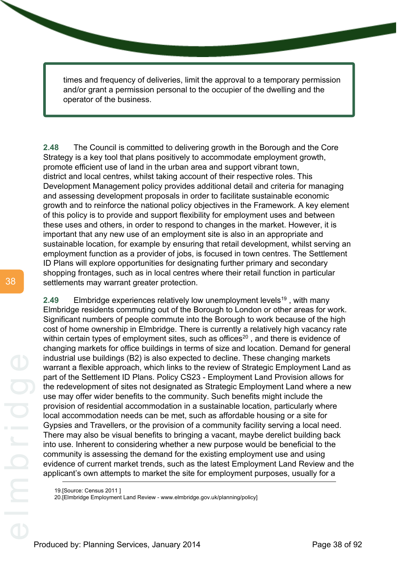times and frequency of deliveries, limit the approval to a temporary permission and/or grant a permission personal to the occupier of the dwelling and the operator of the business.

**2.48** The Council is committed to delivering growth in the Borough and the Core Strategy is a key tool that plans positively to accommodate employment growth, promote efficient use of land in the urban area and support vibrant town, district and local centres, whilst taking account of their respective roles. This Development Management policy provides additional detail and criteria for managing and assessing development proposals in order to facilitate sustainable economic growth and to reinforce the national policy objectives in the Framework. A key element of this policy is to provide and support flexibility for employment uses and between these uses and others, in order to respond to changes in the market. However, it is important that any new use of an employment site is also in an appropriate and sustainable location, for example by ensuring that retail development, whilst serving an employment function as a provider of jobs, is focused in town centres. The Settlement ID Plans will explore opportunities for designating further primary and secondary shopping frontages, such as in local centres where their retail function in particular settlements may warrant greater protection.

**2.49** Elmbridge experiences relatively low unemployment levels<sup>19</sup>, with many Elmbridge residents commuting out of the Borough to London or other areas for work. Significant numbers of people commute into the Borough to work because of the high cost of home ownership in Elmbridge. There is currently a relatively high vacancy rate within certain types of employment sites, such as offices<sup>20</sup>, and there is evidence of changing markets for office buildings in terms of size and location. Demand for general industrial use buildings (B2) is also expected to decline. These changing markets warrant a flexible approach, which links to the review of Strategic Employment Land as part of the Settlement ID Plans. Policy CS23 - Employment Land Provision allows for the redevelopment of sites not designated as Strategic Employment Land where a new use may offer wider benefits to the community. Such benefits might include the provision of residential accommodation in a sustainable location, particularly where local accommodation needs can be met, such as affordable housing or a site for Gypsies and Travellers, or the provision of a community facility serving a local need. There may also be visual benefits to bringing a vacant, maybe derelict building back into use. Inherent to considering whether a new purpose would be beneficial to the community is assessing the demand for the existing employment use and using evidence of current market trends, such as the latest Employment Land Review and the applicant's own attempts to market the site for employment purposes, usually for a

<sup>19.[</sup>Source: Census 2011 ]

<sup>20.[</sup>Elmbridge Employment Land Review - www.elmbridge.gov.uk/planning/policy]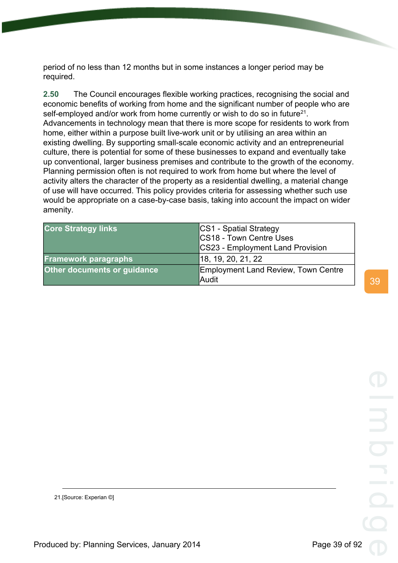period of no less than 12 months but in some instances a longer period may be required.

**2.50** The Council encourages flexible working practices, recognising the social and economic benefits of working from home and the significant number of people who are self-employed and/or work from home currently or wish to do so in future<sup>21</sup>. Advancements in technology mean that there is more scope for residents to work from home, either within a purpose built live-work unit or by utilising an area within an existing dwelling. By supporting small-scale economic activity and an entrepreneurial culture, there is potential for some of these businesses to expand and eventually take up conventional, larger business premises and contribute to the growth of the economy. Planning permission often is not required to work from home but where the level of activity alters the character of the property as a residential dwelling, a material change of use will have occurred. This policy provides criteria for assessing whether such use would be appropriate on a case-by-case basis, taking into account the impact on wider amenity.

| <b>Core Strategy links</b>  | CS1 - Spatial Strategy<br>CS18 - Town Centre Uses |
|-----------------------------|---------------------------------------------------|
|                             |                                                   |
|                             | CS23 - Employment Land Provision                  |
| <b>Framework paragraphs</b> | 18, 19, 20, 21, 22                                |
| Other documents or guidance | Employment Land Review, Town Centre<br>Audit      |

21.[Source: Experian ©]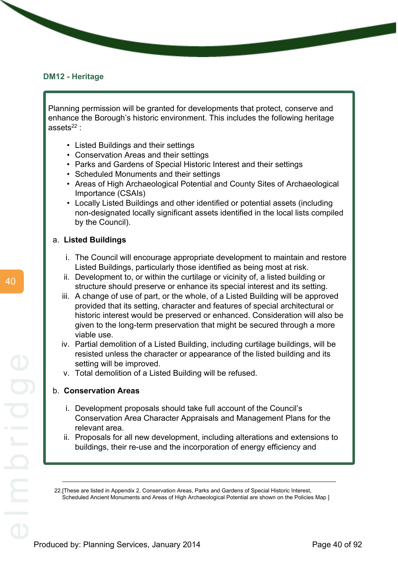#### **DM12 - Heritage**

Planning permission will be granted for developments that protect, conserve and enhance the Borough's historic environment. This includes the following heritage assets $22$  :

- Listed Buildings and their settings
- Conservation Areas and their settings
- Parks and Gardens of Special Historic Interest and their settings
- Scheduled Monuments and their settings
- Areas of High Archaeological Potential and County Sites of Archaeological Importance (CSAIs)
- Locally Listed Buildings and other identified or potential assets (including non-designated locally significant assets identified in the local lists compiled by the Council).

#### a. **Listed Buildings**

- i. The Council will encourage appropriate development to maintain and restore Listed Buildings, particularly those identified as being most at risk.
- ii. Development to, or within the curtilage or vicinity of, a listed building or structure should preserve or enhance its special interest and its setting.
- iii. A change of use of part, or the whole, of a Listed Building will be approved provided that its setting, character and features of special architectural or historic interest would be preserved or enhanced. Consideration will also be given to the long-term preservation that might be secured through a more viable use.
- iv. Partial demolition of a Listed Building, including curtilage buildings, will be resisted unless the character or appearance of the listed building and its setting will be improved.
- v. Total demolition of a Listed Building will be refused.

#### b. **Conservation Areas**

- i. Development proposals should take full account of the Council's Conservation Area Character Appraisals and Management Plans for the relevant area.
- ii. Proposals for all new development, including alterations and extensions to buildings, their re-use and the incorporation of energy efficiency and

<sup>22.[</sup>These are listed in Appendix 2. Conservation Areas, Parks and Gardens of Special Historic Interest, Scheduled Ancient Monuments and Areas of High Archaeological Potential are shown on the Policies Map ]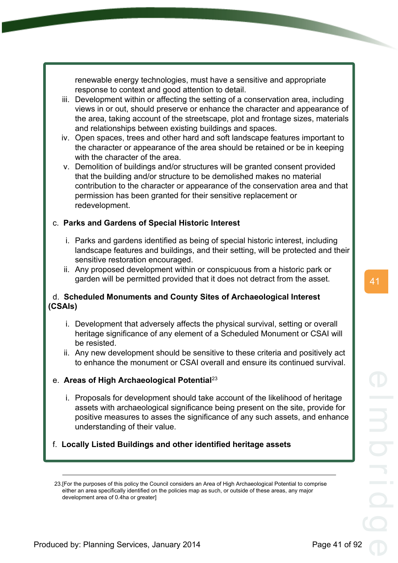renewable energy technologies, must have a sensitive and appropriate response to context and good attention to detail.

- iii. Development within or affecting the setting of a conservation area, including views in or out, should preserve or enhance the character and appearance of the area, taking account of the streetscape, plot and frontage sizes, materials and relationships between existing buildings and spaces.
- iv. Open spaces, trees and other hard and soft landscape features important to the character or appearance of the area should be retained or be in keeping with the character of the area.
- v. Demolition of buildings and/or structures will be granted consent provided that the building and/or structure to be demolished makes no material contribution to the character or appearance of the conservation area and that permission has been granted for their sensitive replacement or redevelopment.

# c. **Parks and Gardens of Special Historic Interest**

- i. Parks and gardens identified as being of special historic interest, including landscape features and buildings, and their setting, will be protected and their sensitive restoration encouraged.
- ii. Any proposed development within or conspicuous from a historic park or garden will be permitted provided that it does not detract from the asset.

# d. **Scheduled Monuments and County Sites of Archaeological Interest (CSAIs)**

- i. Development that adversely affects the physical survival, setting or overall heritage significance of any element of a Scheduled Monument or CSAI will be resisted.
- ii. Any new development should be sensitive to these criteria and positively act to enhance the monument or CSAI overall and ensure its continued survival.

# e. **Areas of High Archaeological Potential**<sup>23</sup>

- i. Proposals for development should take account of the likelihood of heritage assets with archaeological significance being present on the site, provide for positive measures to asses the significance of any such assets, and enhance understanding of their value.
- f. **Locally Listed Buildings and other identified heritage assets**

<sup>23.[</sup>For the purposes of this policy the Council considers an Area of High Archaeological Potential to comprise either an area specifically identified on the policies map as such, or outside of these areas, any major development area of 0.4ha or greater]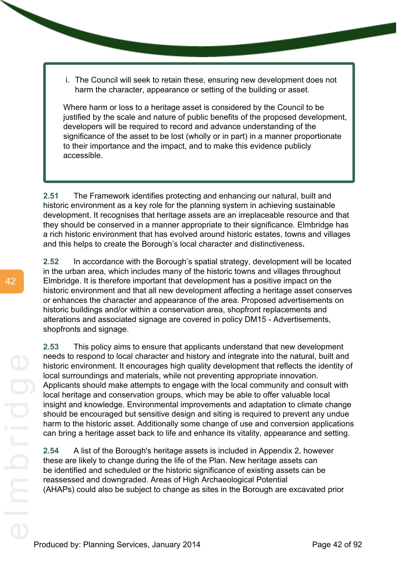i. The Council will seek to retain these, ensuring new development does not harm the character, appearance or setting of the building or asset.

Where harm or loss to a heritage asset is considered by the Council to be justified by the scale and nature of public benefits of the proposed development, developers will be required to record and advance understanding of the significance of the asset to be lost (wholly or in part) in a manner proportionate to their importance and the impact, and to make this evidence publicly accessible.

**2.51** The Framework identifies protecting and enhancing our natural, built and historic environment as a key role for the planning system in achieving sustainable development. It recognises that heritage assets are an irreplaceable resource and that they should be conserved in a manner appropriate to their significance. Elmbridge has a rich historic environment that has evolved around historic estates, towns and villages and this helps to create the Borough's local character and distinctiveness**.**

**2.52** In accordance with the Borough's spatial strategy, development will be located in the urban area, which includes many of the historic towns and villages throughout Elmbridge. It is therefore important that development has a positive impact on the historic environment and that all new development affecting a heritage asset conserves or enhances the character and appearance of the area. Proposed advertisements on historic buildings and/or within a conservation area, shopfront replacements and alterations and associated signage are covered in policy DM15 - Advertisements, shopfronts and signage.

**2.53** This policy aims to ensure that applicants understand that new development needs to respond to local character and history and integrate into the natural, built and historic environment. It encourages high quality development that reflects the identity of local surroundings and materials, while not preventing appropriate innovation. Applicants should make attempts to engage with the local community and consult with local heritage and conservation groups, which may be able to offer valuable local insight and knowledge. Environmental improvements and adaptation to climate change should be encouraged but sensitive design and siting is required to prevent any undue harm to the historic asset. Additionally some change of use and conversion applications can bring a heritage asset back to life and enhance its vitality, appearance and setting.

**2.54** A list of the Borough's heritage assets is included in Appendix 2, however these are likely to change during the life of the Plan. New heritage assets can be identified and scheduled or the historic significance of existing assets can be reassessed and downgraded. Areas of High Archaeological Potential (AHAPs) could also be subject to change as sites in the Borough are excavated prior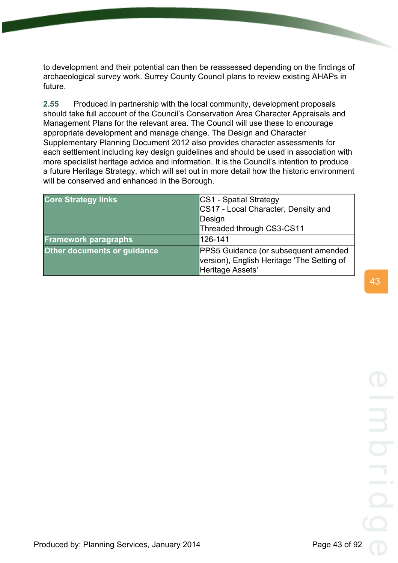to development and their potential can then be reassessed depending on the findings of archaeological survey work. Surrey County Council plans to review existing AHAPs in future.

**2.55** Produced in partnership with the local community, development proposals should take full account of the Council's Conservation Area Character Appraisals and Management Plans for the relevant area. The Council will use these to encourage appropriate development and manage change. The Design and Character Supplementary Planning Document 2012 also provides character assessments for each settlement including key design guidelines and should be used in association with more specialist heritage advice and information. It is the Council's intention to produce a future Heritage Strategy, which will set out in more detail how the historic environment will be conserved and enhanced in the Borough.

| <b>Core Strategy links</b>  | CS1 - Spatial Strategy<br>CS17 - Local Character, Density and                                          |
|-----------------------------|--------------------------------------------------------------------------------------------------------|
|                             | Design                                                                                                 |
|                             | Threaded through CS3-CS11                                                                              |
| <b>Framework paragraphs</b> | 126-141                                                                                                |
| Other documents or guidance | PPS5 Guidance (or subsequent amended<br>version), English Heritage 'The Setting of<br>Heritage Assets' |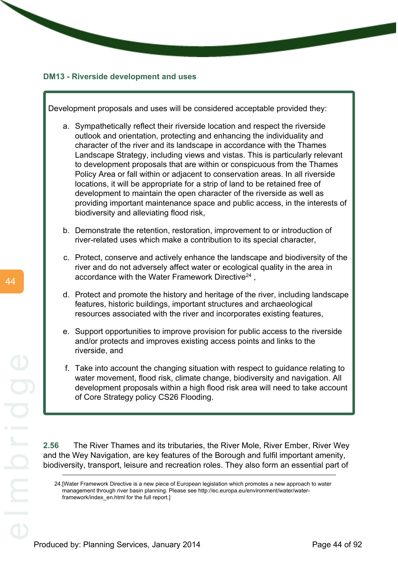



framework/index\_en.html for the full report.]

44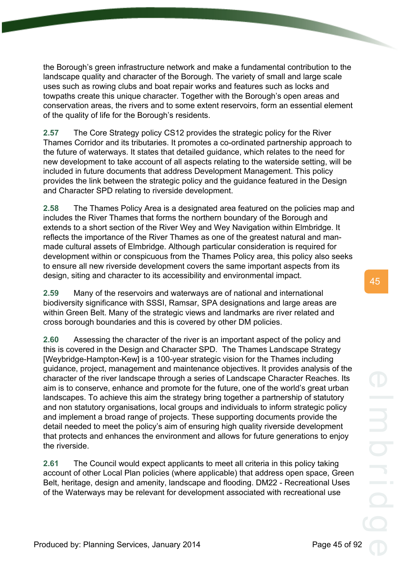the Borough's green infrastructure network and make a fundamental contribution to the landscape quality and character of the Borough. The variety of small and large scale uses such as rowing clubs and boat repair works and features such as locks and towpaths create this unique character. Together with the Borough's open areas and conservation areas, the rivers and to some extent reservoirs, form an essential element of the quality of life for the Borough's residents.

**2.57** The Core Strategy policy CS12 provides the strategic policy for the River Thames Corridor and its tributaries. It promotes a co-ordinated partnership approach to the future of waterways. It states that detailed guidance, which relates to the need for new development to take account of all aspects relating to the waterside setting, will be included in future documents that address Development Management. This policy provides the link between the strategic policy and the guidance featured in the Design and Character SPD relating to riverside development.

**2.58** The Thames Policy Area is a designated area featured on the policies map and includes the River Thames that forms the northern boundary of the Borough and extends to a short section of the River Wey and Wey Navigation within Elmbridge. It reflects the importance of the River Thames as one of the greatest natural and manmade cultural assets of Elmbridge. Although particular consideration is required for development within or conspicuous from the Thames Policy area, this policy also seeks to ensure all new riverside development covers the same important aspects from its design, siting and character to its accessibility and environmental impact.

**2.59** Many of the reservoirs and waterways are of national and international biodiversity significance with SSSI, Ramsar, SPA designations and large areas are within Green Belt. Many of the strategic views and landmarks are river related and cross borough boundaries and this is covered by other DM policies.

**2.60** Assessing the character of the river is an important aspect of the policy and this is covered in the Design and Character SPD. The Thames Landscape Strategy [Weybridge-Hampton-Kew] is a 100-year strategic vision for the Thames including guidance, project, management and maintenance objectives. It provides analysis of the character of the river landscape through a series of Landscape Character Reaches. Its aim is to conserve, enhance and promote for the future, one of the world's great urban landscapes. To achieve this aim the strategy bring together a partnership of statutory and non statutory organisations, local groups and individuals to inform strategic policy and implement a broad range of projects. These supporting documents provide the detail needed to meet the policy's aim of ensuring high quality riverside development that protects and enhances the environment and allows for future generations to enjoy the riverside.

**2.61** The Council would expect applicants to meet all criteria in this policy taking account of other Local Plan policies (where applicable) that address open space, Green Belt, heritage, design and amenity, landscape and flooding. DM22 - Recreational Uses of the Waterways may be relevant for development associated with recreational use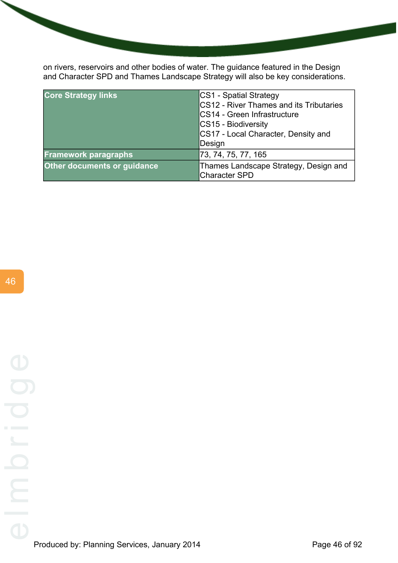on rivers, reservoirs and other bodies of water. The guidance featured in the Design and Character SPD and Thames Landscape Strategy will also be key considerations.

| <b>Core Strategy links</b>         | <b>CS1 - Spatial Strategy</b>           |
|------------------------------------|-----------------------------------------|
|                                    | CS12 - River Thames and its Tributaries |
|                                    | CS14 - Green Infrastructure             |
|                                    | CS15 - Biodiversity                     |
|                                    | CS17 - Local Character, Density and     |
|                                    | Design                                  |
| <b>Framework paragraphs</b>        | 73, 74, 75, 77, 165                     |
| <b>Other documents or guidance</b> | Thames Landscape Strategy, Design and   |
|                                    | <b>Character SPD</b>                    |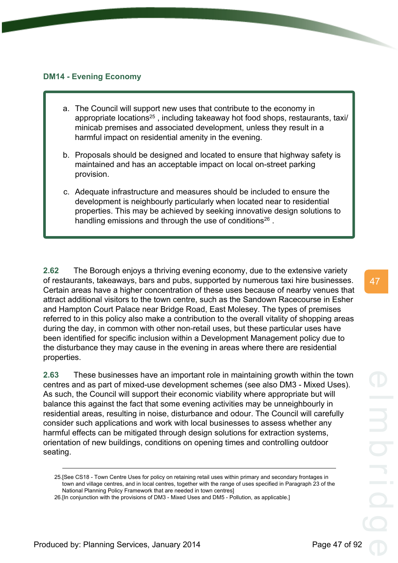### **DM14 - Evening Economy**

- a. The Council will support new uses that contribute to the economy in appropriate locations<sup>25</sup>, including takeaway hot food shops, restaurants, taxi/ minicab premises and associated development, unless they result in a harmful impact on residential amenity in the evening.
- b. Proposals should be designed and located to ensure that highway safety is maintained and has an acceptable impact on local on-street parking provision.
- c. Adequate infrastructure and measures should be included to ensure the development is neighbourly particularly when located near to residential properties. This may be achieved by seeking innovative design solutions to handling emissions and through the use of conditions<sup>26</sup>.

**2.62** The Borough enjoys a thriving evening economy, due to the extensive variety of restaurants, takeaways, bars and pubs, supported by numerous taxi hire businesses. Certain areas have a higher concentration of these uses because of nearby venues that attract additional visitors to the town centre, such as the Sandown Racecourse in Esher and Hampton Court Palace near Bridge Road, East Molesey. The types of premises referred to in this policy also make a contribution to the overall vitality of shopping areas during the day, in common with other non-retail uses, but these particular uses have been identified for specific inclusion within a Development Management policy due to the disturbance they may cause in the evening in areas where there are residential properties.

**2.63** These businesses have an important role in maintaining growth within the town centres and as part of mixed-use development schemes (see also DM3 - Mixed Uses). As such, the Council will support their economic viability where appropriate but will balance this against the fact that some evening activities may be unneighbourly in residential areas, resulting in noise, disturbance and odour. The Council will carefully consider such applications and work with local businesses to assess whether any harmful effects can be mitigated through design solutions for extraction systems, orientation of new buildings, conditions on opening times and controlling outdoor seating.

<sup>25.[</sup>See CS18 - Town Centre Uses for policy on retaining retail uses within primary and secondary frontages in town and village centres, and in local centres, together with the range of uses specified in Paragraph 23 of the National Planning Policy Framework that are needed in town centres]

<sup>26.[</sup>In conjunction with the provisions of DM3 - Mixed Uses and DM5 - Pollution, as applicable.]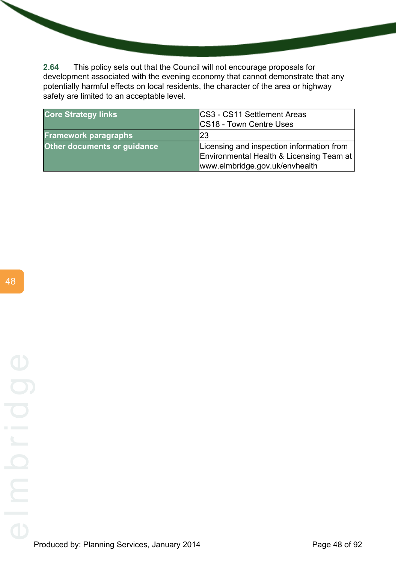**2.64** This policy sets out that the Council will not encourage proposals for development associated with the evening economy that cannot demonstrate that any potentially harmful effects on local residents, the character of the area or highway safety are limited to an acceptable level.

| <b>Core Strategy links</b>  | CS3 - CS11 Settlement Areas<br>CS18 - Town Centre Uses                                                                  |
|-----------------------------|-------------------------------------------------------------------------------------------------------------------------|
| <b>Framework paragraphs</b> | 23                                                                                                                      |
| Other documents or guidance | Licensing and inspection information from<br>Environmental Health & Licensing Team at<br>www.elmbridge.gov.uk/envhealth |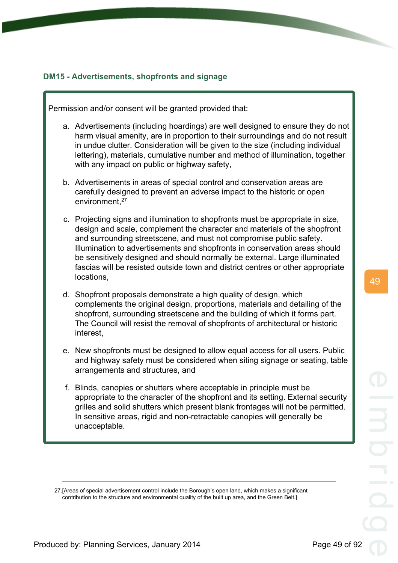49

# **DM15 - Advertisements, shopfronts and signage**

Permission and/or consent will be granted provided that:

- a. Advertisements (including hoardings) are well designed to ensure they do not harm visual amenity, are in proportion to their surroundings and do not result in undue clutter. Consideration will be given to the size (including individual lettering), materials, cumulative number and method of illumination, together with any impact on public or highway safety,
- b. Advertisements in areas of special control and conservation areas are carefully designed to prevent an adverse impact to the historic or open environment.<sup>27</sup>
- c. Projecting signs and illumination to shopfronts must be appropriate in size, design and scale, complement the character and materials of the shopfront and surrounding streetscene, and must not compromise public safety. Illumination to advertisements and shopfronts in conservation areas should be sensitively designed and should normally be external. Large illuminated fascias will be resisted outside town and district centres or other appropriate locations,
- d. Shopfront proposals demonstrate a high quality of design, which complements the original design, proportions, materials and detailing of the shopfront, surrounding streetscene and the building of which it forms part. The Council will resist the removal of shopfronts of architectural or historic interest,
- e. New shopfronts must be designed to allow equal access for all users. Public and highway safety must be considered when siting signage or seating, table arrangements and structures, and
- f. Blinds, canopies or shutters where acceptable in principle must be appropriate to the character of the shopfront and its setting. External security grilles and solid shutters which present blank frontages will not be permitted. In sensitive areas, rigid and non-retractable canopies will generally be unacceptable.

<sup>27.[</sup>Areas of special advertisement control include the Borough's open land, which makes a significant contribution to the structure and environmental quality of the built up area, and the Green Belt.]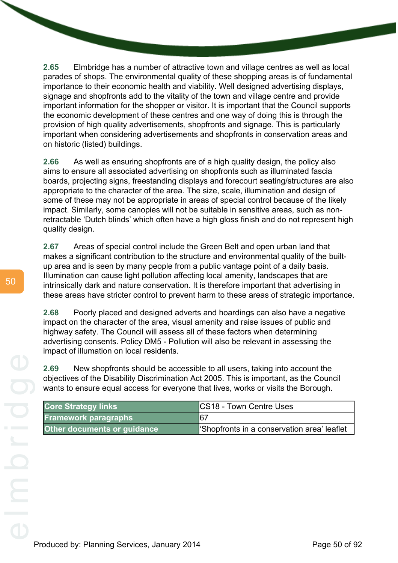**2.65** Elmbridge has a number of attractive town and village centres as well as local parades of shops. The environmental quality of these shopping areas is of fundamental importance to their economic health and viability. Well designed advertising displays, signage and shopfronts add to the vitality of the town and village centre and provide important information for the shopper or visitor. It is important that the Council supports the economic development of these centres and one way of doing this is through the provision of high quality advertisements, shopfronts and signage. This is particularly important when considering advertisements and shopfronts in conservation areas and on historic (listed) buildings.

**2.66** As well as ensuring shopfronts are of a high quality design, the policy also aims to ensure all associated advertising on shopfronts such as illuminated fascia boards, projecting signs, freestanding displays and forecourt seating/structures are also appropriate to the character of the area. The size, scale, illumination and design of some of these may not be appropriate in areas of special control because of the likely impact. Similarly, some canopies will not be suitable in sensitive areas, such as nonretractable 'Dutch blinds' which often have a high gloss finish and do not represent high quality design.

**2.67** Areas of special control include the Green Belt and open urban land that makes a significant contribution to the structure and environmental quality of the builtup area and is seen by many people from a public vantage point of a daily basis. Illumination can cause light pollution affecting local amenity, landscapes that are intrinsically dark and nature conservation. It is therefore important that advertising in these areas have stricter control to prevent harm to these areas of strategic importance.

**2.68** Poorly placed and designed adverts and hoardings can also have a negative impact on the character of the area, visual amenity and raise issues of public and highway safety. The Council will assess all of these factors when determining advertising consents. Policy DM5 - Pollution will also be relevant in assessing the impact of illumation on local residents.

**2.69** New shopfronts should be accessible to all users, taking into account the objectives of the Disability Discrimination Act 2005. This is important, as the Council wants to ensure equal access for everyone that lives, works or visits the Borough.

| <b>Core Strategy links</b>         | <b>CS18 - Town Centre Uses</b>             |
|------------------------------------|--------------------------------------------|
| <b>Framework paragraphs</b>        | 167                                        |
| <b>Other documents or guidance</b> | Shopfronts in a conservation area' leaflet |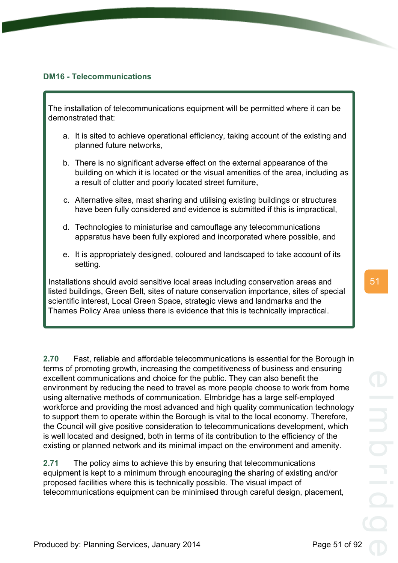# **DM16 - Telecommunications**

The installation of telecommunications equipment will be permitted where it can be demonstrated that:

- a. It is sited to achieve operational efficiency, taking account of the existing and planned future networks,
- b. There is no significant adverse effect on the external appearance of the building on which it is located or the visual amenities of the area, including as a result of clutter and poorly located street furniture,
- c. Alternative sites, mast sharing and utilising existing buildings or structures have been fully considered and evidence is submitted if this is impractical,
- d. Technologies to miniaturise and camouflage any telecommunications apparatus have been fully explored and incorporated where possible, and
- e. It is appropriately designed, coloured and landscaped to take account of its setting.

Installations should avoid sensitive local areas including conservation areas and listed buildings, Green Belt, sites of nature conservation importance, sites of special scientific interest, Local Green Space, strategic views and landmarks and the Thames Policy Area unless there is evidence that this is technically impractical.

**2.70** Fast, reliable and affordable telecommunications is essential for the Borough in terms of promoting growth, increasing the competitiveness of business and ensuring excellent communications and choice for the public. They can also benefit the environment by reducing the need to travel as more people choose to work from home using alternative methods of communication. Elmbridge has a large self-employed workforce and providing the most advanced and high quality communication technology to support them to operate within the Borough is vital to the local economy. Therefore, the Council will give positive consideration to telecommunications development, which is well located and designed, both in terms of its contribution to the efficiency of the existing or planned network and its minimal impact on the environment and amenity.

**2.71** The policy aims to achieve this by ensuring that telecommunications equipment is kept to a minimum through encouraging the sharing of existing and/or proposed facilities where this is technically possible. The visual impact of telecommunications equipment can be minimised through careful design, placement,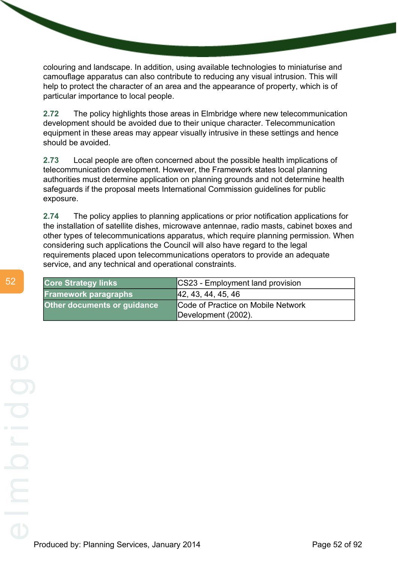colouring and landscape. In addition, using available technologies to miniaturise and camouflage apparatus can also contribute to reducing any visual intrusion. This will help to protect the character of an area and the appearance of property, which is of particular importance to local people.

**2.72** The policy highlights those areas in Elmbridge where new telecommunication development should be avoided due to their unique character. Telecommunication equipment in these areas may appear visually intrusive in these settings and hence should be avoided.

**2.73** Local people are often concerned about the possible health implications of telecommunication development. However, the Framework states local planning authorities must determine application on planning grounds and not determine health safeguards if the proposal meets International Commission guidelines for public exposure.

**2.74** The policy applies to planning applications or prior notification applications for the installation of satellite dishes, microwave antennae, radio masts, cabinet boxes and other types of telecommunications apparatus, which require planning permission. When considering such applications the Council will also have regard to the legal requirements placed upon telecommunications operators to provide an adequate service, and any technical and operational constraints.

| <b>Core Strategy links</b>         | <b>CS23 - Employment land provision</b> |
|------------------------------------|-----------------------------------------|
| <b>Framework paragraphs</b>        | 42, 43, 44, 45, 46                      |
| <b>Other documents or guidance</b> | Code of Practice on Mobile Network      |
|                                    | Development (2002).                     |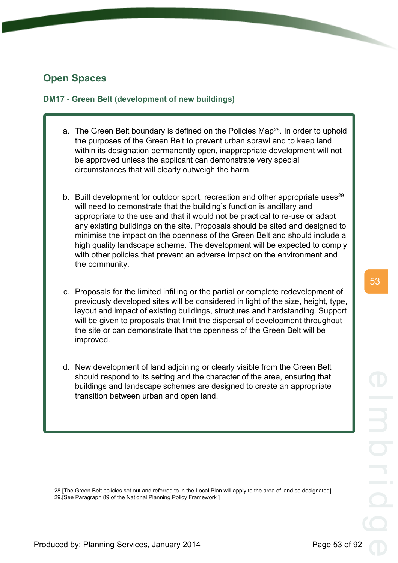# **Open Spaces**

# **DM17 - Green Belt (development of new buildings)**

- a. The Green Belt boundary is defined on the Policies Map<sup>28</sup>. In order to uphold the purposes of the Green Belt to prevent urban sprawl and to keep land within its designation permanently open, inappropriate development will not be approved unless the applicant can demonstrate very special circumstances that will clearly outweigh the harm.
- b. Built development for outdoor sport, recreation and other appropriate uses<sup>29</sup> will need to demonstrate that the building's function is ancillary and appropriate to the use and that it would not be practical to re-use or adapt any existing buildings on the site. Proposals should be sited and designed to minimise the impact on the openness of the Green Belt and should include a high quality landscape scheme. The development will be expected to comply with other policies that prevent an adverse impact on the environment and the community.
- c. Proposals for the limited infilling or the partial or complete redevelopment of previously developed sites will be considered in light of the size, height, type, layout and impact of existing buildings, structures and hardstanding. Support will be given to proposals that limit the dispersal of development throughout the site or can demonstrate that the openness of the Green Belt will be improved.
- d. New development of land adjoining or clearly visible from the Green Belt should respond to its setting and the character of the area, ensuring that buildings and landscape schemes are designed to create an appropriate transition between urban and open land.

28.[The Green Belt policies set out and referred to in the Local Plan will apply to the area of land so designated] 29.[See Paragraph 89 of the National Planning Policy Framework ]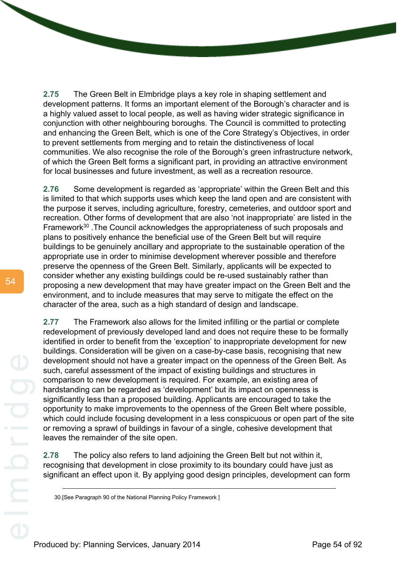**2.75** The Green Belt in Elmbridge plays a key role in shaping settlement and development patterns. It forms an important element of the Borough's character and is a highly valued asset to local people, as well as having wider strategic significance in conjunction with other neighbouring boroughs. The Council is committed to protecting and enhancing the Green Belt, which is one of the Core Strategy's Objectives, in order to prevent settlements from merging and to retain the distinctiveness of local communities. We also recognise the role of the Borough's green infrastructure network, of which the Green Belt forms a significant part, in providing an attractive environment for local businesses and future investment, as well as a recreation resource.

**2.76** Some development is regarded as 'appropriate' within the Green Belt and this is limited to that which supports uses which keep the land open and are consistent with the purpose it serves, including agriculture, forestry, cemeteries, and outdoor sport and recreation. Other forms of development that are also 'not inappropriate' are listed in the Framework<sup>30</sup>. The Council acknowledges the appropriateness of such proposals and plans to positively enhance the beneficial use of the Green Belt but will require buildings to be genuinely ancillary and appropriate to the sustainable operation of the appropriate use in order to minimise development wherever possible and therefore preserve the openness of the Green Belt. Similarly, applicants will be expected to consider whether any existing buildings could be re-used sustainably rather than proposing a new development that may have greater impact on the Green Belt and the environment, and to include measures that may serve to mitigate the effect on the character of the area, such as a high standard of design and landscape.

**2.77** The Framework also allows for the limited infilling or the partial or complete redevelopment of previously developed land and does not require these to be formally identified in order to benefit from the 'exception' to inappropriate development for new buildings. Consideration will be given on a case-by-case basis, recognising that new development should not have a greater impact on the openness of the Green Belt. As such, careful assessment of the impact of existing buildings and structures in comparison to new development is required. For example, an existing area of hardstanding can be regarded as 'development' but its impact on openness is significantly less than a proposed building. Applicants are encouraged to take the opportunity to make improvements to the openness of the Green Belt where possible, which could include focusing development in a less conspicuous or open part of the site or removing a sprawl of buildings in favour of a single, cohesive development that leaves the remainder of the site open.

**2.78** The policy also refers to land adjoining the Green Belt but not within it, recognising that development in close proximity to its boundary could have just as significant an effect upon it. By applying good design principles, development can form

30.[See Paragraph 90 of the National Planning Policy Framework ]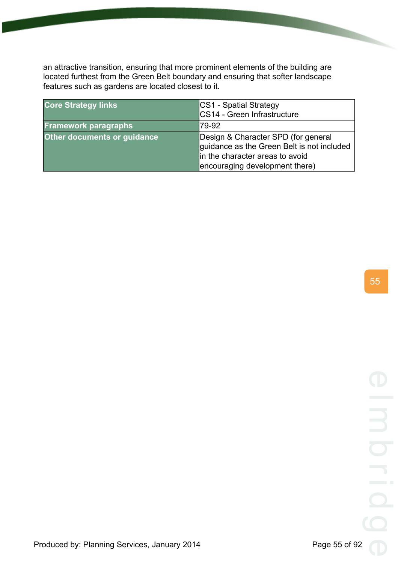an attractive transition, ensuring that more prominent elements of the building are located furthest from the Green Belt boundary and ensuring that softer landscape features such as gardens are located closest to it.

| <b>Core Strategy links</b>         | <b>CS1 - Spatial Strategy</b><br>CS14 - Green Infrastructure                                                                                           |
|------------------------------------|--------------------------------------------------------------------------------------------------------------------------------------------------------|
| <b>Framework paragraphs</b>        | 79-92                                                                                                                                                  |
| <b>Other documents or guidance</b> | Design & Character SPD (for general<br>guidance as the Green Belt is not included<br>in the character areas to avoid<br>encouraging development there) |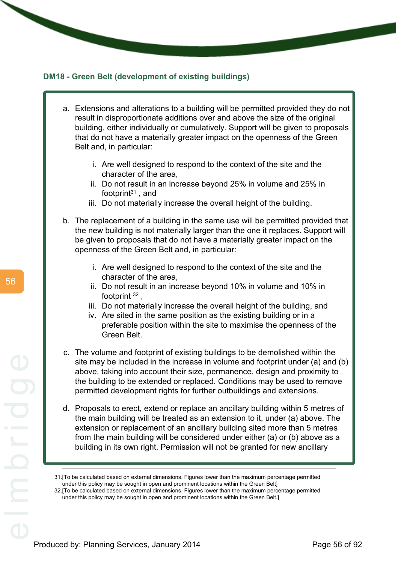## **DM18 - Green Belt (development of existing buildings)**

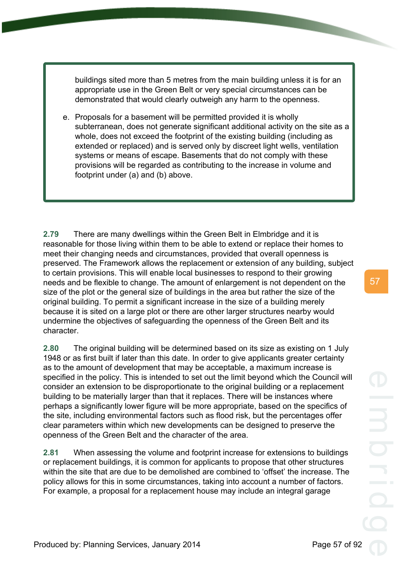buildings sited more than 5 metres from the main building unless it is for an appropriate use in the Green Belt or very special circumstances can be demonstrated that would clearly outweigh any harm to the openness.

e. Proposals for a basement will be permitted provided it is wholly subterranean, does not generate significant additional activity on the site as a whole, does not exceed the footprint of the existing building (including as extended or replaced) and is served only by discreet light wells, ventilation systems or means of escape. Basements that do not comply with these provisions will be regarded as contributing to the increase in volume and footprint under (a) and (b) above.

**2.79** There are many dwellings within the Green Belt in Elmbridge and it is reasonable for those living within them to be able to extend or replace their homes to meet their changing needs and circumstances, provided that overall openness is preserved. The Framework allows the replacement or extension of any building, subject to certain provisions. This will enable local businesses to respond to their growing needs and be flexible to change. The amount of enlargement is not dependent on the size of the plot or the general size of buildings in the area but rather the size of the original building. To permit a significant increase in the size of a building merely because it is sited on a large plot or there are other larger structures nearby would undermine the objectives of safeguarding the openness of the Green Belt and its character.

**2.80** The original building will be determined based on its size as existing on 1 July 1948 or as first built if later than this date. In order to give applicants greater certainty as to the amount of development that may be acceptable, a maximum increase is specified in the policy. This is intended to set out the limit beyond which the Council will consider an extension to be disproportionate to the original building or a replacement building to be materially larger than that it replaces. There will be instances where perhaps a significantly lower figure will be more appropriate, based on the specifics of the site, including environmental factors such as flood risk, but the percentages offer clear parameters within which new developments can be designed to preserve the openness of the Green Belt and the character of the area.

**2.81** When assessing the volume and footprint increase for extensions to buildings or replacement buildings, it is common for applicants to propose that other structures within the site that are due to be demolished are combined to 'offset' the increase. The policy allows for this in some circumstances, taking into account a number of factors. For example, a proposal for a replacement house may include an integral garage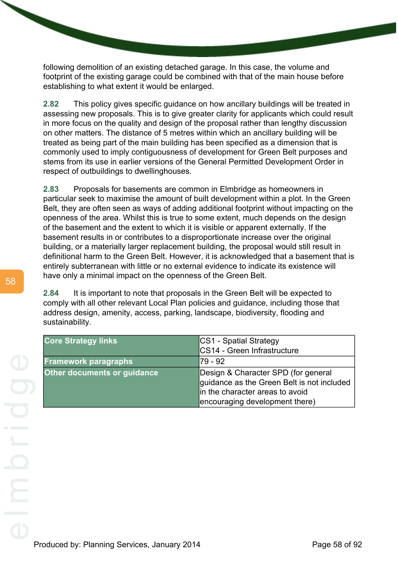following demolition of an existing detached garage. In this case, the volume and footprint of the existing garage could be combined with that of the main house before establishing to what extent it would be enlarged.

**2.82** This policy gives specific guidance on how ancillary buildings will be treated in assessing new proposals. This is to give greater clarity for applicants which could result in more focus on the quality and design of the proposal rather than lengthy discussion on other matters. The distance of 5 metres within which an ancillary building will be treated as being part of the main building has been specified as a dimension that is commonly used to imply contiguousness of development for Green Belt purposes and stems from its use in earlier versions of the General Permitted Development Order in respect of outbuildings to dwellinghouses.

**2.83** Proposals for basements are common in Elmbridge as homeowners in particular seek to maximise the amount of built development within a plot. In the Green Belt, they are often seen as ways of adding additional footprint without impacting on the openness of the area. Whilst this is true to some extent, much depends on the design of the basement and the extent to which it is visible or apparent externally. If the basement results in or contributes to a disproportionate increase over the original building, or a materially larger replacement building, the proposal would still result in definitional harm to the Green Belt. However, it is acknowledged that a basement that is entirely subterranean with little or no external evidence to indicate its existence will have only a minimal impact on the openness of the Green Belt.

**2.84** It is important to note that proposals in the Green Belt will be expected to comply with all other relevant Local Plan policies and guidance, including those that address design, amenity, access, parking, landscape, biodiversity, flooding and sustainability.

| <b>Core Strategy links</b>  | CS1 - Spatial Strategy<br>CS14 - Green Infrastructure |
|-----------------------------|-------------------------------------------------------|
|                             | l79 - 92                                              |
| <b>Framework paragraphs</b> |                                                       |
| Other documents or guidance | Design & Character SPD (for general                   |
|                             | guidance as the Green Belt is not included            |
|                             | in the character areas to avoid                       |
|                             | encouraging development there)                        |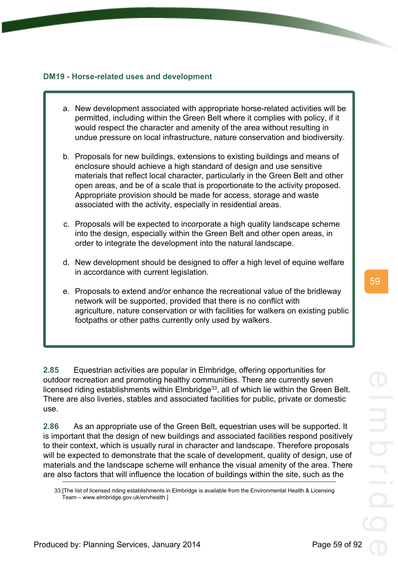# **DM19 - Horse-related uses and development**

- a. New development associated with appropriate horse-related activities will be permitted, including within the Green Belt where it complies with policy, if it would respect the character and amenity of the area without resulting in undue pressure on local infrastructure, nature conservation and biodiversity.
- b. Proposals for new buildings, extensions to existing buildings and means of enclosure should achieve a high standard of design and use sensitive materials that reflect local character, particularly in the Green Belt and other open areas, and be of a scale that is proportionate to the activity proposed. Appropriate provision should be made for access, storage and waste associated with the activity, especially in residential areas.
- c. Proposals will be expected to incorporate a high quality landscape scheme into the design, especially within the Green Belt and other open areas, in order to integrate the development into the natural landscape.
- d. New development should be designed to offer a high level of equine welfare in accordance with current legislation.
- e. Proposals to extend and/or enhance the recreational value of the bridleway network will be supported, provided that there is no conflict with agriculture, nature conservation or with facilities for walkers on existing public footpaths or other paths currently only used by walkers.

**2.85** Equestrian activities are popular in Elmbridge, offering opportunities for outdoor recreation and promoting healthy communities. There are currently seven licensed riding establishments within Elmbridge<sup>33</sup>, all of which lie within the Green Belt. There are also liveries, stables and associated facilities for public, private or domestic use.

**2.86** As an appropriate use of the Green Belt, equestrian uses will be supported. It is important that the design of new buildings and associated facilities respond positively to their context, which is usually rural in character and landscape. Therefore proposals will be expected to demonstrate that the scale of development, quality of design, use of materials and the landscape scheme will enhance the visual amenity of the area. There are also factors that will influence the location of buildings within the site, such as the

<sup>33.[</sup>The list of licensed riding establishments in Elmbridge is available from the Environmental Health & Licensing Team – www.elmbridge.gov.uk/envhealth ]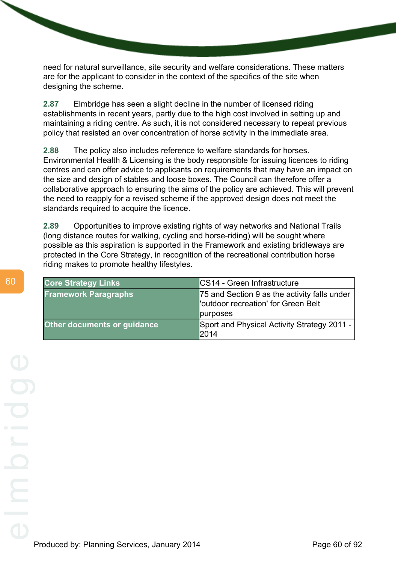need for natural surveillance, site security and welfare considerations. These matters are for the applicant to consider in the context of the specifics of the site when designing the scheme.

**2.87** Elmbridge has seen a slight decline in the number of licensed riding establishments in recent years, partly due to the high cost involved in setting up and maintaining a riding centre. As such, it is not considered necessary to repeat previous policy that resisted an over concentration of horse activity in the immediate area.

**2.88** The policy also includes reference to welfare standards for horses. Environmental Health & Licensing is the body responsible for issuing licences to riding centres and can offer advice to applicants on requirements that may have an impact on the size and design of stables and loose boxes. The Council can therefore offer a collaborative approach to ensuring the aims of the policy are achieved. This will prevent the need to reapply for a revised scheme if the approved design does not meet the standards required to acquire the licence.

**2.89** Opportunities to improve existing rights of way networks and National Trails (long distance routes for walking, cycling and horse-riding) will be sought where possible as this aspiration is supported in the Framework and existing bridleways are protected in the Core Strategy, in recognition of the recreational contribution horse riding makes to promote healthy lifestyles.

| <b>Core Strategy Links</b>         | <b>CS14 - Green Infrastructure</b>                                                  |
|------------------------------------|-------------------------------------------------------------------------------------|
| <b>Framework Paragraphs</b>        | 75 and Section 9 as the activity falls under<br>'outdoor recreation' for Green Belt |
|                                    | purposes                                                                            |
| <b>Other documents or guidance</b> | Sport and Physical Activity Strategy 2011 -<br>2014                                 |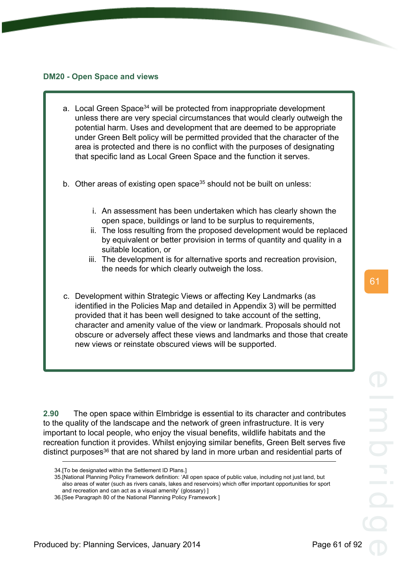### **DM20 - Open Space and views**

- a. Local Green Space<sup>34</sup> will be protected from inappropriate development unless there are very special circumstances that would clearly outweigh the potential harm. Uses and development that are deemed to be appropriate under Green Belt policy will be permitted provided that the character of the area is protected and there is no conflict with the purposes of designating that specific land as Local Green Space and the function it serves.
- b. Other areas of existing open space<sup>35</sup> should not be built on unless:
	- i. An assessment has been undertaken which has clearly shown the open space, buildings or land to be surplus to requirements,
	- ii. The loss resulting from the proposed development would be replaced by equivalent or better provision in terms of quantity and quality in a suitable location, or
	- iii. The development is for alternative sports and recreation provision, the needs for which clearly outweigh the loss.
- c. Development within Strategic Views or affecting Key Landmarks (as identified in the Policies Map and detailed in Appendix 3) will be permitted provided that it has been well designed to take account of the setting, character and amenity value of the view or landmark. Proposals should not obscure or adversely affect these views and landmarks and those that create new views or reinstate obscured views will be supported.

**2.90** The open space within Elmbridge is essential to its character and contributes to the quality of the landscape and the network of green infrastructure. It is very important to local people, who enjoy the visual benefits, wildlife habitats and the recreation function it provides. Whilst enjoying similar benefits, Green Belt serves five distinct purposes<sup>36</sup> that are not shared by land in more urban and residential parts of

<sup>34.[</sup>To be designated within the Settlement ID Plans.]

<sup>35.[</sup>National Planning Policy Framework definition: 'All open space of public value, including not just land, but also areas of water (such as rivers canals, lakes and reservoirs) which offer important opportunities for sport and recreation and can act as a visual amenity' (glossary) ]

<sup>36.[</sup>See Paragraph 80 of the National Planning Policy Framework ]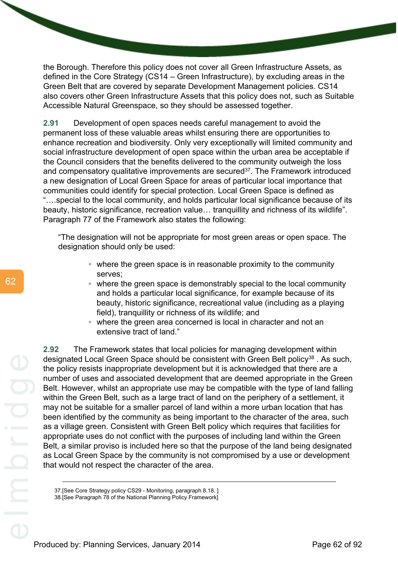the Borough. Therefore this policy does not cover all Green Infrastructure Assets, as defined in the Core Strategy (CS14 – Green Infrastructure), by excluding areas in the Green Belt that are covered by separate Development Management policies. CS14 also covers other Green Infrastructure Assets that this policy does not, such as Suitable Accessible Natural Greenspace, so they should be assessed together.

**2.91** Development of open spaces needs careful management to avoid the permanent loss of these valuable areas whilst ensuring there are opportunities to enhance recreation and biodiversity. Only very exceptionally will limited community and social infrastructure development of open space within the urban area be acceptable if the Council considers that the benefits delivered to the community outweigh the loss and compensatory qualitative improvements are secured<sup>37</sup>. The Framework introduced a new designation of Local Green Space for areas of particular local importance that communities could identify for special protection. Local Green Space is defined as "….special to the local community, and holds particular local significance because of its beauty, historic significance, recreation value… tranquillity and richness of its wildlife". Paragraph 77 of the Framework also states the following:

"The designation will not be appropriate for most green areas or open space. The designation should only be used:

- where the green space is in reasonable proximity to the community serves;
- where the green space is demonstrably special to the local community and holds a particular local significance, for example because of its beauty, historic significance, recreational value (including as a playing field), tranquillity or richness of its wildlife; and
- where the green area concerned is local in character and not an extensive tract of land."

**2.92** The Framework states that local policies for managing development within designated Local Green Space should be consistent with Green Belt policy<sup>38</sup>. As such, the policy resists inappropriate development but it is acknowledged that there are a number of uses and associated development that are deemed appropriate in the Green Belt. However, whilst an appropriate use may be compatible with the type of land falling within the Green Belt, such as a large tract of land on the periphery of a settlement, it may not be suitable for a smaller parcel of land within a more urban location that has been identified by the community as being important to the character of the area, such as a village green. Consistent with Green Belt policy which requires that facilities for appropriate uses do not conflict with the purposes of including land within the Green Belt, a similar proviso is included here so that the purpose of the land being designated as Local Green Space by the community is not compromised by a use or development that would not respect the character of the area.

37.[See Core Strategy policy CS29 - Monitoring, paragraph 8.18. ]

38.[See Paragraph 78 of the National Planning Policy Framework]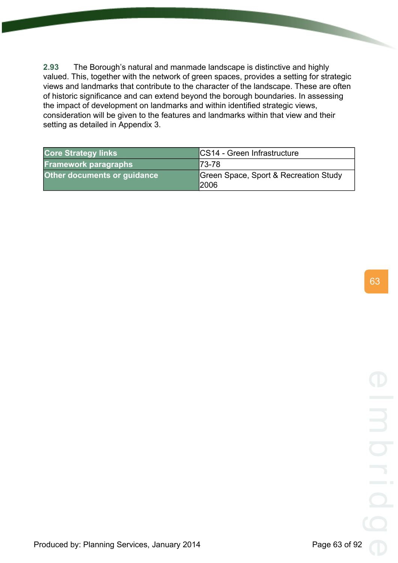**2.93** The Borough's natural and manmade landscape is distinctive and highly valued. This, together with the network of green spaces, provides a setting for strategic views and landmarks that contribute to the character of the landscape. These are often of historic significance and can extend beyond the borough boundaries. In assessing the impact of development on landmarks and within identified strategic views, consideration will be given to the features and landmarks within that view and their setting as detailed in Appendix 3.

| <b>Core Strategy links</b>         | <b>CS14 - Green Infrastructure</b>                   |
|------------------------------------|------------------------------------------------------|
| <b>Framework paragraphs</b>        | $I73-78$                                             |
| <b>Other documents or guidance</b> | Green Space, Sport & Recreation Study<br><b>2006</b> |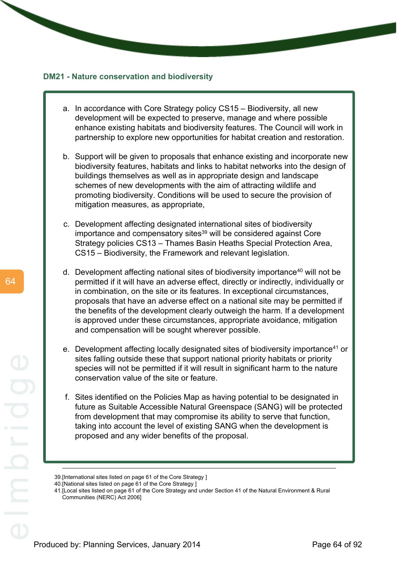### **DM21 - Nature conservation and biodiversity**

- a. In accordance with Core Strategy policy CS15 Biodiversity, all new development will be expected to preserve, manage and where possible enhance existing habitats and biodiversity features. The Council will work in partnership to explore new opportunities for habitat creation and restoration.
- b. Support will be given to proposals that enhance existing and incorporate new biodiversity features, habitats and links to habitat networks into the design of buildings themselves as well as in appropriate design and landscape schemes of new developments with the aim of attracting wildlife and promoting biodiversity. Conditions will be used to secure the provision of mitigation measures, as appropriate,
- c. Development affecting designated international sites of biodiversity importance and compensatory sites<sup>39</sup> will be considered against Core Strategy policies CS13 – Thames Basin Heaths Special Protection Area, CS15 – Biodiversity, the Framework and relevant legislation.
- d. Development affecting national sites of biodiversity importance<sup>40</sup> will not be permitted if it will have an adverse effect, directly or indirectly, individually or in combination, on the site or its features. In exceptional circumstances, proposals that have an adverse effect on a national site may be permitted if the benefits of the development clearly outweigh the harm. If a development is approved under these circumstances, appropriate avoidance, mitigation and compensation will be sought wherever possible.
- e. Development affecting locally designated sites of biodiversity importance<sup>41</sup> or sites falling outside these that support national priority habitats or priority species will not be permitted if it will result in significant harm to the nature conservation value of the site or feature.
- f. Sites identified on the Policies Map as having potential to be designated in future as Suitable Accessible Natural Greenspace (SANG) will be protected from development that may compromise its ability to serve that function, taking into account the level of existing SANG when the development is proposed and any wider benefits of the proposal.

<sup>39.[</sup>International sites listed on page 61 of the Core Strategy ]

<sup>40.[</sup>National sites listed on page 61 of the Core Strategy ]

<sup>41.[</sup>Local sites listed on page 61 of the Core Strategy and under Section 41 of the Natural Environment & Rural Communities (NERC) Act 2006]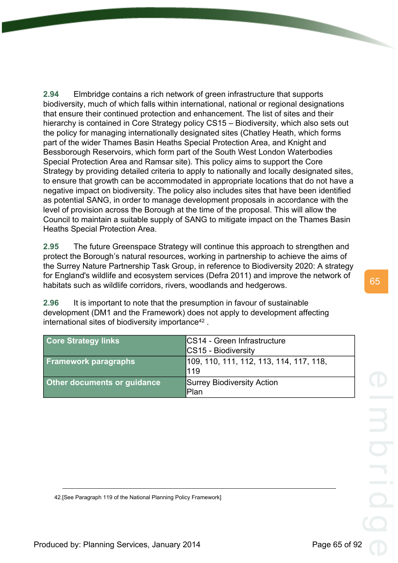**2.94** Elmbridge contains a rich network of green infrastructure that supports biodiversity, much of which falls within international, national or regional designations that ensure their continued protection and enhancement. The list of sites and their hierarchy is contained in Core Strategy policy CS15 – Biodiversity, which also sets out the policy for managing internationally designated sites (Chatley Heath, which forms part of the wider Thames Basin Heaths Special Protection Area, and Knight and Bessborough Reservoirs, which form part of the South West London Waterbodies Special Protection Area and Ramsar site). This policy aims to support the Core Strategy by providing detailed criteria to apply to nationally and locally designated sites, to ensure that growth can be accommodated in appropriate locations that do not have a negative impact on biodiversity. The policy also includes sites that have been identified as potential SANG, in order to manage development proposals in accordance with the level of provision across the Borough at the time of the proposal. This will allow the Council to maintain a suitable supply of SANG to mitigate impact on the Thames Basin Heaths Special Protection Area.

**2.95** The future Greenspace Strategy will continue this approach to strengthen and protect the Borough's natural resources, working in partnership to achieve the aims of the Surrey Nature Partnership Task Group, in reference to Biodiversity 2020: A strategy for England's wildlife and ecosystem services (Defra 2011) and improve the network of habitats such as wildlife corridors, rivers, woodlands and hedgerows.

**2.96** It is important to note that the presumption in favour of sustainable development (DM1 and the Framework) does not apply to development affecting international sites of biodiversity importance $42$ .

| <b>Core Strategy links</b>         | CS14 - Green Infrastructure<br><b>CS15 - Biodiversity</b> |
|------------------------------------|-----------------------------------------------------------|
| <b>Framework paragraphs</b>        | 109, 110, 111, 112, 113, 114, 117, 118,<br>119            |
| <b>Other documents or guidance</b> | Surrey Biodiversity Action<br> Plan                       |

65

42.[See Paragraph 119 of the National Planning Policy Framework]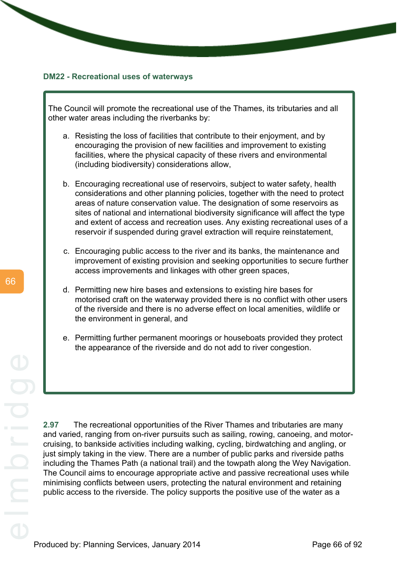#### **DM22 - Recreational uses of waterways**

The Council will promote the recreational use of the Thames, its tributaries and all other water areas including the riverbanks by:

- a. Resisting the loss of facilities that contribute to their enjoyment, and by encouraging the provision of new facilities and improvement to existing facilities, where the physical capacity of these rivers and environmental (including biodiversity) considerations allow,
- b. Encouraging recreational use of reservoirs, subject to water safety, health considerations and other planning policies, together with the need to protect areas of nature conservation value. The designation of some reservoirs as sites of national and international biodiversity significance will affect the type and extent of access and recreation uses. Any existing recreational uses of a reservoir if suspended during gravel extraction will require reinstatement.
- c. Encouraging public access to the river and its banks, the maintenance and improvement of existing provision and seeking opportunities to secure further access improvements and linkages with other green spaces,
- d. Permitting new hire bases and extensions to existing hire bases for motorised craft on the waterway provided there is no conflict with other users of the riverside and there is no adverse effect on local amenities, wildlife or the environment in general, and
- e. Permitting further permanent moorings or houseboats provided they protect the appearance of the riverside and do not add to river congestion.

**2.97** The recreational opportunities of the River Thames and tributaries are many and varied, ranging from on-river pursuits such as sailing, rowing, canoeing, and motorcruising, to bankside activities including walking, cycling, birdwatching and angling, or just simply taking in the view. There are a number of public parks and riverside paths including the Thames Path (a national trail) and the towpath along the Wey Navigation. The Council aims to encourage appropriate active and passive recreational uses while minimising conflicts between users, protecting the natural environment and retaining public access to the riverside. The policy supports the positive use of the water as a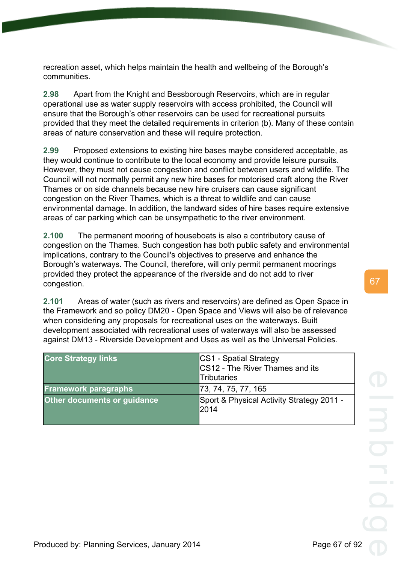recreation asset, which helps maintain the health and wellbeing of the Borough's communities.

**2.98** Apart from the Knight and Bessborough Reservoirs, which are in regular operational use as water supply reservoirs with access prohibited, the Council will ensure that the Borough's other reservoirs can be used for recreational pursuits provided that they meet the detailed requirements in criterion (b). Many of these contain areas of nature conservation and these will require protection.

**2.99** Proposed extensions to existing hire bases maybe considered acceptable, as they would continue to contribute to the local economy and provide leisure pursuits. However, they must not cause congestion and conflict between users and wildlife. The Council will not normally permit any new hire bases for motorised craft along the River Thames or on side channels because new hire cruisers can cause significant congestion on the River Thames, which is a threat to wildlife and can cause environmental damage. In addition, the landward sides of hire bases require extensive areas of car parking which can be unsympathetic to the river environment.

**2.100** The permanent mooring of houseboats is also a contributory cause of congestion on the Thames. Such congestion has both public safety and environmental implications, contrary to the Council's objectives to preserve and enhance the Borough's waterways. The Council, therefore, will only permit permanent moorings provided they protect the appearance of the riverside and do not add to river congestion.

**2.101** Areas of water (such as rivers and reservoirs) are defined as Open Space in the Framework and so policy DM20 - Open Space and Views will also be of relevance when considering any proposals for recreational uses on the waterways. Built development associated with recreational uses of waterways will also be assessed against DM13 - Riverside Development and Uses as well as the Universal Policies.

| <b>Core Strategy links</b>  | CS1 - Spatial Strategy<br>CS12 - The River Thames and its<br><b>Tributaries</b> |
|-----------------------------|---------------------------------------------------------------------------------|
| <b>Framework paragraphs</b> | 73, 74, 75, 77, 165                                                             |
| Other documents or guidance | Sport & Physical Activity Strategy 2011 -<br>l2014                              |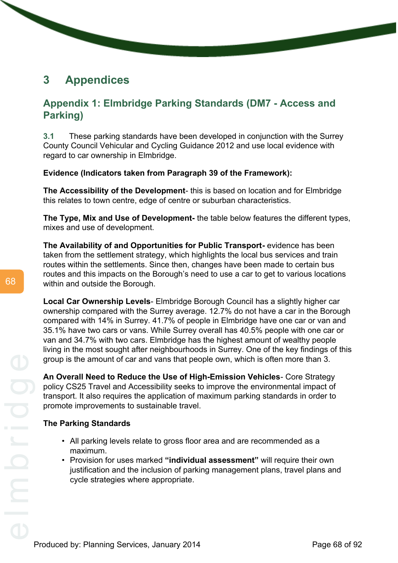# **3 Appendices**

# **Appendix 1: Elmbridge Parking Standards (DM7 - Access and Parking)**

**3.1** These parking standards have been developed in conjunction with the Surrey County Council Vehicular and Cycling Guidance 2012 and use local evidence with regard to car ownership in Elmbridge.

**Evidence (Indicators taken from Paragraph 39 of the Framework):**

**The Accessibility of the Development**- this is based on location and for Elmbridge this relates to town centre, edge of centre or suburban characteristics.

**The Type, Mix and Use of Development-** the table below features the different types, mixes and use of development.

**The Availability of and Opportunities for Public Transport-** evidence has been taken from the settlement strategy, which highlights the local bus services and train routes within the settlements. Since then, changes have been made to certain bus routes and this impacts on the Borough's need to use a car to get to various locations within and outside the Borough.

**Local Car Ownership Levels**- Elmbridge Borough Council has a slightly higher car ownership compared with the Surrey average. 12.7% do not have a car in the Borough compared with 14% in Surrey. 41.7% of people in Elmbridge have one car or van and 35.1% have two cars or vans. While Surrey overall has 40.5% people with one car or van and 34.7% with two cars. Elmbridge has the highest amount of wealthy people living in the most sought after neighbourhoods in Surrey. One of the key findings of this group is the amount of car and vans that people own, which is often more than 3.

**An Overall Need to Reduce the Use of High-Emission Vehicles**- Core Strategy policy CS25 Travel and Accessibility seeks to improve the environmental impact of transport. It also requires the application of maximum parking standards in order to promote improvements to sustainable travel.

# **The Parking Standards**

- All parking levels relate to gross floor area and are recommended as a maximum.
- Provision for uses marked **"individual assessment"** will require their own justification and the inclusion of parking management plans, travel plans and cycle strategies where appropriate.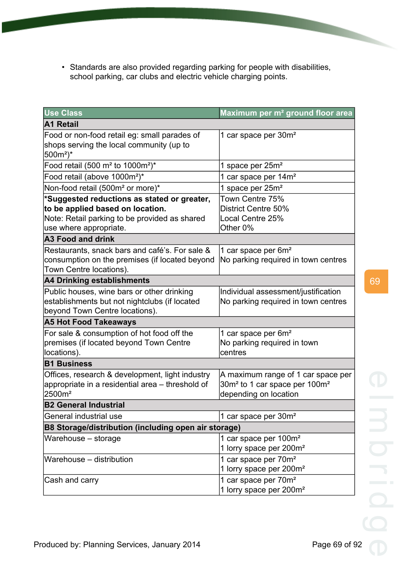• Standards are also provided regarding parking for people with disabilities, school parking, car clubs and electric vehicle charging points.

| <b>Use Class</b>                                                                         | Maximum per m <sup>2</sup> ground floor area                                   |  |
|------------------------------------------------------------------------------------------|--------------------------------------------------------------------------------|--|
| A1 Retail                                                                                |                                                                                |  |
| Food or non-food retail eg: small parades of<br>shops serving the local community (up to | 1 car space per 30m <sup>2</sup>                                               |  |
| 500m <sup>2</sup> )*                                                                     |                                                                                |  |
| Food retail (500 m <sup>2</sup> to 1000m <sup>2</sup> )*                                 | 1 space per 25m <sup>2</sup>                                                   |  |
| Food retail (above 1000m <sup>2</sup> )*                                                 | 1 car space per 14m <sup>2</sup>                                               |  |
| Non-food retail (500m <sup>2</sup> or more)*                                             | 1 space per 25m <sup>2</sup>                                                   |  |
| *Suggested reductions as stated or greater,                                              | Town Centre 75%                                                                |  |
| to be applied based on location.                                                         | District Centre 50%                                                            |  |
| Note: Retail parking to be provided as shared                                            | Local Centre 25%                                                               |  |
| use where appropriate.                                                                   | Other 0%                                                                       |  |
| <b>A3 Food and drink</b>                                                                 |                                                                                |  |
| Restaurants, snack bars and café's. For sale &                                           | 1 car space per 6m <sup>2</sup>                                                |  |
| consumption on the premises (if located beyond<br>Town Centre locations).                | No parking required in town centres                                            |  |
| A4 Drinking establishments                                                               |                                                                                |  |
| Public houses, wine bars or other drinking                                               | Individual assessment/justification                                            |  |
| establishments but not nightclubs (if located                                            | No parking required in town centres                                            |  |
| beyond Town Centre locations).                                                           |                                                                                |  |
| <b>A5 Hot Food Takeaways</b>                                                             |                                                                                |  |
| For sale & consumption of hot food off the                                               | 1 car space per 6m <sup>2</sup>                                                |  |
| premises (if located beyond Town Centre                                                  | No parking required in town                                                    |  |
| locations).                                                                              | centres                                                                        |  |
| <b>B1 Business</b>                                                                       |                                                                                |  |
| Offices, research & development, light industry                                          | A maximum range of 1 car space per                                             |  |
| appropriate in a residential area - threshold of<br>2500m <sup>2</sup>                   | 30m <sup>2</sup> to 1 car space per 100m <sup>2</sup><br>depending on location |  |
| <b>B2 General Industrial</b>                                                             |                                                                                |  |
| General industrial use                                                                   | 1 car space per 30m <sup>2</sup>                                               |  |
| B8 Storage/distribution (including open air storage)                                     |                                                                                |  |
| Warehouse - storage                                                                      | 1 car space per 100m <sup>2</sup>                                              |  |
|                                                                                          | 1 lorry space per 200m <sup>2</sup>                                            |  |
| Warehouse - distribution                                                                 | 1 car space per 70m <sup>2</sup>                                               |  |
|                                                                                          | 1 lorry space per 200m <sup>2</sup>                                            |  |
| Cash and carry                                                                           | 1 car space per 70m <sup>2</sup>                                               |  |
|                                                                                          | 1 lorry space per 200m <sup>2</sup>                                            |  |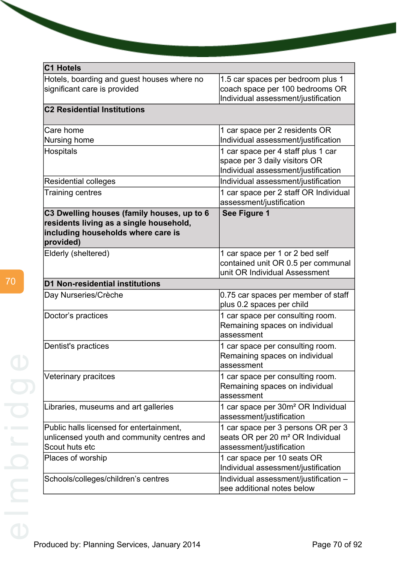| C1 Hotels                                                                                                                                |                                                                                                                |
|------------------------------------------------------------------------------------------------------------------------------------------|----------------------------------------------------------------------------------------------------------------|
| Hotels, boarding and guest houses where no<br>significant care is provided                                                               | 1.5 car spaces per bedroom plus 1<br>coach space per 100 bedrooms OR<br>Individual assessment/justification    |
| <b>C2 Residential Institutions</b>                                                                                                       |                                                                                                                |
| Care home<br>Nursing home                                                                                                                | 1 car space per 2 residents OR<br>Individual assessment/justification                                          |
| <b>Hospitals</b>                                                                                                                         | 1 car space per 4 staff plus 1 car<br>space per 3 daily visitors OR<br>Individual assessment/justification     |
| Residential colleges                                                                                                                     | Individual assessment/justification                                                                            |
| Training centres                                                                                                                         | 1 car space per 2 staff OR Individual<br>assessment/justification                                              |
| C3 Dwelling houses (family houses, up to 6<br>residents living as a single household,<br>including households where care is<br>provided) | See Figure 1                                                                                                   |
| Elderly (sheltered)                                                                                                                      | 1 car space per 1 or 2 bed self<br>contained unit OR 0.5 per communal<br>unit OR Individual Assessment         |
| <b>D1 Non-residential institutions</b>                                                                                                   |                                                                                                                |
| Day Nurseries/Crèche                                                                                                                     | 0.75 car spaces per member of staff<br>plus 0.2 spaces per child                                               |
| Doctor's practices                                                                                                                       | 1 car space per consulting room.<br>Remaining spaces on individual<br>assessment                               |
| Dentist's practices                                                                                                                      | 1 car space per consulting room.<br>Remaining spaces on individual<br>assessment                               |
| Veterinary pracitces                                                                                                                     | 1 car space per consulting room.<br>Remaining spaces on individual<br>assessment                               |
| Libraries, museums and art galleries                                                                                                     | 1 car space per 30m <sup>2</sup> OR Individual<br>assessment/justification                                     |
| Public halls licensed for entertainment,<br>unlicensed youth and community centres and<br>Scout huts etc                                 | 1 car space per 3 persons OR per 3<br>seats OR per 20 m <sup>2</sup> OR Individual<br>assessment/justification |
| Places of worship                                                                                                                        | 1 car space per 10 seats OR<br>Individual assessment/justification                                             |
| Schools/colleges/children's centres                                                                                                      | Individual assessment/justification -<br>see additional notes below                                            |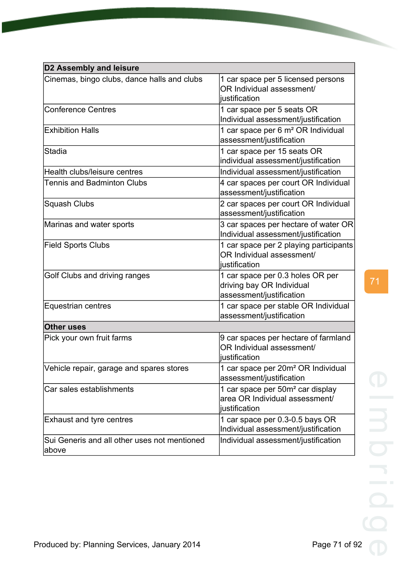| <b>D2 Assembly and leisure</b>                        |                                                                                                 |  |
|-------------------------------------------------------|-------------------------------------------------------------------------------------------------|--|
| Cinemas, bingo clubs, dance halls and clubs           | 1 car space per 5 licensed persons<br>OR Individual assessment/<br>iustification                |  |
| <b>Conference Centres</b>                             | 1 car space per 5 seats OR<br>Individual assessment/justification                               |  |
| <b>Exhibition Halls</b>                               | 1 car space per 6 m <sup>2</sup> OR Individual<br>assessment/justification                      |  |
| Stadia                                                | 1 car space per 15 seats OR<br>individual assessment/justification                              |  |
| Health clubs/leisure centres                          | Individual assessment/justification                                                             |  |
| Tennis and Badminton Clubs                            | 4 car spaces per court OR Individual<br>assessment/justification                                |  |
| Squash Clubs                                          | 2 car spaces per court OR Individual<br>assessment/justification                                |  |
| Marinas and water sports                              | 3 car spaces per hectare of water OR<br>Individual assessment/justification                     |  |
| <b>Field Sports Clubs</b>                             | 1 car space per 2 playing participants<br>OR Individual assessment/<br>justification            |  |
| Golf Clubs and driving ranges                         | 1 car space per 0.3 holes OR per<br>driving bay OR Individual<br>assessment/justification       |  |
| Equestrian centres                                    | 1 car space per stable OR Individual<br>assessment/justification                                |  |
| <b>Other uses</b>                                     |                                                                                                 |  |
| Pick your own fruit farms                             | 9 car spaces per hectare of farmland<br>OR Individual assessment/<br>liustification             |  |
| Vehicle repair, garage and spares stores              | 1 car space per 20m <sup>2</sup> OR Individual<br>assessment/justification                      |  |
| Car sales establishments                              | 1 car space per 50m <sup>2</sup> car display<br>area OR Individual assessment/<br>justification |  |
| <b>Exhaust and tyre centres</b>                       | 1 car space per 0.3-0.5 bays OR<br>Individual assessment/justification                          |  |
| Sui Generis and all other uses not mentioned<br>above | Individual assessment/justification                                                             |  |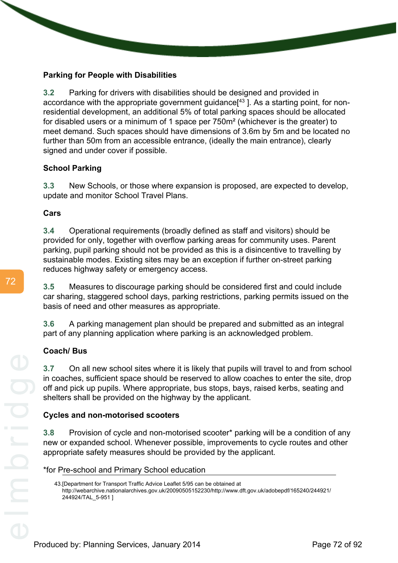# **Parking for People with Disabilities**

**3.2** Parking for drivers with disabilities should be designed and provided in accordance with the appropriate government guidance<sup>[43</sup>]. As a starting point, for nonresidential development, an additional 5% of total parking spaces should be allocated for disabled users or a minimum of 1 space per 750m² (whichever is the greater) to meet demand. Such spaces should have dimensions of 3.6m by 5m and be located no further than 50m from an accessible entrance, (ideally the main entrance), clearly signed and under cover if possible.

# **School Parking**

**3.3** New Schools, or those where expansion is proposed, are expected to develop, update and monitor School Travel Plans.

# **Cars**

**3.4** Operational requirements (broadly defined as staff and visitors) should be provided for only, together with overflow parking areas for community uses. Parent parking, pupil parking should not be provided as this is a disincentive to travelling by sustainable modes. Existing sites may be an exception if further on-street parking reduces highway safety or emergency access.

**3.5** Measures to discourage parking should be considered first and could include car sharing, staggered school days, parking restrictions, parking permits issued on the basis of need and other measures as appropriate.

**3.6** A parking management plan should be prepared and submitted as an integral part of any planning application where parking is an acknowledged problem.

# **Coach/ Bus**

**3.7** On all new school sites where it is likely that pupils will travel to and from school in coaches, sufficient space should be reserved to allow coaches to enter the site, drop off and pick up pupils. Where appropriate, bus stops, bays, raised kerbs, seating and shelters shall be provided on the highway by the applicant.

# **Cycles and non-motorised scooters**

**3.8** Provision of cycle and non-motorised scooter\* parking will be a condition of any new or expanded school. Whenever possible, improvements to cycle routes and other appropriate safety measures should be provided by the applicant.

\*for Pre-school and Primary School education

<sup>43.[</sup>Department for Transport Traffic Advice Leaflet 5/95 can be obtained at http://webarchive.nationalarchives.gov.uk/20090505152230/http://www.dft.gov.uk/adobepdf/165240/244921/ 244924/TAL\_5-951 ]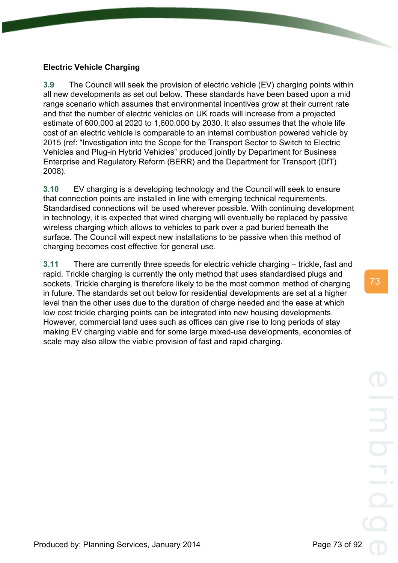# **Electric Vehicle Charging**

**3.9** The Council will seek the provision of electric vehicle (EV) charging points within all new developments as set out below. These standards have been based upon a mid range scenario which assumes that environmental incentives grow at their current rate and that the number of electric vehicles on UK roads will increase from a projected estimate of 600,000 at 2020 to 1,600,000 by 2030. It also assumes that the whole life cost of an electric vehicle is comparable to an internal combustion powered vehicle by 2015 (ref: "Investigation into the Scope for the Transport Sector to Switch to Electric Vehicles and Plug-in Hybrid Vehicles" produced jointly by Department for Business Enterprise and Regulatory Reform (BERR) and the Department for Transport (DfT) 2008).

**3.10** EV charging is a developing technology and the Council will seek to ensure that connection points are installed in line with emerging technical requirements. Standardised connections will be used wherever possible. With continuing development in technology, it is expected that wired charging will eventually be replaced by passive wireless charging which allows to vehicles to park over a pad buried beneath the surface. The Council will expect new installations to be passive when this method of charging becomes cost effective for general use.

**3.11** There are currently three speeds for electric vehicle charging – trickle, fast and rapid. Trickle charging is currently the only method that uses standardised plugs and sockets. Trickle charging is therefore likely to be the most common method of charging in future. The standards set out below for residential developments are set at a higher level than the other uses due to the duration of charge needed and the ease at which low cost trickle charging points can be integrated into new housing developments. However, commercial land uses such as offices can give rise to long periods of stay making EV charging viable and for some large mixed-use developments, economies of scale may also allow the viable provision of fast and rapid charging.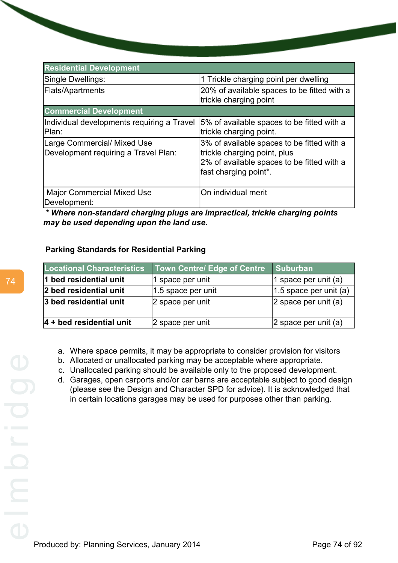| <b>Residential Development</b>                                      |                                                                                                                                                   |
|---------------------------------------------------------------------|---------------------------------------------------------------------------------------------------------------------------------------------------|
| Single Dwellings:                                                   | 1 Trickle charging point per dwelling                                                                                                             |
| Flats/Apartments                                                    | 20% of available spaces to be fitted with a<br>trickle charging point                                                                             |
| <b>Commercial Development</b>                                       |                                                                                                                                                   |
| Individual developments requiring a Travel<br>Plan:                 | 5% of available spaces to be fitted with a<br>trickle charging point.                                                                             |
| Large Commercial/ Mixed Use<br>Development requiring a Travel Plan: | 3% of available spaces to be fitted with a<br>trickle charging point, plus<br>2% of available spaces to be fitted with a<br>fast charging point*. |
| <b>Major Commercial Mixed Use</b><br>Development:                   | On individual merit                                                                                                                               |

*\* Where non-standard charging plugs are impractical, trickle charging points may be used depending upon the land use.*

# **Parking Standards for Residential Parking**

| <b>Locational Characteristics</b> | <b>Town Centre/ Edge of Centre</b> | Suburban                  |
|-----------------------------------|------------------------------------|---------------------------|
| 1 bed residential unit            | 1 space per unit                   | 1 space per unit (a)      |
| 2 bed residential unit            | $ 1.5$ space per unit              | $ 1.5$ space per unit (a) |
| 3 bed residential unit            | 2 space per unit                   | 2 space per unit $(a)$    |
| $ 4 +$ bed residential unit       | 2 space per unit                   | $ 2$ space per unit (a)   |

- a. Where space permits, it may be appropriate to consider provision for visitors
- b. Allocated or unallocated parking may be acceptable where appropriate.
- c. Unallocated parking should be available only to the proposed development.
- d. Garages, open carports and/or car barns are acceptable subject to good design (please see the Design and Character SPD for advice). It is acknowledged that in certain locations garages may be used for purposes other than parking.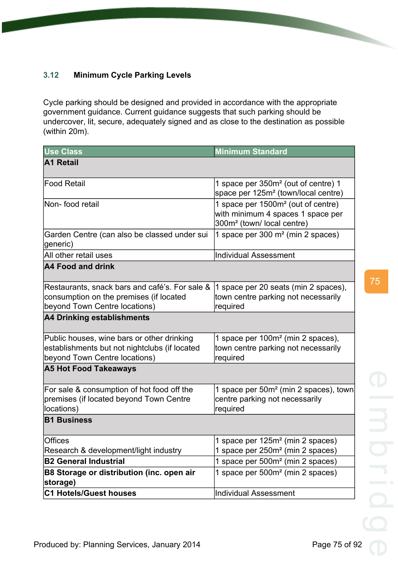# **3.12 Minimum Cycle Parking Levels**

Cycle parking should be designed and provided in accordance with the appropriate government guidance. Current guidance suggests that such parking should be undercover, lit, secure, adequately signed and as close to the destination as possible (within 20m).

| <b>Use Class</b>                                                                                                             | <b>Minimum Standard</b>                                                                                                      |
|------------------------------------------------------------------------------------------------------------------------------|------------------------------------------------------------------------------------------------------------------------------|
| A1 Retail                                                                                                                    |                                                                                                                              |
| Food Retail                                                                                                                  | 1 space per 350m <sup>2</sup> (out of centre) 1<br>space per 125m <sup>2</sup> (town/local centre)                           |
| Non-food retail                                                                                                              | 1 space per 1500m <sup>2</sup> (out of centre)<br>with minimum 4 spaces 1 space per<br>300m <sup>2</sup> (town/local centre) |
| Garden Centre (can also be classed under sui<br>generic)                                                                     | 1 space per 300 m <sup>2</sup> (min 2 spaces)                                                                                |
| All other retail uses                                                                                                        | <b>Individual Assessment</b>                                                                                                 |
| A4 Food and drink                                                                                                            |                                                                                                                              |
| Restaurants, snack bars and café's. For sale &<br>consumption on the premises (if located<br>beyond Town Centre locations)   | 1 space per 20 seats (min 2 spaces),<br>town centre parking not necessarily<br>required                                      |
| A4 Drinking establishments                                                                                                   |                                                                                                                              |
| Public houses, wine bars or other drinking<br>establishments but not nightclubs (if located<br>beyond Town Centre locations) | 1 space per 100m <sup>2</sup> (min 2 spaces),<br>town centre parking not necessarily<br>required                             |
| <b>A5 Hot Food Takeaways</b>                                                                                                 |                                                                                                                              |
| For sale & consumption of hot food off the<br>premises (if located beyond Town Centre<br>locations)                          | 1 space per 50m <sup>2</sup> (min 2 spaces), town<br>centre parking not necessarily<br>required                              |
| <b>B1 Business</b>                                                                                                           |                                                                                                                              |
| <b>Offices</b><br>Research & development/light industry                                                                      | 1 space per 125m <sup>2</sup> (min 2 spaces)<br>1 space per 250m <sup>2</sup> (min 2 spaces)                                 |
| <b>B2 General Industrial</b>                                                                                                 | 1 space per 500m <sup>2</sup> (min 2 spaces)                                                                                 |
| B8 Storage or distribution (inc. open air<br>storage)                                                                        | 1 space per 500m <sup>2</sup> (min 2 spaces)                                                                                 |
| <b>C1 Hotels/Guest houses</b>                                                                                                | <b>Individual Assessment</b>                                                                                                 |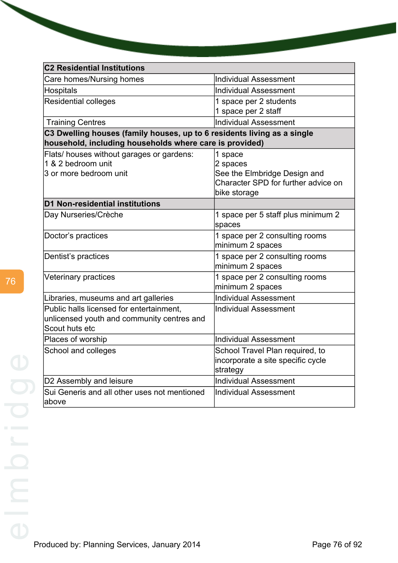| <b>C2 Residential Institutions</b>                                                                                                 |                                                                                                            |
|------------------------------------------------------------------------------------------------------------------------------------|------------------------------------------------------------------------------------------------------------|
| Care homes/Nursing homes                                                                                                           | <b>Individual Assessment</b>                                                                               |
| Hospitals                                                                                                                          | <b>Individual Assessment</b>                                                                               |
| <b>Residential colleges</b>                                                                                                        | 1 space per 2 students<br>1 space per 2 staff                                                              |
| <b>Training Centres</b>                                                                                                            | <b>Individual Assessment</b>                                                                               |
| C3 Dwelling houses (family houses, up to 6 residents living as a single<br>household, including households where care is provided) |                                                                                                            |
| Flats/ houses without garages or gardens:<br>1 & 2 bedroom unit<br>3 or more bedroom unit                                          | 1 space<br>2 spaces<br>See the Elmbridge Design and<br>Character SPD for further advice on<br>bike storage |
| D1 Non-residential institutions                                                                                                    |                                                                                                            |
| Day Nurseries/Crèche                                                                                                               | 1 space per 5 staff plus minimum 2<br>spaces                                                               |
| Doctor's practices                                                                                                                 | 1 space per 2 consulting rooms<br>minimum 2 spaces                                                         |
| Dentist's practices                                                                                                                | 1 space per 2 consulting rooms<br>minimum 2 spaces                                                         |
| Veterinary practices                                                                                                               | 1 space per 2 consulting rooms<br>minimum 2 spaces                                                         |
| Libraries, museums and art galleries                                                                                               | <b>Individual Assessment</b>                                                                               |
| Public halls licensed for entertainment,<br>unlicensed youth and community centres and<br>Scout huts etc                           | <b>Individual Assessment</b>                                                                               |
| Places of worship                                                                                                                  | <b>Individual Assessment</b>                                                                               |
| School and colleges                                                                                                                | School Travel Plan required, to<br>incorporate a site specific cycle<br>strategy                           |
| D2 Assembly and leisure                                                                                                            | <b>Individual Assessment</b>                                                                               |
| Sui Generis and all other uses not mentioned<br>labove                                                                             | <b>Individual Assessment</b>                                                                               |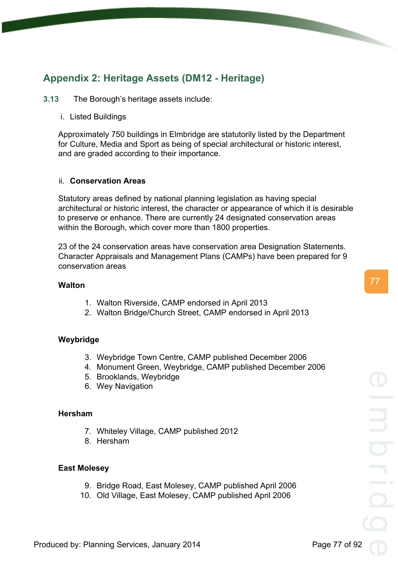# **Appendix 2: Heritage Assets (DM12 - Heritage)**

### **3.13** The Borough's heritage assets include:

i. Listed Buildings

Approximately 750 buildings in Elmbridge are statutorily listed by the Department for Culture, Media and Sport as being of special architectural or historic interest, and are graded according to their importance.

#### ii. **Conservation Areas**

Statutory areas defined by national planning legislation as having special architectural or historic interest, the character or appearance of which it is desirable to preserve or enhance. There are currently 24 designated conservation areas within the Borough, which cover more than 1800 properties.

23 of the 24 conservation areas have conservation area Designation Statements. Character Appraisals and Management Plans (CAMPs) have been prepared for 9 conservation areas

#### **Walton**

- 1. Walton Riverside, CAMP endorsed in April 2013
- 2. Walton Bridge/Church Street, CAMP endorsed in April 2013

# **Weybridge**

- 3. Weybridge Town Centre, CAMP published December 2006
- 4. Monument Green, Weybridge, CAMP published December 2006
- 5. Brooklands, Weybridge
- 6. Wey Navigation

#### **Hersham**

- 7. Whiteley Village, CAMP published 2012
- 8. Hersham

#### **East Molesey**

- 9. Bridge Road, East Molesey, CAMP published April 2006
- 10. Old Village, East Molesey, CAMP published April 2006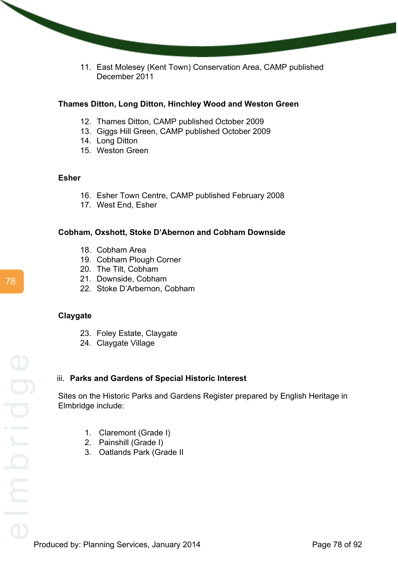11. East Molesey (Kent Town) Conservation Area, CAMP published December 2011

# **Thames Ditton, Long Ditton, Hinchley Wood and Weston Green**

- 12. Thames Ditton, CAMP published October 2009
- 13. Giggs Hill Green, CAMP published October 2009
- 14. Long Ditton
- 15. Weston Green

#### **Esher**

- 16. Esher Town Centre, CAMP published February 2008
- 17. West End, Esher

# **Cobham, Oxshott, Stoke D'Abernon and Cobham Downside**

- 18. Cobham Area
- 19. Cobham Plough Corner
- 20. The Tilt, Cobham
- 21. Downside, Cobham
- 22. Stoke D'Arbernon, Cobham

#### **Claygate**

- 23. Foley Estate, Claygate
- 24. Claygate Village

# iii. **Parks and Gardens of Special Historic Interest**

Sites on the Historic Parks and Gardens Register prepared by English Heritage in Elmbridge include:

- 1. Claremont (Grade I)
- 2. Painshill (Grade I)
- 3. Oatlands Park (Grade II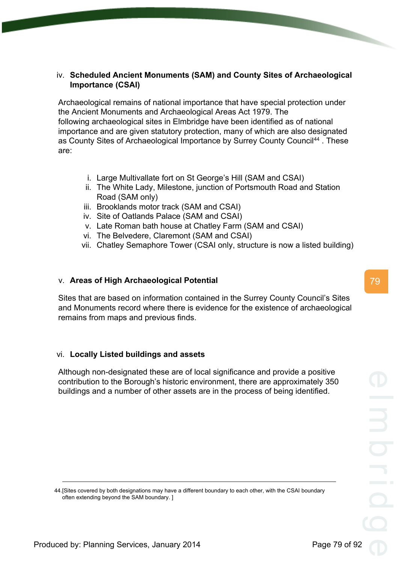# iv. **Scheduled Ancient Monuments (SAM) and County Sites of Archaeological Importance (CSAI)**

Archaeological remains of national importance that have special protection under the Ancient Monuments and Archaeological Areas Act 1979. The following archaeological sites in Elmbridge have been identified as of national importance and are given statutory protection, many of which are also designated as County Sites of Archaeological Importance by Surrey County Council<sup>44</sup>. These are:

- i. Large Multivallate fort on St George's Hill (SAM and CSAI)
- ii. The White Lady, Milestone, junction of Portsmouth Road and Station Road (SAM only)
- iii. Brooklands motor track (SAM and CSAI)
- iv. Site of Oatlands Palace (SAM and CSAI)
- v. Late Roman bath house at Chatley Farm (SAM and CSAI)
- vi. The Belvedere, Claremont (SAM and CSAI)
- vii. Chatley Semaphore Tower (CSAI only, structure is now a listed building)

# v. **Areas of High Archaeological Potential**

Sites that are based on information contained in the Surrey County Council's Sites and Monuments record where there is evidence for the existence of archaeological remains from maps and previous finds.

# vi. **Locally Listed buildings and assets**

Although non-designated these are of local significance and provide a positive contribution to the Borough's historic environment, there are approximately 350 buildings and a number of other assets are in the process of being identified.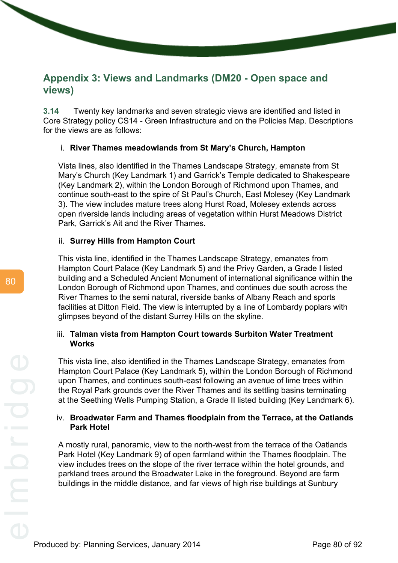# **Appendix 3: Views and Landmarks (DM20 - Open space and views)**

**3.14** Twenty key landmarks and seven strategic views are identified and listed in Core Strategy policy CS14 - Green Infrastructure and on the Policies Map. Descriptions for the views are as follows:

# i. **River Thames meadowlands from St Mary's Church, Hampton**

Vista lines, also identified in the Thames Landscape Strategy, emanate from St Mary's Church (Key Landmark 1) and Garrick's Temple dedicated to Shakespeare (Key Landmark 2), within the London Borough of Richmond upon Thames, and continue south-east to the spire of St Paul's Church, East Molesey (Key Landmark 3). The view includes mature trees along Hurst Road, Molesey extends across open riverside lands including areas of vegetation within Hurst Meadows District Park, Garrick's Ait and the River Thames.

# ii. **Surrey Hills from Hampton Court**

This vista line, identified in the Thames Landscape Strategy, emanates from Hampton Court Palace (Key Landmark 5) and the Privy Garden, a Grade I listed building and a Scheduled Ancient Monument of international significance within the London Borough of Richmond upon Thames, and continues due south across the River Thames to the semi natural, riverside banks of Albany Reach and sports facilities at Ditton Field. The view is interrupted by a line of Lombardy poplars with glimpses beyond of the distant Surrey Hills on the skyline.

# iii. **Talman vista from Hampton Court towards Surbiton Water Treatment Works**

This vista line, also identified in the Thames Landscape Strategy, emanates from Hampton Court Palace (Key Landmark 5), within the London Borough of Richmond upon Thames, and continues south-east following an avenue of lime trees within the Royal Park grounds over the River Thames and its settling basins terminating at the Seething Wells Pumping Station, a Grade II listed building (Key Landmark 6).

# iv. **Broadwater Farm and Thames floodplain from the Terrace, at the Oatlands Park Hotel**

A mostly rural, panoramic, view to the north-west from the terrace of the Oatlands Park Hotel (Key Landmark 9) of open farmland within the Thames floodplain. The view includes trees on the slope of the river terrace within the hotel grounds, and parkland trees around the Broadwater Lake in the foreground. Beyond are farm buildings in the middle distance, and far views of high rise buildings at Sunbury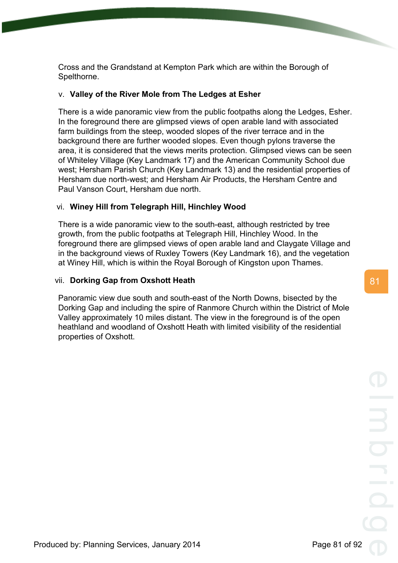Cross and the Grandstand at Kempton Park which are within the Borough of Spelthorne.

# v. **Valley of the River Mole from The Ledges at Esher**

There is a wide panoramic view from the public footpaths along the Ledges, Esher. In the foreground there are glimpsed views of open arable land with associated farm buildings from the steep, wooded slopes of the river terrace and in the background there are further wooded slopes. Even though pylons traverse the area, it is considered that the views merits protection. Glimpsed views can be seen of Whiteley Village (Key Landmark 17) and the American Community School due west; Hersham Parish Church (Key Landmark 13) and the residential properties of Hersham due north-west; and Hersham Air Products, the Hersham Centre and Paul Vanson Court, Hersham due north.

# vi. **Winey Hill from Telegraph Hill, Hinchley Wood**

There is a wide panoramic view to the south-east, although restricted by tree growth, from the public footpaths at Telegraph Hill, Hinchley Wood. In the foreground there are glimpsed views of open arable land and Claygate Village and in the background views of Ruxley Towers (Key Landmark 16), and the vegetation at Winey Hill, which is within the Royal Borough of Kingston upon Thames.

# vii. **Dorking Gap from Oxshott Heath**

Panoramic view due south and south-east of the North Downs, bisected by the Dorking Gap and including the spire of Ranmore Church within the District of Mole Valley approximately 10 miles distant. The view in the foreground is of the open heathland and woodland of Oxshott Heath with limited visibility of the residential properties of Oxshott.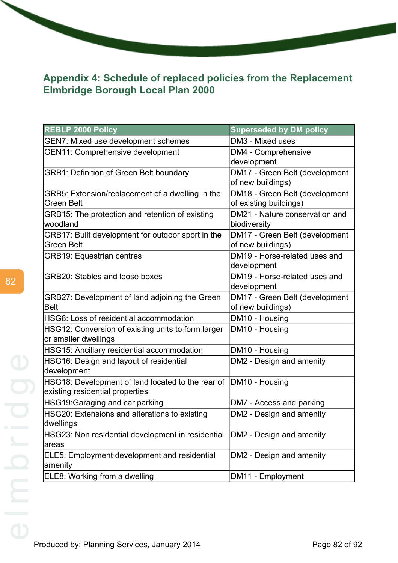# **Appendix 4: Schedule of replaced policies from the Replacement Elmbridge Borough Local Plan 2000**

| <b>REBLP 2000 Policy</b>                                       | <b>Superseded by DM policy</b>                           |
|----------------------------------------------------------------|----------------------------------------------------------|
| <b>GEN7: Mixed use development schemes</b>                     | DM3 - Mixed uses                                         |
| GEN11: Comprehensive development                               | DM4 - Comprehensive                                      |
|                                                                | development                                              |
| <b>GRB1: Definition of Green Belt boundary</b>                 | DM17 - Green Belt (development<br>of new buildings)      |
| GRB5: Extension/replacement of a dwelling in the<br>Green Belt | DM18 - Green Belt (development<br>of existing buildings) |
| GRB15: The protection and retention of existing                | DM21 - Nature conservation and                           |
| woodland                                                       | biodiversity                                             |
| GRB17: Built development for outdoor sport in the              | DM17 - Green Belt (development                           |
| Green Belt                                                     | of new buildings)                                        |
| <b>GRB19: Equestrian centres</b>                               | DM19 - Horse-related uses and<br>development             |
| GRB20: Stables and loose boxes                                 | DM19 - Horse-related uses and                            |
|                                                                | development                                              |
| GRB27: Development of land adjoining the Green                 | DM17 - Green Belt (development                           |
| <b>Belt</b>                                                    | of new buildings)                                        |
| HSG8: Loss of residential accommodation                        | DM10 - Housing                                           |
| HSG12: Conversion of existing units to form larger             | DM10 - Housing                                           |
| or smaller dwellings                                           |                                                          |
| HSG15: Ancillary residential accommodation                     | DM10 - Housing                                           |
| HSG16: Design and layout of residential                        | DM2 - Design and amenity                                 |
| development                                                    |                                                          |
| HSG18: Development of land located to the rear of              | DM10 - Housing                                           |
| existing residential properties                                |                                                          |
| HSG19: Garaging and car parking                                | DM7 - Access and parking                                 |
| HSG20: Extensions and alterations to existing                  | DM2 - Design and amenity                                 |
| dwellings                                                      |                                                          |
| HSG23: Non residential development in residential              | DM2 - Design and amenity                                 |
| areas                                                          |                                                          |
| ELE5: Employment development and residential                   | DM2 - Design and amenity                                 |
| amenity                                                        |                                                          |
| ELE8: Working from a dwelling                                  | DM11 - Employment                                        |

 $\overline{\phantom{0}}$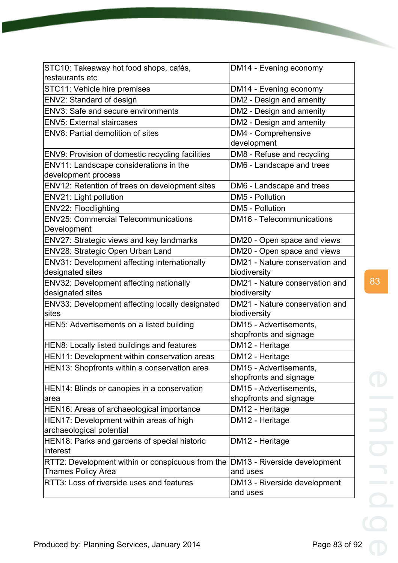| STC10: Takeaway hot food shops, cafés,<br>restaurants etc                                    | DM14 - Evening economy                   |
|----------------------------------------------------------------------------------------------|------------------------------------------|
| STC11: Vehicle hire premises                                                                 | DM14 - Evening economy                   |
| ENV2: Standard of design                                                                     | DM2 - Design and amenity                 |
| <b>ENV3: Safe and secure environments</b>                                                    | DM2 - Design and amenity                 |
| <b>ENV5: External staircases</b>                                                             | DM2 - Design and amenity                 |
| <b>ENV8: Partial demolition of sites</b>                                                     | DM4 - Comprehensive                      |
|                                                                                              | development                              |
| ENV9: Provision of domestic recycling facilities                                             | DM8 - Refuse and recycling               |
| ENV11: Landscape considerations in the                                                       | DM6 - Landscape and trees                |
| development process                                                                          |                                          |
| ENV12: Retention of trees on development sites                                               | DM6 - Landscape and trees                |
| ENV21: Light pollution                                                                       | DM5 - Pollution                          |
| ENV22: Floodlighting                                                                         | DM5 - Pollution                          |
| <b>ENV25: Commercial Telecommunications</b>                                                  | DM16 - Telecommunications                |
| Development                                                                                  |                                          |
| <b>ENV27: Strategic views and key landmarks</b>                                              | DM20 - Open space and views              |
| ENV28: Strategic Open Urban Land                                                             | DM20 - Open space and views              |
| ENV31: Development affecting internationally                                                 | DM21 - Nature conservation and           |
| designated sites                                                                             | biodiversity                             |
| ENV32: Development affecting nationally                                                      | DM21 - Nature conservation and           |
| designated sites                                                                             | biodiversity                             |
| ENV33: Development affecting locally designated                                              | DM21 - Nature conservation and           |
| sites                                                                                        | biodiversity                             |
| HEN5: Advertisements on a listed building                                                    | DM15 - Advertisements,                   |
|                                                                                              | shopfronts and signage                   |
| HEN8: Locally listed buildings and features                                                  | DM12 - Heritage                          |
| HEN11: Development within conservation areas<br>HEN13: Shopfronts within a conservation area | DM12 - Heritage                          |
|                                                                                              |                                          |
|                                                                                              | DM15 - Advertisements,                   |
|                                                                                              | shopfronts and signage                   |
| HEN14: Blinds or canopies in a conservation                                                  | DM15 - Advertisements,                   |
| ∣area                                                                                        | shopfronts and signage                   |
| HEN16: Areas of archaeological importance                                                    | DM12 - Heritage                          |
| HEN17: Development within areas of high                                                      | DM12 - Heritage                          |
| archaeological potential                                                                     |                                          |
| HEN18: Parks and gardens of special historic<br>linterest                                    | DM12 - Heritage                          |
| RTT2: Development within or conspicuous from the                                             |                                          |
| <b>Thames Policy Area</b>                                                                    | DM13 - Riverside development<br>and uses |
| RTT3: Loss of riverside uses and features                                                    | DM13 - Riverside development             |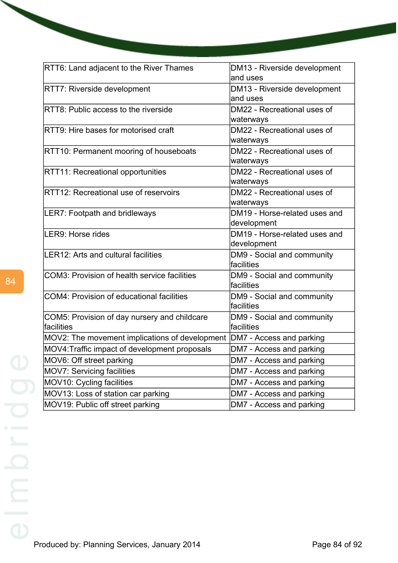| RTT6: Land adjacent to the River Thames        | DM13 - Riverside development<br>and uses |
|------------------------------------------------|------------------------------------------|
| <b>RTT7: Riverside development</b>             | DM13 - Riverside development             |
|                                                | and uses                                 |
| RTT8: Public access to the riverside           | DM22 - Recreational uses of              |
|                                                | waterways                                |
| RTT9: Hire bases for motorised craft           | DM22 - Recreational uses of              |
|                                                | waterways                                |
| RTT10: Permanent mooring of houseboats         | DM22 - Recreational uses of              |
|                                                | waterways                                |
| <b>RTT11: Recreational opportunities</b>       | DM22 - Recreational uses of              |
|                                                | waterways                                |
| RTT12: Recreational use of reservoirs          | DM22 - Recreational uses of              |
|                                                | waterways                                |
| <b>LER7: Footpath and bridleways</b>           | DM19 - Horse-related uses and            |
|                                                | development                              |
| LER9: Horse rides                              | DM19 - Horse-related uses and            |
|                                                | development                              |
| LER12: Arts and cultural facilities            | DM9 - Social and community<br>facilities |
|                                                |                                          |
| COM3: Provision of health service facilities   | DM9 - Social and community<br>facilities |
| COM4: Provision of educational facilities      | DM9 - Social and community               |
|                                                | facilities                               |
| COM5: Provision of day nursery and childcare   | DM9 - Social and community               |
| lfacilities                                    | facilities                               |
| MOV2: The movement implications of development | DM7 - Access and parking                 |
| MOV4: Traffic impact of development proposals  | DM7 - Access and parking                 |
| MOV6: Off street parking                       | DM7 - Access and parking                 |
| MOV7: Servicing facilities                     | DM7 - Access and parking                 |
| MOV10: Cycling facilities                      | DM7 - Access and parking                 |
| MOV13: Loss of station car parking             | DM7 - Access and parking                 |
| MOV19: Public off street parking               | DM7 - Access and parking                 |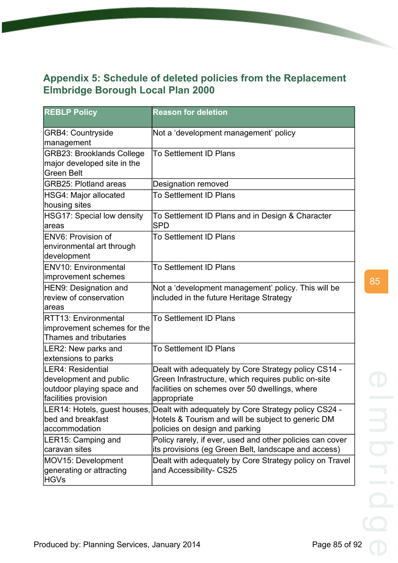# **Appendix 5: Schedule of deleted policies from the Replacement Elmbridge Borough Local Plan 2000**

| <b>REBLP Policy</b>                                                                              | <b>Reason for deletion</b>                                                                                                                                                   |
|--------------------------------------------------------------------------------------------------|------------------------------------------------------------------------------------------------------------------------------------------------------------------------------|
| <b>GRB4: Countryside</b><br>management                                                           | Not a 'development management' policy                                                                                                                                        |
| <b>GRB23: Brooklands College</b><br>major developed site in the<br><b>Green Belt</b>             | To Settlement ID Plans                                                                                                                                                       |
| <b>GRB25: Plotland areas</b>                                                                     | Designation removed                                                                                                                                                          |
| HSG4: Major allocated<br>housing sites                                                           | To Settlement ID Plans                                                                                                                                                       |
| HSG17: Special low density<br>lareas                                                             | To Settlement ID Plans and in Design & Character<br><b>SPD</b>                                                                                                               |
| <b>ENV6: Provision of</b><br>environmental art through<br>development                            | <b>To Settlement ID Plans</b>                                                                                                                                                |
| <b>ENV10: Environmental</b><br>improvement schemes                                               | <b>To Settlement ID Plans</b>                                                                                                                                                |
| HEN9: Designation and<br>review of conservation<br>lareas                                        | Not a 'development management' policy. This will be<br>included in the future Heritage Strategy                                                                              |
| <b>RTT13: Environmental</b><br>improvement schemes for the<br>Thames and tributaries             | <b>To Settlement ID Plans</b>                                                                                                                                                |
| LER2: New parks and<br>extensions to parks                                                       | To Settlement ID Plans                                                                                                                                                       |
| LER4: Residential<br>development and public<br>outdoor playing space and<br>facilities provision | Dealt with adequately by Core Strategy policy CS14 -<br>Green Infrastructure, which requires public on-site<br>facilities on schemes over 50 dwellings, where<br>appropriate |
| bed and breakfast<br>laccommodation                                                              | LER14: Hotels, guest houses, Dealt with adequately by Core Strategy policy CS24 -<br>Hotels & Tourism and will be subject to generic DM<br>policies on design and parking    |
| LER15: Camping and<br>caravan sites                                                              | Policy rarely, if ever, used and other policies can cover<br>its provisions (eg Green Belt, landscape and access)                                                            |
| MOV15: Development<br>generating or attracting<br><b>HGVs</b>                                    | Dealt with adequately by Core Strategy policy on Travel<br>and Accessibility- CS25                                                                                           |